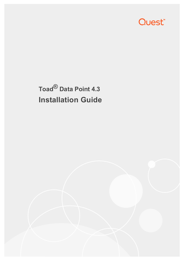

# **Toad® Data Point 4.3 Installation Guide**

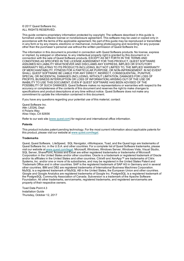© 2017 Quest Software Inc. ALL RIGHTS RESERVED.

This guide contains proprietary information protected by copyright. The software described in this guide is furnished under a software license or nondisclosure agreement. This software may be used or copied only in accordance with the terms of the applicable agreement. No part of this guide may be reproduced or transmitted in any form or by any means, electronic or mechanical, including photocopying and recording for any purpose other than the purchaser's personal use without the written permission of Quest Software Inc.

The information in this document is provided in connection with Quest Software products. No license, express or implied, by estoppel or otherwise, to any intellectual property right is granted by this document or in connection with the sale of Quest Software products. EXCEPT AS SET FORTH IN THE TERMS AND CONDITIONS AS SPECIFIED IN THE LICENSE AGREEMENT FOR THIS PRODUCT, QUEST SOFTWARE ASSUMES NO LIABILITY WHATSOEVER AND DISCLAIMS ANY EXPRESS, IMPLIED OR STATUTORY WARRANTY RELATING TO ITS PRODUCTS INCLUDING, BUT NOT LIMITED TO, THE IMPLIED WARRANTY OF MERCHANTABILITY, FITNESS FOR A PARTICULAR PURPOSE, OR NON-INFRINGEMENT. IN NO EVENT SHALL QUEST SOFTWARE BE LIABLE FOR ANY DIRECT, INDIRECT, CONSEQUENTIAL, PUNITIVE, SPECIAL OR INCIDENTAL DAMAGES (INCLUDING, WITHOUT LIMITATION, DAMAGES FOR LOSS OF PROFITS, BUSINESS INTERRUPTION OR LOSS OF INFORMATION) ARISING OUT OF THE USE OR INABILITY TO USE THIS DOCUMENT, EVEN IF QUEST SOFTWARE HAS BEEN ADVISED OF THE POSSIBILITY OF SUCH DAMAGES. Quest Software makes no representations or warranties with respect to the accuracy or completeness of the contents of this document and reserves the right to make changes to specifications and product descriptions at any time without notice. Quest Software does not make any commitment to update the information contained in this document.

If you have any questions regarding your potential use of this material, contact:

Quest Software Inc. Attn: LEGAL Dept 4 Polaris Way Aliso Viejo, CA 92656

Refer to our web site [\(www.quest.com\)](http://www.quest.com/) for regional and international office information.

#### **Patents**

This product includes patent pending technology. For the most current information about applicable patents for this product, please visit our website at [www.quest.com/legal](https://www.quest.com/legal/).

#### **Trademarks**

Quest, Quest Software, LiteSpeed, SQL Navigator, vWorkspace, Toad, and the Quest logo are trademarks of Quest Software Inc. in the U.S.A. and other countries. For a complete list of Quest Software trademarks, please visit our website at [www.quest.com/legal](https://www.quest.com/legal/). Microsoft, Windows, Windows Server, Windows Vista, Visual Studio, SQL Server, SharePoint, Access and Excel are either registered trademarks or trademarks of Microsoft Corporation in the United States and/or other countries. Oracle is a trademark or registered trademark of Oracle and/or its affiliates in the United States and other countries. Citrix® and XenApp™ are trademarks of Citrix Systems, Inc. and/or one or more of its subsidiaries, and may be registered in the United States Patent and Trademark Office and in other countries. SAP is the registered trademark of SAP AG in Germany and in several other countries. IBM and DB2 are registered trademarks of International Business Machines Corporation. MySQL is a registered trademark of MySQL AB in the United States, the European Union and other countries. Google and Google Analytics are registered trademarks of Google Inc. PostgreSQL is a registered trademark of the PostgreSQL Community Association of Canada. Subversion is a trademark of the Apache Software Foundation. All other trademarks, servicemarks, registered trademarks, and registered servicemarks are property of their respective owners.

Toad Data Point 4.3 Installation Guide Thursday, October 12, 2017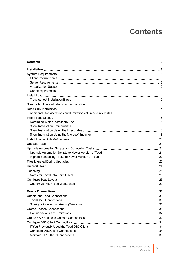# **Contents**

<span id="page-2-0"></span>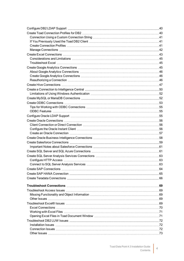| Create Teradata Connections (and the context of the create Teradata Connections) 66 |  |
|-------------------------------------------------------------------------------------|--|
|                                                                                     |  |
|                                                                                     |  |
|                                                                                     |  |
|                                                                                     |  |
|                                                                                     |  |
|                                                                                     |  |
|                                                                                     |  |
|                                                                                     |  |
|                                                                                     |  |
|                                                                                     |  |
|                                                                                     |  |
|                                                                                     |  |
|                                                                                     |  |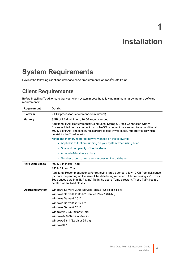# **Installation**

**1**

# <span id="page-5-1"></span><span id="page-5-0"></span>**System Requirements**

<span id="page-5-2"></span>Review the following client and database server requirements for Toad® Data Point.

## **Client Requirements**

Before installing Toad, ensure that your client system meets the following minimum hardware and software requirements:

| Requirement             | <b>Details</b>                                                                                                                                                                                                                                                                                            |  |  |
|-------------------------|-----------------------------------------------------------------------------------------------------------------------------------------------------------------------------------------------------------------------------------------------------------------------------------------------------------|--|--|
| <b>Platform</b>         | 2 GHz processor (recommended minimum)                                                                                                                                                                                                                                                                     |  |  |
| <b>Memory</b>           | 8 GB of RAM minimum, 16 GB recommended                                                                                                                                                                                                                                                                    |  |  |
|                         | Additional RAM Requirements: Using Local Storage, Cross-Connection Query,<br>Business Intelligence connections, or NoSQL connections can require an additional<br>500 MB of RAM. These features start processes (mysqld.exe, hubproxy.exe) which<br>persist for the Toad session.                         |  |  |
|                         | Note: The memory required may vary based on the following:                                                                                                                                                                                                                                                |  |  |
|                         | • Applications that are running on your system when using Toad                                                                                                                                                                                                                                            |  |  |
|                         | • Size and complexity of the database                                                                                                                                                                                                                                                                     |  |  |
|                         | • Amount of database activity                                                                                                                                                                                                                                                                             |  |  |
|                         | • Number of concurrent users accessing the database                                                                                                                                                                                                                                                       |  |  |
| <b>Hard Disk Space</b>  | 800 MB to install Toad                                                                                                                                                                                                                                                                                    |  |  |
|                         | 450 MB to run Toad                                                                                                                                                                                                                                                                                        |  |  |
|                         | Additional Recommendations: For retrieving large queries, allow 10 GB free disk space<br>(or more, depending on the size of the data being retrieved). After retrieving 2500 rows,<br>Toad saves data in a TMP (.tmp) file in the user's Temp directory. These TMP files are<br>deleted when Toad closes. |  |  |
| <b>Operating System</b> | Windows Server® 2008 Service Pack 2 (32-bit or 64-bit)                                                                                                                                                                                                                                                    |  |  |
|                         | Windows Server® 2008 R2 Service Pack 1 (64-bit)                                                                                                                                                                                                                                                           |  |  |
|                         | Windows Server® 2012                                                                                                                                                                                                                                                                                      |  |  |
|                         | Windows Server® 2012 R2                                                                                                                                                                                                                                                                                   |  |  |
|                         | Windows Server® 2016                                                                                                                                                                                                                                                                                      |  |  |
|                         | Windows <sup>®</sup> 7 (32-bit or 64-bit)                                                                                                                                                                                                                                                                 |  |  |
|                         | Windows® 8 (32-bit or 64-bit)                                                                                                                                                                                                                                                                             |  |  |
|                         | Windows $@8.1$ (32-bit or 64-bit)                                                                                                                                                                                                                                                                         |  |  |
|                         | Windows® 10                                                                                                                                                                                                                                                                                               |  |  |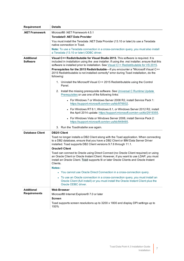| <b>Requirement</b>                   | <b>Details</b>                                                                                                                                                                                                                                                                      |  |  |
|--------------------------------------|-------------------------------------------------------------------------------------------------------------------------------------------------------------------------------------------------------------------------------------------------------------------------------------|--|--|
| <b>NET Framework</b>                 | Microsoft® .NET Framework 4.5.1                                                                                                                                                                                                                                                     |  |  |
|                                      | Teradata® .NET Data Provider                                                                                                                                                                                                                                                        |  |  |
|                                      | You must install the Teradata .NET Data Provider (13.10 or later) to use a Teradata<br>native connection in Toad.                                                                                                                                                                   |  |  |
|                                      | Note: To use a Teradata connection in a cross-connection query, you must also install<br>a Teradata (13.10 or later) ODBC driver.                                                                                                                                                   |  |  |
| <b>Additional</b><br><b>Software</b> | Visual C++ Redistributable for Visual Studio 2015. This software is required. It is<br>included in installation using the .exe installer. If using the .msi installer, ensure that this<br>software is installed prior to installation. See Visual C++ Redistributable for VS 2015. |  |  |
|                                      | Prerequisites for the 2015 Redistributable-If you encounter a "Microsoft Visual C++<br>2015 Redistributable is not installed correctly" error during Toad installation, do the<br>following:                                                                                        |  |  |
|                                      | 1. Uninstall the Microsoft Visual C++ 2015 Redistributable using the Control<br>Panel.                                                                                                                                                                                              |  |  |
|                                      | 2. Install the missing prerequisite software. See Universal C Runtime Update<br>Prerequisites or use one of the following links:                                                                                                                                                    |  |  |
|                                      | • For Windows 7 or Windows Server 2008 R2, install Service Pack 1:<br>https://support.microsoft.com/en-us/kb/976932.                                                                                                                                                                |  |  |
|                                      | For Windows RT 8.1, Windows 8.1, or Windows Server 2012 R2, install<br>the April 2014 update: https://support.microsoft.com/en-us/kb/2919355.                                                                                                                                       |  |  |
|                                      | • For Windows Vista or Windows Server 2008, install Service Pack 2:<br>https://support.microsoft.com/en-us/kb/948465.                                                                                                                                                               |  |  |
|                                      | 3. Run the ToadInstaller.exe again.                                                                                                                                                                                                                                                 |  |  |
| <b>Database Client</b>               | <b>DB2® Client</b>                                                                                                                                                                                                                                                                  |  |  |
|                                      | Toad no longer installs a DB2 Client along with the Toad application. When connecting<br>to a DB2 database, ensure that you have a DB2 Client or IBM Data Server Driver<br>installed. Toad supports DB2 Client versions 9.7.6 through 11.1.                                         |  |  |
|                                      | <b>Oracle® Client</b>                                                                                                                                                                                                                                                               |  |  |
|                                      | Toad can connect to Oracle using Direct Connect (no Oracle Client required) or using<br>an Oracle Client or Oracle Instant Client. However, if you want to use LDAP, you must<br>install an Oracle Client. Toad supports 9i or later Oracle Clients and Oracle Instant<br>Clients.  |  |  |
|                                      | Notes:                                                                                                                                                                                                                                                                              |  |  |
|                                      | • You cannot use Oracle Direct Connection in a cross-connection query.                                                                                                                                                                                                              |  |  |
|                                      | • To use an Oracle connection in a cross-connection query, you must install an<br>Oracle Client (full install) or you must install the Oracle Instant Client plus the<br>Oracle ODBC driver.                                                                                        |  |  |
| <b>Additional</b>                    | <b>Web Browser</b>                                                                                                                                                                                                                                                                  |  |  |
| <b>Requirements</b>                  | Microsoft® Internet Explorer® 7.0 or later                                                                                                                                                                                                                                          |  |  |
|                                      | <b>Screen</b>                                                                                                                                                                                                                                                                       |  |  |
|                                      | Toad supports screen resolutions up to 3200 x 1800 and display DPI settings up to<br>150%                                                                                                                                                                                           |  |  |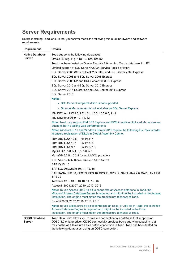## <span id="page-7-0"></span>**Server Requirements**

Before installing Toad, ensure that your server meets the following minimum hardware and software requirements:

| <b>Requirement</b>                      | <b>Details</b>                                                                                                                                                                                                                                                                                                       |
|-----------------------------------------|----------------------------------------------------------------------------------------------------------------------------------------------------------------------------------------------------------------------------------------------------------------------------------------------------------------------|
| <b>Native Database</b><br><b>Server</b> | Toad supports the following databases:<br>Oracle 9i, 10g, 11g, 11g R2, 12c, 12c R2                                                                                                                                                                                                                                   |
|                                         | Toad has been tested on Oracle Exadata 2.0 running Oracle database 11g R2.                                                                                                                                                                                                                                           |
|                                         | Limited support of SQL Server® 2000 (Service Pack 3 or later)                                                                                                                                                                                                                                                        |
|                                         | SQL Server 2005 (Service Pack 2 or later) and SQL Server 2005 Express                                                                                                                                                                                                                                                |
|                                         | SQL Server 2008 and SQL Server 2008 Express                                                                                                                                                                                                                                                                          |
|                                         | SQL Server 2008 R2 and SQL Server 2008 R2 Express                                                                                                                                                                                                                                                                    |
|                                         | SQL Server 2012 and SQL Server 2012 Express                                                                                                                                                                                                                                                                          |
|                                         | SQL Server 2014 Enterprise and SQL Server 2014 Express<br>SQL Server 2016                                                                                                                                                                                                                                            |
|                                         | <b>Notes:</b>                                                                                                                                                                                                                                                                                                        |
|                                         | • SQL Server Compact Edition is not supported.                                                                                                                                                                                                                                                                       |
|                                         | • Storage Management is not available on SQL Server Express.                                                                                                                                                                                                                                                         |
|                                         | IBM DB2 for LUW 9.5, 9.7, 10.1, 10.5, 10.5.0.5, 11.1<br>IBM DB2 for z/OS 9, 10, 11, 12                                                                                                                                                                                                                               |
|                                         | Note: Toad may support IBM DB2 Express and SWE in addition to listed above servers,<br>but note that no testing was performed on it.                                                                                                                                                                                 |
|                                         | Note: Windows 8, 10 and Windows Server 2012 require the following Fix Pack in order<br>to ensure registration of DLLs in Global Assembly Cache:                                                                                                                                                                      |
|                                         | IBM DB2 LUW 10.5<br>Fix Pack 4                                                                                                                                                                                                                                                                                       |
|                                         | IBM DB2 LUW 10.1<br>Fix Pack 4                                                                                                                                                                                                                                                                                       |
|                                         | IBM DB2 LUW 9.7<br>Fix Pack 10                                                                                                                                                                                                                                                                                       |
|                                         | MySQL 4.1, 5.0, 5.1, 5.5, 5.6, 5.7                                                                                                                                                                                                                                                                                   |
|                                         | MariaDB 5.5.5, 10.2.8 (using MySQL provider)                                                                                                                                                                                                                                                                         |
|                                         | SAP ASE 12.5.4, 15.0.2, 15.0.3, 15.5, 15.7, 16                                                                                                                                                                                                                                                                       |
|                                         | SAP IQ 15, 16                                                                                                                                                                                                                                                                                                        |
|                                         | SAP SQL Anywhere 10, 11, 12, 16                                                                                                                                                                                                                                                                                      |
|                                         | SAP HANA SPS 08, SPS 09, SPS 10, SPS 11, SPS 12, SAP HANA 2.0, SAP HANA 2.0<br><b>SPS 02</b>                                                                                                                                                                                                                         |
|                                         | Teradata 12.0, 13.0, 13.10, 14, 15, 16                                                                                                                                                                                                                                                                               |
|                                         | Access® 2003, 2007, 2010, 2013, 2016                                                                                                                                                                                                                                                                                 |
|                                         | <b>Note:</b> To use Access 2016 64-bit to connect to an Access database in Toad, the<br>Microsoft Access Database Engine is required and might not be included in the Access<br>installation. The engine must match the architecture (bitness) of Toad.                                                              |
|                                         | Excel® 2003, 2007, 2010, 2013, 2016                                                                                                                                                                                                                                                                                  |
|                                         | Note: To use Excel 2016 64-bit to connect to an Excel or .csv file in Toad, the Microsoft<br>Access Database Engine is required and might not be included in the Excel<br>installation. The engine must match the architecture (bitness) of Toad.                                                                    |
| <b>ODBC Database</b><br><b>Server</b>   | Toad Data Point allows you to create a connection to a database that supports an<br>ODBC 3.0 or later driver. ODBC connectivity provides basic querying capability, but<br>may not be as full-featured as a native connection in Toad. Toad has been tested on<br>the following databases, using an ODBC connection: |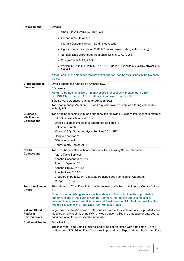| Requirement                                                   | <b>Details</b>                                                                                                                                                                                                                                                                                                                                                                                                            |
|---------------------------------------------------------------|---------------------------------------------------------------------------------------------------------------------------------------------------------------------------------------------------------------------------------------------------------------------------------------------------------------------------------------------------------------------------------------------------------------------------|
|                                                               | • DB2 for i5/OS V5R4 and IBM i 6.1                                                                                                                                                                                                                                                                                                                                                                                        |
|                                                               | • Greenplum® Database                                                                                                                                                                                                                                                                                                                                                                                                     |
|                                                               | Informix Dynamic 10.00, 11.0 (limited testing)                                                                                                                                                                                                                                                                                                                                                                            |
|                                                               | Ingres Community Edition 2006 R2 on Windows 32-bit (limited testing)                                                                                                                                                                                                                                                                                                                                                      |
|                                                               | Netezza Data Warehouse Appliance 4.6.6, 6.0, 7.0, 7.2.1                                                                                                                                                                                                                                                                                                                                                                   |
|                                                               | • PostgreSQL® 8.3.4, 9.6.3                                                                                                                                                                                                                                                                                                                                                                                                |
|                                                               | • Vertica 4.1, 5.0, 5.1 (with 4.0, 4.1 ODBC driver), 6.0 (with 6.0 ODBC driver), 6.1,<br>7.0, 8.1                                                                                                                                                                                                                                                                                                                         |
|                                                               | Note: For a list of databases that are not supported, see Known Issues in the Release<br>Notes.                                                                                                                                                                                                                                                                                                                           |
| <b>Cloud Database</b><br><b>Service</b>                       | Oracle databases running on Amazon EC2<br><b>SQL Azure</b>                                                                                                                                                                                                                                                                                                                                                                |
|                                                               | Note: To be able to utilize a majority of Toad functionality, please grant VIEW<br>DEFINITION on the SQL Azure databases you want to work with.                                                                                                                                                                                                                                                                           |
|                                                               | SQL Server databases running on Amazon EC2                                                                                                                                                                                                                                                                                                                                                                                |
|                                                               | Toad can manage Amazon RDS and any other cloud or service offering compatible<br>with MySQL.                                                                                                                                                                                                                                                                                                                              |
| <b>Business</b><br>Intelligence<br><b>Connections</b>         | Toad has been tested with, and supports, the following Business Intelligence platforms:<br>SAP Business Objects XI 3.1, 4.1<br>Oracle Business Intelligence Enterprise Edition 11g<br>Salesforce.com <sup>®</sup>                                                                                                                                                                                                         |
|                                                               | Microsoft SQL Server Analysis Services 2014 SP2<br>Google Analytics™<br>OData version 4<br>SharePoint® Server 2013                                                                                                                                                                                                                                                                                                        |
| <b>NoSQL</b><br><b>Connections</b>                            | Toad has been tested with, and supports, the following NoSQL platforms:<br><b>Azure Table Services</b><br>Apache Cassandra™ 3.11.0<br>Amazon DynamoDB<br>Apache HBASE™ 1.2.6<br>Apache Hive™ 2.1.0<br>Cloudera Impala 2.2.0. Toad Data Point has been certified by Cloudera.<br>MongoDB™ 3.4.6                                                                                                                            |
| <b>Toad Intelligence</b><br><b>Central</b>                    | This release of Toad Data Point has been tested with Toad Intelligence Central 3.3 and<br>4.3.<br>Note: Some publishing features in this release of Toad might not be supported in<br>earlier versions of Intelligence Central. For more information about compatibility<br>between Intelligence Central versions and Toad Data Point 4.3 features, see the New<br>Features section of the Toad Data Point Release Notes. |
| <b>VM and Cloud</b><br><b>Platform</b><br><b>Environments</b> | In general, the databases and data sources listed in this table are also supported when<br>installed on a virtual machine (VM) or cloud platform. See the database or data source<br>documentation for more specific information.                                                                                                                                                                                         |
| <b>Additional Testing</b>                                     | <b>Data Set Size</b><br>The following Toad Data Point functionality has been tested with data sets of up to 5<br>million rows: SQL Editor, Data Compare, Import Wizard, Export Wizard, Publishing Data                                                                                                                                                                                                                    |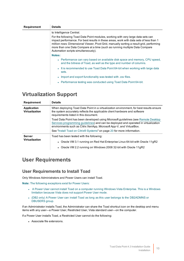| <b>Requirement</b> | <b>Details</b>                                                                                                                                                                                                                                                                                                                                                                                |  |  |
|--------------------|-----------------------------------------------------------------------------------------------------------------------------------------------------------------------------------------------------------------------------------------------------------------------------------------------------------------------------------------------------------------------------------------------|--|--|
|                    | to Intelligence Central.                                                                                                                                                                                                                                                                                                                                                                      |  |  |
|                    | For the following Toad Data Point modules, working with very large data sets can<br>impact performance. For best results in these areas, work with data sets of less than 1<br>million rows: Dimensional Viewer, Pivot Grid, manually sorting a result grid, performing<br>more than one Data Compare at a time (such as running multiple Data Compare<br>Automation scripts simultaneously). |  |  |
|                    | Notes:                                                                                                                                                                                                                                                                                                                                                                                        |  |  |
|                    | • Performance can vary based on available disk space and memory, CPU speed,<br>and the bitness of Toad, as well as the type and number of columns.                                                                                                                                                                                                                                            |  |  |
|                    | • It is recommended to use Toad Data Point 64-bit when working with large data<br>sets.                                                                                                                                                                                                                                                                                                       |  |  |
|                    | . Import and export functionality was tested with .csv files.                                                                                                                                                                                                                                                                                                                                 |  |  |
|                    | • Performance testing was conducted using Toad Data Point 64-bit.                                                                                                                                                                                                                                                                                                                             |  |  |

### <span id="page-9-0"></span>**Virtualization Support**

| <b>Requirement</b>                                        | <b>Details</b>                                                                                                                                                                                                                                   |  |
|-----------------------------------------------------------|--------------------------------------------------------------------------------------------------------------------------------------------------------------------------------------------------------------------------------------------------|--|
| Application<br><b>Virtualization</b>                      | When deploying Toad Data Point in a virtualization environment, for best results ensure<br>the system accurately reflects the applicable client hardware and software<br>requirements listed in this document.                                   |  |
|                                                           | Toad Data Point has been developed using Microsoft guidelines (see Remote Desktop<br>Services programming guidelines) and can be deployed and operated in virtualization<br>environments such as Citrix XenApp, Microsoft App-V, and VirtualBox. |  |
|                                                           | See "Install Toad on Citrix® Systems" on page 20 for more information.                                                                                                                                                                           |  |
| <b>Server</b><br>Toad has been tested with the following: |                                                                                                                                                                                                                                                  |  |
| <b>Virtualization</b>                                     | • Oracle VM 3.1 running on Red Hat Enterprise Linux 64-bit with Oracle 11gR2                                                                                                                                                                     |  |
|                                                           | • Oracle VM 2.2 running on Windows 2008 32-bit with Oracle 11gR2                                                                                                                                                                                 |  |

### <span id="page-9-1"></span>**User Requirements**

### **User Requirements to Install Toad**

Only Windows Administrators and Power Users can install Toad.

**Note:** The following exceptions exist for Power Users:

- A Power User cannot install Toad on a computer running Windows Vista Enterprise. This is a Windows limitation because Vista does not support Power User mode.
- <sup>l</sup> (DB2 only) A Power User can install Toad as long as this user belongs to the DB2ADMNS or DBUSERS group.

If an Administrator installs Toad, the Administrator can share the Toad shortcut icon on the desktop and menu items with any user—a Power User, Restricted User, Vista standard user—on the computer.

If a Power User installs Toad, a Restricted User cannot do the following:

• Associate file extensions.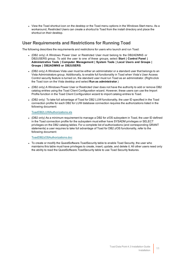• View the Toad shortcut icon on the desktop or the Toad menu options in the Windows Start menu. As a workaround, Restricted Users can create a shortcut to Toad from the install directory and place the shortcut on their desktop.

### **User Requirements and Restrictions for Running Toad**

The following describes the requirements and restrictions for users who launch and run Toad:

- <sup>l</sup> (DB2 only) A Windows Power User or Restricted User must belong to the DB2ADMNS or DB2USERS group. To add the user to one of these groups, select **Start | Control Panel | Administrative Tools | Computer Management | System Tools | Local Users and Groups | Groups | DB2ADMNS or DB2USERS**.
- (DB2 only) A Windows Vista user must be either an administrator or a standard user that belongs to an Vista Administrators group. Additionally, to enable full functionality in Toad when Vista's User Access Control security feature is turned on, the standard user must run Toad as an administrator. (Right-click the Toad icon on the Vista desktop and select **Run as administrator**.)
- (DB2 only) A Windows Power User or Restricted User does not have the authority to add or remove DB2 catalog entries using the Toad Client Configuration wizard. However, these users can use the Import Profile function in the Toad Client Configuration wizard to import catalog entries to Toad.
- (DB2 only) To take full advantage of Toad for DB2 LUW functionality, the user ID specified in the Toad connection profile for each DB2 for LUW database connection requires the authorizations listed in the following document:

#### [ToadDB2LUWAuthorizations.xls](http://dev.toadfordb2.com/releasenotes/latest/ToadDB2LUWAuthorizations.xls)

• (DB2 only) As a minimum requirement to manage a DB2 for z/OS subsystem in Toad, the user ID defined in the Toad connection profile for the subsystem must either have SYSADM privileges or SELECT privileges on the DB2 catalog tables. For a complete list of authorizations (and corresponding GRANT statements) a user requires to take full advantage of Toad for DB2 z/OS functionality, refer to the following document:

#### [ToadDB2zOSAuthorizations.doc](http://dev.toadfordb2.com/releasenotes/latest//ToadDB2zOSAuthorizations.doc)

• To create or modify the QuestSoftware.ToadSecurity table to enable Toad Security, the user who maintains this table must have privileges to create, insert, update, and delete it. All other users need only the ability to read the QuestSoftware.ToadSecurity table to use Toad Security features.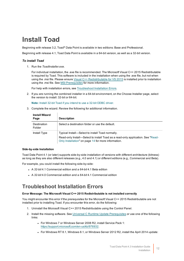## <span id="page-11-0"></span>**Install Toad**

Beginning with release 3.2, Toad® Data Point is available in two editions: Base and Professional.

Beginning with release 4.1, Toad Data Point is available in a 64-bit version, as well as a 32-bit version.

#### *To install Toad*

1. Run the *ToadInstaller.exe*.

For individual installation, the .exe file is recommended. The Microsoft Visual C++ 2015 Redistributable is required by Toad. This software is included in the installation when using the .exe file, but not when using the .msi file. Please ensure Visual C++ [Redistributable](https://www.microsoft.com/en-us/download/details.aspx?id=48145) for VS 2015 is installed prior to installation using the .msi file. See MSI [Prerequisites](#page-17-1) for more information.

For help with installation errors, see [Troubleshoot](#page-11-1) Installation Errors.

2. If you are running the combined installer in a 64-bit environment, on the Choose Installer page, select the version to install: 32-bit or 64-bit.

**Note:** Install 32-bit Toad if you intend to use a 32-bit ODBC driver.

3. Complete the wizard. Review the following for additional information.

| <b>Install Wizard</b><br>Page | <b>Description</b>                                                                                                                                                                         |
|-------------------------------|--------------------------------------------------------------------------------------------------------------------------------------------------------------------------------------------|
| Destination<br>Folder         | Select a destination folder or use the default.                                                                                                                                            |
| Install Type                  | Typical Install—Select to install Toad normally.<br>Read-only Install—Select to install Toad as a read-only application. See "Read-<br>Only Installation" on page 14 for more information. |

#### **Side-by-side Installation**

Toad Data Point 4.1 (or later) supports side-by-side installation of versions with different architecture (bitness) as long as they are also different releases (e.g., 4.0 and 4.1) or different editions (e.g., Commercial and Beta).

For example, you could install the following side-by-side:

- <sup>l</sup> A *32-bit* 4.1 Commercial edition and a *64-bit* 4.1 Beta edition
- <sup>l</sup> A *32-bit* 4.0 Commercial edition and a *64-bit* 4.1 Commercial edition

### <span id="page-11-1"></span>**Troubleshoot Installation Errors**

#### **Error Message: The Microsoft Visual C++ 2015 Redistributable is not installed correctly**

You might encounter this error if the prerequisites for the Microsoft Visual C++ 2015 Redistributable are not installed prior to installing Toad. If you encounter this error, do the following:

- 1. Uninstall the Microsoft Visual C++ 2015 Redistributable using the Control Panel.
- 2. Install the missing software. See Universal C Runtime Update [Prerequisites](https://support.microsoft.com/en-us/kb/2999226#bookmark-prerequisites) or use one of the following links:
	- For Windows 7 or Windows Server 2008 R2, install Service Pack 1: [https://support.microsoft.com/en-us/kb/976932.](https://support.microsoft.com/en-us/kb/976932)
	- For Windows RT 8.1, Windows 8.1, or Windows Server 2012 R2, install the April 2014 update: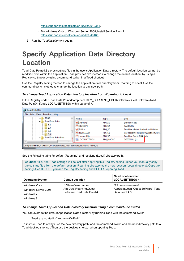<https://support.microsoft.com/en-us/kb/2919355>.

- For Windows Vista or Windows Server 2008, install Service Pack 2: [https://support.microsoft.com/en-us/kb/948465.](https://support.microsoft.com/en-us/kb/948465)
- <span id="page-12-0"></span>3. Run the *ToadInstaller.exe* again.

# **Specify Application Data Directory Location**

Toad Data Point 4.3 stores settings files in the user's Application Data directory. The default location cannot be modified from within the application. Toad provides two methods to change the default location: by using a Registry setting or by using a command switch in a Toad shortcut.

Use the Registry setting method to change the application data directory from Roaming to Local. Use the command switch method to change the location to any new path.

#### *To change Toad Application Data directory location from Roaming to Local*

In the Registry under Toad Data Point (Computer\HKEY\_CURRENT\_USER\Software\Quest Software\Toad Data Point\4.3), add LOCALSETTINGS with a value of *1*.



See the following table for default (Roaming) and resulting (Local) directory path.

**Caution:** All current Toad settings will be lost after applying this Registry setting unless you manually copy the settings files from the default location (Roaming directory) to the new location (Local directory). Copy the settings files BEFORE you add the Registry setting and BEFORE opening Toad.

| <b>Operating System</b>                                        | <b>Default Location</b>                                                     | New Location when<br>$LOGALSETTINGS = 1$                                   |
|----------------------------------------------------------------|-----------------------------------------------------------------------------|----------------------------------------------------------------------------|
| Windows Vista<br>Windows Server 2008<br>Windows 7<br>Windows 8 | C:\Users\username\<br>AppData\Roaming\Quest<br>Software\Toad Data Point 4.3 | C:\Users\username\<br>AppData\Local\Quest Software\ Toad<br>Data Point 4.3 |

#### *To change Toad Application Data directory location using a command-line switch*

You can override the default Application Data directory by running Toad with the command switch:

Toad.exe --datadir="*YourNewDirPath*"

To instruct Toad to always use the new directory path, add the command switch and the new directory path to a Toad desktop shortcut. Then use the desktop shortcut when opening Toad.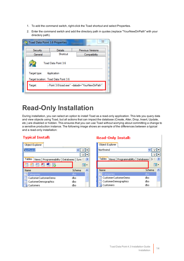- 1. To add the command switch, right-click the Toad shortcut and select Properties.
- 2. Enter the command switch and add the directory path in quotes (replace "YourNewDirPath" with your directory path).

| X<br><b>Toad Data Point 3.6 Properties</b>                    |                |                          |  |
|---------------------------------------------------------------|----------------|--------------------------|--|
| Security                                                      | <b>Details</b> | <b>Previous Versions</b> |  |
| General                                                       | Shortcut       | Compatibility            |  |
| Toad Data Point 3.6                                           |                |                          |  |
| Target type: Application                                      |                |                          |  |
| Target location: Toad Data Point 3.6                          |                |                          |  |
| I Point 3.6'\toad.exe" -- datadir="YourNewDirPath"<br>Target: |                |                          |  |
|                                                               |                |                          |  |

# <span id="page-13-0"></span>**Read-Only Installation**

During installation, you can select an option to install Toad as a read-only application. This lets you query data and view objects using Toad, but all actions that can impact the database (Create, Alter, Drop, Insert, Update, etc.) are disabled or hidden. This ensures that you can use Toad without worrying about committing a change to a sensitive production instance. The following image shows an example of the differences between a typical and a read-only installation:

### **Typical Install:**

| Object Explorer                                             |          |  |  |
|-------------------------------------------------------------|----------|--|--|
| <b>Northwind</b>                                            |          |  |  |
|                                                             |          |  |  |
| Tables<br>Databases Sync<br>Programmability<br><b>Views</b> |          |  |  |
| 轠<br>ħ<br>ß<br>儞<br>$\mathbf{X}$                            |          |  |  |
| Name                                                        | Schema   |  |  |
| Categories                                                  | dbo      |  |  |
| CustomerCustomerDemo                                        | ≣<br>dbo |  |  |
| CustomerDemographics                                        | dbo      |  |  |
| Customers                                                   | dbo      |  |  |

### **Read-Only Install:**

| Object Explorer                           |          |
|-------------------------------------------|----------|
| Northwind                                 |          |
|                                           |          |
| Tables<br>Views Programmability Databases | S.       |
|                                           |          |
| Name                                      | Schema   |
| Categories                                | dbo      |
| CustomerCustomerDemo                      | ≣<br>dbo |
| CustomerDemographics                      | dbo      |
| Customers                                 | dbo      |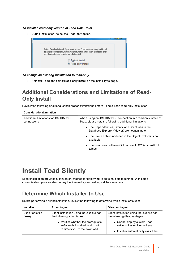#### *To install a read-only version of Toad Data Point*

1. During installation, select the Read-only option.



#### *To change an existing installation to read-only*

1. Reinstall Toad and select **Read-only Install** on the Install Type page.

## <span id="page-14-0"></span>**Additional Considerations and Limitations of Read-Only Install**

Review the following additional considerations/limitations before using a Toad read-only installation.

 $\begin{array}{c} \hline \end{array}$ 

| <b>Consideration/Limitation</b>                        |                                                                                                                            |
|--------------------------------------------------------|----------------------------------------------------------------------------------------------------------------------------|
| Additional limitations for IBM DB2 z/OS<br>connections | When using an IBM DB2 z/OS connection in a read-only install of<br>Toad, please note the following additional limitations: |
|                                                        | • The Dependencies, Grants, and Script tabs in the<br>Database Explorer (Viewer) are not available.                        |
|                                                        | • The Clone Tables node/tab in the Object Explorer is not<br>available.                                                    |
|                                                        | • The user does not have SQL access to SYS <xxx>AUTH<br/>tables.</xxx>                                                     |
|                                                        |                                                                                                                            |

# <span id="page-14-1"></span>**Install Toad Silently**

Silent installation provides a convenient method for deploying Toad to multiple machines. With some customization, you can also deploy the license key and settings at the same time.

## <span id="page-14-2"></span>**Determine Which Installer to Use**

Before performing a silent installation, review the following to determine which installer to use:

| <b>Installer</b>          | Advantages                                                                | <b>Disadvantages</b>                                                       |  |
|---------------------------|---------------------------------------------------------------------------|----------------------------------------------------------------------------|--|
| Executable file<br>(.exe) | Silent installation using the .exe file has<br>the following advantages:  | Silent installation using the exe file has<br>the following disadvantages: |  |
|                           | • Verifies whether the prerequisite<br>software is installed, and if not, | • Cannot deploy custom Toad<br>settings files or license keys.             |  |
|                           | redirects you to the download                                             | Installer automatically exits if the                                       |  |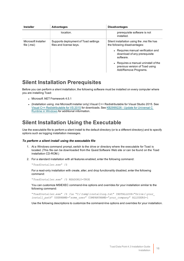| <b>Installer</b>                   | <b>Advantages</b>                                               | <b>Disadvantages</b>                                                                                                                                                                                                                                            |  |
|------------------------------------|-----------------------------------------------------------------|-----------------------------------------------------------------------------------------------------------------------------------------------------------------------------------------------------------------------------------------------------------------|--|
|                                    | location.                                                       | prerequisite software is not<br>installed.                                                                                                                                                                                                                      |  |
| Microsoft Installer<br>file (.msi) | Supports deployment of Toad settings<br>files and license keys. | Silent installation using the msi file has<br>the following disadvantages:<br>• Requires manual verification and<br>download of any prerequisite<br>software.<br>• Requires a manual uninstall of the<br>previous version of Toad using<br>Add/Remove Programs. |  |

### <span id="page-15-0"></span>**Silent Installation Prerequisites**

Before you can perform a silent installation, the following software must be installed on every computer where you are installing Toad:

- Microsoft .NET Framework 4.5.1
- <sup>l</sup> (Installation using .msi Microsoft installer only) Visual C++ Redistributable for Visual Studio 2015. See Visual C++ [Redistributable](https://www.microsoft.com/en-us/download/details.aspx?id=48145) for VS 2015 for downloads. See [KB2999226](https://support.microsoft.com/en-us/kb/2999226) - Update for Universal C Runtime in [Windows](https://support.microsoft.com/en-us/kb/2999226) for additional information.

## <span id="page-15-1"></span>**Silent Installation Using the Executable**

Use the executable file to perform a silent install to the default directory (or to a different directory) and to specify options such as logging installation messages.

#### *To perform a silent install using the executable file*

- 1. At a Windows command prompt, switch to the drive or directory where the executable for Toad is located. (This file can be downloaded from the Quest Software Web site or can be found on the Toad installation CD-ROM.)
- 2. For a standard installation with all features enabled, enter the following command:

"*ToadInstaller*.exe" /S

For a read-only installation with create, alter, and drop functionality disabled, enter the following command:

"*ToadInstaller*.exe" /S READONLY=TRUE

You can customize MSIEXEC command-line options and overrides for your installation similar to the following command:

"*ToadInstaller*.exe" /S /Lx "C:\temp\installLog.txt" INSTALLDIR="Drive:\*your\_ install\_path*" USERNAME="*some\_user*" COMPANYNAME="*your\_company*" ALLUSERS=1

Use the following descriptions to customize the command-line options and overrides for your installation.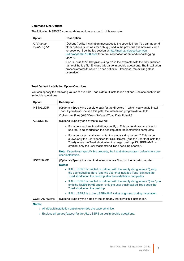#### **Command-Line Options**

The following MSIEXEC command-line options are used in this example:

| Option                            | <b>Description</b>                                                                                                                                                                                                                                                                                                                                                                                                                                                                                  |
|-----------------------------------|-----------------------------------------------------------------------------------------------------------------------------------------------------------------------------------------------------------------------------------------------------------------------------------------------------------------------------------------------------------------------------------------------------------------------------------------------------------------------------------------------------|
| $/L$ "C:\temp\<br>installLog.txt" | (Optional) Write installation messages to the specified log. You can append<br>other options, such as $x$ for debug (used in the previous example) or $v$ for a<br>verbose log. See the log section at http://msdn2.microsoft.com/en-<br>us/library/aa367988.aspx for more information about additional logging<br>options.<br>Also, substitute "C:\temp\installLog.txt" in the example with the fully qualified<br>name of the log file. Enclose this value in double quotations. The installation |
|                                   | process creates this file if it does not exist. Otherwise, the existing file is<br>overwritten.                                                                                                                                                                                                                                                                                                                                                                                                     |

#### **Toad Default Installation Option Overrides**

You can specify the following values to override Toad's default installation options. Enclose each value in double quotations.

| Option             | <b>Description</b>                                                                                                                                                                                                                                                                               |  |
|--------------------|--------------------------------------------------------------------------------------------------------------------------------------------------------------------------------------------------------------------------------------------------------------------------------------------------|--|
| <b>INSTALLDIR</b>  | (Optional) Specify the absolute path for the directory in which you want to install<br>Toad. If you do not include this path, the installation program defaults to:                                                                                                                              |  |
|                    | C:\Program Files (x86)\Quest Software\Toad Data Point4.3.                                                                                                                                                                                                                                        |  |
| <b>ALLUSERS</b>    | (Optional) Specify one of the following:                                                                                                                                                                                                                                                         |  |
|                    | • For a per-machine installation, specify 1. This value allows any user to<br>use the Toad shortcut on the desktop after the installation completes.                                                                                                                                             |  |
|                    | • For a per-user installation, enter the empty string value ("") This value<br>allows only the user specified for USERNAME (and the user that installed<br>Toad) to see the Toad shortcut on the target desktop. If USERNAME is<br>omitted, only the user that installed Toad sees the shortcut. |  |
|                    | Note: If you do not specify this property, the installation program defaults to a per-<br>user installation.                                                                                                                                                                                     |  |
| <b>USERNAME</b>    | (Optional) Specify the user that intends to use Toad on the target computer.<br>Notes:                                                                                                                                                                                                           |  |
|                    | • If ALLUSERS is omitted or defined with the empty string value (""), only<br>the user specified here (and the user that installed Toad) can see the<br>Toad shortcut on the desktop after the installation completes.                                                                           |  |
|                    | If ALLUSERS is omitted or defined with the empty string value ("") and you<br>omit the USERNAME option, only the user that installed Toad sees the<br>Toad shortcut on the desktop.                                                                                                              |  |
|                    | • If ALLUSERS is 1, the USERNAME value is ignored during installation.                                                                                                                                                                                                                           |  |
| <b>COMPANYNAME</b> | (Optional) Specify the name of the company that owns this installation.                                                                                                                                                                                                                          |  |

#### **Notes:**

- All default installation option overrides are case-sensitive.
- Enclose all values (except for the ALLUSERS value) in double quotations.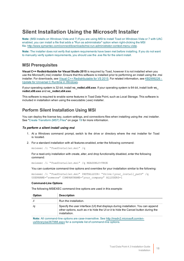### <span id="page-17-0"></span>**Silent Installation Using the Microsoft Installer**

**Note:** (MSI installs on Windows Vista and 7) If you are using MSI to install Toad on Windows Vista or 7 with UAC enabled, you can install a file that adds a "Run as administrator" option when right-clicking the MSI file:<http://www.symantec.com/connect/downloads/msi-run-administrator-context-menu-vista>.

**Note:** The installer does not verify that system requirements have been met before installing. If you do not want to manually verify system requirements, you should use the .exe file for the silent install.

### <span id="page-17-1"></span>**MSI Prerequisites**

**Visual C++ Redistributable for Visual Studio 2015** is required by Toad, however it is not installed when you use the Microsoft (.msi) installer. Ensure that this software is installed prior to performing an install using the .msi installer. For downloads, see Visual C++ [Redistributable](https://www.microsoft.com/en-us/download/details.aspx?id=48145) for VS 2015. For related information, see [KB2999226](https://support.microsoft.com/en-us/kb/2999226) -Update for [Universal](https://support.microsoft.com/en-us/kb/2999226) C Runtime in Windows.

If your operating system is 32-bit, install **vc\_redist.x86.exe**. If your operating system is 64-bit, install both **vc\_ redist.x86.exe** and **vc\_redist.x64.exe**.

This software is required to enable some features in Toad Data Point, such as Local Storage. This software is included in installation when using the executable (.exe) installer.

### <span id="page-17-2"></span>**Perform Silent Installation Using MSI**

You can deploy the license key, custom settings, and connections files when installing using the .msi installer. See "Create Transform [\(MST\) Files"](#page-18-0) on page 19 for more information.

#### *To perform a silent install using msi*

- 1. At a Windows command prompt, switch to the drive or directory where the msi installer for Toad is located.
- 2. For a standard installation with all features enabled, enter the following command:

msiexec /i "*ToadInstaller*.msi" /q

For a read-only installation with create, alter, and drop functionality disabled, enter the following command:

msiexec /i "*ToadInstaller*.msi" /q READONLY=TRUE

You can customize command-line options and overrides for your installation similar to the following:

```
msiexec /i "ToadInstaller.msi" INSTALLDIR= "Drive:\your_install_path" /q
USERNAME="someone" COMPANYNAME="your_company" ALLUSERS=1
```
#### **Command-Line Options**

The following MSIEXEC command-line options are used in this example:

| Option | <b>Description</b>                                                                                                                                                                          |
|--------|---------------------------------------------------------------------------------------------------------------------------------------------------------------------------------------------|
|        | Run the installation.                                                                                                                                                                       |
| /q     | Specify the user interface (UI) that displays during installation. You can append<br>other options, such as $n$ to hide the UI or $b$ to hide the Cancel button during the<br>installation. |

**Note:** All command-line options are case-insensitive. See [http://msdn2.microsoft.com/en](http://msdn2.microsoft.com/en-us/library/aa367988.aspx)[us/library/aa367988.aspx](http://msdn2.microsoft.com/en-us/library/aa367988.aspx) for a complete list of command-line options.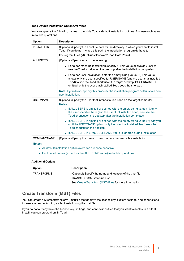#### **Toad Default Installation Option Overrides**

You can specify the following values to override Toad's default installation options. Enclose each value in double quotations.

| Option             | <b>Description</b>                                                                                                                                                                                                                                                                               |  |  |
|--------------------|--------------------------------------------------------------------------------------------------------------------------------------------------------------------------------------------------------------------------------------------------------------------------------------------------|--|--|
| <b>INSTALLDIR</b>  | (Optional) Specify the absolute path for the directory in which you want to install<br>Toad. If you do not include this path, the installation program defaults to:                                                                                                                              |  |  |
|                    | C:\Program Files (x86)\Quest Software\Toad Data Point4.3.                                                                                                                                                                                                                                        |  |  |
| <b>ALLUSERS</b>    | (Optional) Specify one of the following:                                                                                                                                                                                                                                                         |  |  |
|                    | • For a per-machine installation, specify 1. This value allows any user to<br>use the Toad shortcut on the desktop after the installation completes.                                                                                                                                             |  |  |
|                    | • For a per-user installation, enter the empty string value ("") This value<br>allows only the user specified for USERNAME (and the user that installed<br>Toad) to see the Toad shortcut on the target desktop. If USERNAME is<br>omitted, only the user that installed Toad sees the shortcut. |  |  |
|                    | <b>Note:</b> If you do not specify this property, the installation program defaults to a per-<br>user installation.                                                                                                                                                                              |  |  |
| <b>USERNAME</b>    | (Optional) Specify the user that intends to use Toad on the target computer.<br>Notes:                                                                                                                                                                                                           |  |  |
|                    | • If ALLUSERS is omitted or defined with the empty string value (""), only<br>the user specified here (and the user that installed Toad) can see the<br>Toad shortcut on the desktop after the installation completes.                                                                           |  |  |
|                    | If ALLUSERS is omitted or defined with the empty string value ("") and you<br>$\bullet$<br>omit the USERNAME option, only the user that installed Toad sees the<br>Toad shortcut on the desktop.                                                                                                 |  |  |
|                    | If ALLUSERS is 1, the USERNAME value is ignored during installation.<br>$\bullet$                                                                                                                                                                                                                |  |  |
| <b>COMPANYNAME</b> | (Optional) Specify the name of the company that owns this installation.                                                                                                                                                                                                                          |  |  |
| Notoe:             |                                                                                                                                                                                                                                                                                                  |  |  |

**Notes:**

- All default installation option overrides are case-sensitive.
- Enclose all values (except for the ALLUSERS value) in double quotations.

#### **Additional Options**

| Option            | <b>Description</b>                                        |
|-------------------|-----------------------------------------------------------|
| <b>TRANSFORMS</b> | (Optional) Specify the name and location of the mst file. |
|                   | TRANSFORMS="filename.msf"                                 |
|                   | See Create Transform (MST) Files for more information.    |

### <span id="page-18-0"></span>**Create Transform (MST) Files**

You can create a Microsoft transform (.mst) file that deploys the license key, custom settings, and connections for users when performing a silent install using the .msi file.

If you do not already have the license key, settings, and connections files that you want to deploy in a silent install, you can create them in Toad.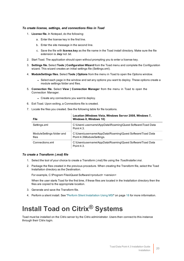#### *To create license, settings, and connections files in Toad*

- 1. **License file.** In Notepad, do the following:
	- a. Enter the license key in the first line.
	- b. Enter the site message in the second line.
	- c. Save the file with **license.key** as the file name in the Toad install directory. Make sure the file extension is *.key* not .txt.
- 2. Start Toad. The application should open without prompting you to enter a license key.
- 3. **Settings file.** Select **Tools | Configuration Wizard** from the Toad menu and complete the Configuration wizard. This wizard creates an initial settings file (Settings.xml).
- 4. **ModuleSettings files.** Select **Tools | Options** from the menu in Toad to open the Options window.
	- Select each page in the window and set any options you want to deploy. These options create a module settings folder and files.
- 5. **Connection file.** Select **View | Connection Manager** from the menu in Toad to open the Connection Manager.
	- Create any connections you want to deploy.
- 6. Exit Toad. Upon exiting, a Connections file is created.
- 7. Locate the files you created. See the following table for file locations.

| <b>File</b>                        | Location (Windows Vista, Windows Server 2008, Windows 7,<br>Windows 8, Windows 10)      |
|------------------------------------|-----------------------------------------------------------------------------------------|
| Settings.xml                       | C:\Users\ username\AppData\Roaming\Quest Software\Toad Data<br>Point 4.3.               |
| ModuleSettings folder and<br>files | C:\Users\username\AppData\Roaming\Quest Software\Toad Data<br>Point 4.3\ModuleSettings. |
| Connections.xml                    | C:\Users\username\AppData\Roaming\Quest Software\Toad Data<br>Point 4.3.                |

#### *To create a Transform (.mst) file*

- 1. Select the tool of your choice to create a Transform (.mst) file using the *ToadInstaller.msi*.
- 2. Package the files created in the previous procedure. When creating the Transform file, select the Toad Installation directory as the Destination.

For example, C:\Program Files\Quest Software\<product> <version>

When the user starts Toad for the first time, if these files are located in the Installation directory then the files are copied to the appropriate location.

- 3. Generate and save the Transform file.
- <span id="page-19-0"></span>4. Perform a silent install. See "Perform Silent Installation Using MSI" on page 18 for more [information.](#page-17-2)

# **Install Toad on Citrix® Systems**

Toad must be installed on the Citrix server by the Citrix administrator. Users then connect to this instance through their Citrix login.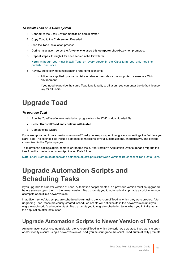#### *To install Toad on a Citrix system*

- 1. Connect to the Citrix Environment as an administrator.
- 2. Copy Toad to the Citrix server, if needed.
- 3. Start the Toad installation process.
- 4. During installation, select the **Anyone who uses this computer** checkbox when prompted.
- 5. Repeat steps 2 through 4 for each server in the Citrix farm.

**Note:** Although you must install Toad on every server in the Citrix farm, you only need to publish Toad once.

- 6. Review the following considerations regarding licensing:
	- A license supplied by an administrator always overrides a user-supplied license in a Citrix environment.
	- If you need to provide the same Toad functionality to all users, you can enter the default license key for all users.

# <span id="page-20-0"></span>**Upgrade Toad**

#### *To upgrade Toad*

- 1. Run the *ToadInstaller.exe* installation program from the DVD or downloaded file.
- 2. Select **Uninstall Toad and continue with install**.
- 3. Complete the wizard.

If you are upgrading from a previous version of Toad, you are prompted to migrate your settings the first time you start Toad. The settings files include database connections, layout customizations, shortcut keys, and options customized in the Options pages.

To migrate the settings again, remove or rename the current version's Application Data folder and migrate the files from the previous version's Application Data folder.

<span id="page-20-1"></span>**Note:** Local Storage databases and database objects persist between versions (releases) of Toad Data Point.

# **Upgrade Automation Scripts and Scheduling Tasks**

If you upgrade to a newer version of Toad, Automation scripts created in a previous version must be upgraded before you can open them in the newer version. Toad prompts you to automatically upgrade a script when you attempt to open it in a newer version.

In addition, *scheduled* scripts are scheduled to run using the version of Toad in which they were created. After upgrading Toad, those previously-created, scheduled scripts will not execute in the newer version until you migrate each script's scheduling task. Toad prompts you to migrate scheduling tasks when you initially launch the application after installation.

## <span id="page-20-2"></span>**Upgrade Automation Scripts to Newer Version of Toad**

An automation script is compatible with the version of Toad in which the script was created. If you want to open and/or modify a script using a newer version of Toad, you must upgrade the script. Toad automatically prompts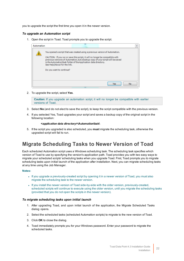you to upgrade the script the first time you open it in the newer version.

#### *To upgrade an Automation script*

1. Open the script in Toad. Toad prompts you to upgrade the script.

| Automation |                                                                                                                                                                                                                                                                                                                                                                                 | 窈         |
|------------|---------------------------------------------------------------------------------------------------------------------------------------------------------------------------------------------------------------------------------------------------------------------------------------------------------------------------------------------------------------------------------|-----------|
|            | You opened a script that was created using a previous version of Automation.<br>CAUTION: If you run or save this script, it will no longer be compatible with<br>previous versions of Automation, but a backup copy of your script will be saved<br>in the Automation\bak folder of the Application data directory.<br>See Help About for the link.<br>Do you want to continue? |           |
|            |                                                                                                                                                                                                                                                                                                                                                                                 | Yes<br>No |

2. To upgrade the script, select **Yes**.

**Caution:** If you upgrade an automation script, it will no longer be compatible with earlier versions of Toad.

- 3. Select **No** (and do not elect to save the script), to keep the script compatible with the previous version.
- 4. If you selected Yes, Toad upgrades your script and saves a backup copy of the original script in the following location:

#### **<***application data directory***>\Automation\bak\**

5. If the script you upgraded is also scheduled, you **must** migrate the scheduling task, otherwise the upgraded script will fail to run.

## <span id="page-21-0"></span>**Migrate Scheduling Tasks to Newer Version of Toad**

Each scheduled Automation script uses a Windows scheduling task. The scheduling task specifies which version of Toad to use by specifying the version's application path. Toad provides you with two easy ways to migrate your scheduled scripts' scheduling tasks when you upgrade Toad. First, Toad prompts you to migrate scheduling tasks upon initial launch of the application after installation. Next, you can migrate scheduling tasks at any time using the Job Manager.

#### **Notes:**

- If you upgrade a previously-created script by opening it in a newer version of Toad, you must also migrate the scheduling task to the newer version.
- If you install the newer version of Toad side-by-side with the older version, previously-created, scheduled scripts will continue to execute using the older version, until you migrate the scheduling tasks (provided that you do not open the scripts in the newer version).

#### *To migrate scheduling tasks upon initial launch*

- 1. After upgrading Toad, and upon initial launch of the application, the Migrate Scheduled Tasks dialog opens.
- 2. Select the scheduled tasks (scheduled Automation scripts) to migrate to the new version of Toad.
- 3. Click **OK** to close the dialog.
- 4. Toad immediately prompts you for your Windows password. Enter your password to migrate the scheduled tasks.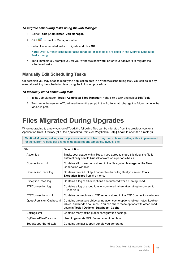#### *To migrate scheduling tasks using the Job Manager*

- 1. Select **Tools | Administer | Job Manager**.
- 2. Click  $\mathbf{F}$  on the Job Manager toolbar.
- 3. Select the scheduled tasks to migrate and click **OK**.

**Note:** Only currently-scheduled tasks (enabled or disabled) are listed in the Migrate Scheduled Tasks dialog.

4. Toad immediately prompts you for your Windows password. Enter your password to migrate the scheduled tasks.

### **Manually Edit Scheduling Tasks**

On occasion you may need to modify the application path in a Windows scheduling task. You can do this by manually editing the scheduling task using the following procedure.

#### *To manually edit a scheduling task*

- 1. In the Job Manager (**Tools | Administer | Job Manager**), right-click a task and select **Edit Task**.
- <span id="page-22-0"></span>2. To change the version of Toad used to run the script, in the **Actions** tab, change the folder name in the *toad.exe* path.

# **Files Migrated During Upgrades**

When upgrading to a new version of Toad, the following files can be migrated from the previous version's Application Data Directory (click the *Application Data Directory* link in **Help | About** to open the directory).

**Caution!** Migrating settings from a previous version of Toad may overwrite new settings files, implemented for the current release (for example, updated reports templates, layouts, etc).

| <b>File</b>               | <b>Description</b>                                                                                                                                                                                     |
|---------------------------|--------------------------------------------------------------------------------------------------------------------------------------------------------------------------------------------------------|
| Action.log                | Tracks your usage within Toad. If you agree to share this data, the file is<br>automatically sent to Quest Software on a periodic basis.                                                               |
| Connections.xml           | Contains all connections stored in the Navigation Manager or the New<br>Connection window.                                                                                                             |
| ConnectionTrace.log       | Contains the SQL Output connection trace log file if you select Tools  <br><b>Execution Trace from the menu.</b>                                                                                       |
| ExceptionTrace.log        | Contains a log of all exceptions encountered while running Toad.                                                                                                                                       |
| FTPConnection.log         | Contains a log of exceptions encountered when attempting to connect to<br>FTP servers.                                                                                                                 |
| FTPConnections.xml        | Contains connections to FTP servers stored in the FTP Connections window.                                                                                                                              |
| Quest.PersistentCache.xml | Contains the private object annotation cache options (object notes, Lookup<br>tables, and hidden columns). You can share these options with other Toad<br>users in Tools   Options   Database   Cache. |
| Settings.xml              | Contains many of the global configuration settings.                                                                                                                                                    |
| SqlServerPlanPrefs.xml    | Used to generate SQL Server execution plans.                                                                                                                                                           |
| ToadSupportBundle.zip     | Contains the last support bundle you generated.                                                                                                                                                        |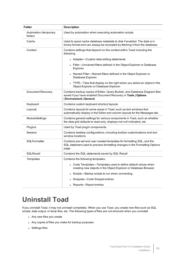| <b>Folder</b>                    | <b>Description</b>                                                                                                                                                             |
|----------------------------------|--------------------------------------------------------------------------------------------------------------------------------------------------------------------------------|
| Automation (temporary<br>folder) | Used by automation when executing automation scripts.                                                                                                                          |
| Cache                            | Used to spool cache database metadata to disk if enabled. The data is in<br>binary format and can always be recreated by fetching it from the database.                        |
| Context                          | Contains settings that depend on the context within Toad including the<br>following:                                                                                           |
|                                  | • Adapter-Custom data editing statements.                                                                                                                                      |
|                                  | Filter-Unnamed filters defined in the Object Explorer or Database<br>Explorer.                                                                                                 |
|                                  | Named Filter-Named filters defined in the Object Explorer or<br>Database Explorer.                                                                                             |
|                                  | TYPE—Tabs that display on the right when you select an object in the<br>Object Explorer or Database Explorer.                                                                  |
| Document Recovery                | Contains backup copies of Editor, Query Builder, and Database Diagram files<br>saved if you have enabled Document Recovery in Tools   Options<br><b>Environment   General.</b> |
| Keyboard                         | Contains custom keyboard shortcut layouts.                                                                                                                                     |
| Layouts                          | Contains layouts for some areas in Toad, such as tool windows that<br>automatically display in the Editor and column layouts for the Messages tab.                             |
| ModuleSettings                   | Contains general settings for various components in Toad, such as whether<br>the data grid defaults to read-only, displays not null indicators, etc.                           |
| Plugins                          | Used by Toad plugin components.                                                                                                                                                |
| Session                          | Contains desktop configurations, including toolbar customizations and tool<br>window locations.                                                                                |
| SQLFormatter                     | Contains pre-set and user created templates for formatting SQL, and the<br>SQL statement used to preview formatting changes in the Formatting Options<br>page.                 |
| SQLRecall                        | Contains the SQL statements saved by SQL Recall.                                                                                                                               |
| Templates                        | Contains the following templates:                                                                                                                                              |
|                                  | Code Templates-Templates used to define default values when<br>creating new objects in the Object Explorer or Database Browser.                                                |
|                                  | Scripts-Startup scripts to run when connecting.                                                                                                                                |
|                                  | Snippets-Code Snippet entries.                                                                                                                                                 |
|                                  | Reports-Report entries.                                                                                                                                                        |

# <span id="page-23-0"></span>**Uninstall Toad**

If you uninstall Toad, it may not uninstall completely. When you use Toad, you create new files such as SQL scripts, data output, or temp files, etc. The following types of files are not removed when you uninstall:

- Any new files you create
- Any copies of files you make for backup purposes
- Settings files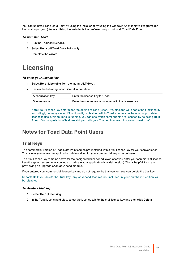You can uninstall Toad Data Point by using the Installer or by using the Windows Add/Remove Programs (or Uninstall a program) feature. Using the Installer is the preferred way to uninstall Toad Data Point.

#### *To uninstall Toad*

- 1. Run the *ToadInstaller.exe*.
- 2. Select **Uninstall Toad Data Point only**.
- <span id="page-24-0"></span>3. Complete the wizard.

## **Licensing**

#### *To enter your license key*

- 1. Select **Help | Licensing** from the menu (ALT+H+L).
- 2. Review the following for additional information:

| Authorization key | Enter the license key for Toad.                       |
|-------------------|-------------------------------------------------------|
| Site message      | Enter the site message included with the license key. |

**Note:** Your license key determines the edition of Toad (Base, Pro, etc.) and will enable the functionality accordingly. In many cases, if functionality is disabled within Toad, you may not have an appropriate license to use it. When Toad is running, you can see which components are licensed by selecting **Help | About**. For complete list of features shipped with your Toad edition see [https://www.quest.com/.](https://www.quest.com/)

### <span id="page-24-1"></span>**Notes for Toad Data Point Users**

### **Trial Keys**

The commercial version of Toad Data Point comes pre-installed with a trial license key for your convenience. This allows you to use the application while waiting for your commercial key to be delivered.

The trial license key remains active for the designated trial period, even after you enter your commercial license key (the splash screen may continue to indicate your application is a trial version). This is helpful if you are previewing an upgrade or an advanced module.

If you entered your commercial license key and do not require the trial version, you can delete the trial key.

**Important:** If you delete the Trial key, any advanced features not included in your purchased edition will be disabled.

#### *To delete a trial key*

- 1. Select **Help | Licensing**.
- 2. In the Toad Licensing dialog, select the License tab for the trial license key and then click **Delete**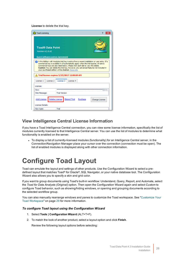#### **License** to delete the trial key.

| <b>Co</b> Toad Licensing |                         |                                                                                                                       |                      |                               |                                                                                                                                                                                 |
|--------------------------|-------------------------|-----------------------------------------------------------------------------------------------------------------------|----------------------|-------------------------------|---------------------------------------------------------------------------------------------------------------------------------------------------------------------------------|
| <b>Version 4.2.0.62</b>  | <b>Toad® Data Point</b> |                                                                                                                       |                      |                               |                                                                                                                                                                                 |
|                          |                         | <b>Ouest Software License Agreement</b>                                                                               |                      |                               |                                                                                                                                                                                 |
|                          |                         |                                                                                                                       |                      |                               | commercial key is available it will automatically apply when the trial expires. All active<br>commercial keys are also listed below. Please click each tab to view the details. |
|                          |                         | your purchased edition will be disabled. More Info.<br>$\mathrel{\wedge}$ Trial license expires 5/15/2017 12:00:00 AM |                      |                               | Caution: You can delete the trial key, however, any advanced features not included in                                                                                           |
| License <sub>1</sub>     | License <sub>2</sub>    | License <sub>3</sub>                                                                                                  | License <sub>4</sub> |                               |                                                                                                                                                                                 |
| Licenset                 |                         |                                                                                                                       |                      |                               |                                                                                                                                                                                 |
| Kev:                     |                         |                                                                                                                       |                      | ***************************** |                                                                                                                                                                                 |
| Site Message:            |                         | <b>Trial Version</b>                                                                                                  |                      |                               |                                                                                                                                                                                 |
| License Details:         |                         | Add License Delete License Extend Trial Purchase                                                                      |                      |                               | Change License                                                                                                                                                                  |

### **View Intelligence Central License Information**

If you have a Toad Intelligence Central connection, you can view some license information, specifically the list of modules currently licensed to that Intelligence Central server. You can use the list of modules to determine what functionality is enabled on the server.

• To display a list of currently-licensed modules (functionality) for an Intelligence Central server, in the Connection/Navigation Manager place your cursor over the connection (connection must be open). The list of enabled modules is displayed along with other connection information.

## <span id="page-25-0"></span>**Configure Toad Layout**

Toad can emulate the layout and settings of other products. Use the Configuration Wizard to select a predefined layout that matches Toad® for Oracle®, SQL Navigator, or your native database tool. The Configuration Wizard also allows you to specify a skin and grid color.

If you want to group documents using Toad's built-in workflow: Understand, Query, Report, and Automate, select the *Toad for Data Analysts (Original)* option. Then open the Configuration Wizard again and select *Custom* to configure Toad behavior, such as showing/hiding windows, or opening and grouping documents according to the selected workflow group.

You can also manually rearrange windows and panes to customize the Toad workspace. See ["Customize](#page-28-0) Your Toad [Workspace"](#page-28-0) on page 29 for more information.

#### *To configure Toad layout using the Configuration Wizard*

- 1. Select **Tools | Configuration Wizard** (ALT+T+F).
- 2. To match the look of another product, select a layout option and click **Finish**.

Review the following layout options before selecting: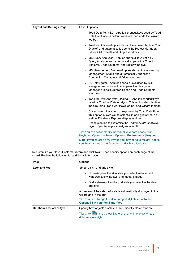| <b>Layout and Settings Page</b> | Layout options:                                                                                                                                                                    |
|---------------------------------|------------------------------------------------------------------------------------------------------------------------------------------------------------------------------------|
|                                 | • Toad Data Point 3.0-Applies shortcut keys used by Toad<br>Data Point, opens default windows, and adds the Wizard<br>toolbar.                                                     |
|                                 | • Toad for Oracle—Applies shortcut keys used by Toad® for<br>Oracle <sup>®</sup> and automatically opens the Project Manager,<br>Editor, SQL Recall, and Output windows.           |
|                                 | • MS Query Analyzer-Applies shortcut keys used by<br>Query Analyzer and automatically opens the Object<br>Explorer, Code Snippets, and Editor windows.                             |
|                                 | • MS Management Studio-Applies shortcut keys used by<br>Management Studio and automatically opens the<br>Connection Manager and Editor windows.                                    |
|                                 | • SQL Navigator-Applies shortcut keys used by SQL<br>Navigator and automatically opens the Navigation<br>Manager, Object Explorer, Editor, and Code Snippets<br>windows.           |
|                                 | • Toad for Data Analysts (Original)—Applies shortcut keys<br>used by Toad for Data Analysts. This option also displays<br>the Grouping (Toad workflow) toolbar and Wizard toolbar. |
|                                 | • Custom-Applies shortcut keys used by Toad Data Point.<br>This option allows you to select skin and grid styles, as<br>well as Database Explorer display options.                 |
|                                 | Use this option to customize the Toad for Data Analysts<br>layout if you have previously selected it.                                                                              |
|                                 | Tip: You can set or modify individual keyboard shortcuts in<br>Keyboard Options in Tools   Options   Environment   Keyboard.                                                       |
|                                 | Note: If you select a new layout, you may need to restart Toad to<br>see the changes to the Grouping and Wizard toolbars.                                                          |

3. To customize your layout, select **Custom** and click **Next**. Then specify options on each page of the wizard. Review the following for additional information:

| Page                    | <b>Options</b>                                                                                                        |  |
|-------------------------|-----------------------------------------------------------------------------------------------------------------------|--|
| Look and Feel           | Select a skin and grid style.                                                                                         |  |
|                         | • Skin—Applies the skin style you select to document<br>windows, tool windows, and modal dialogs.                     |  |
|                         | • Grid style—Applies the grid style you select to the data<br>grid only.                                              |  |
|                         | A preview of the selected style is automatically displayed in the<br>wizard and in the grid.                          |  |
|                         | <b>Tip:</b> You can change the skin and grid style later in <b>Tools</b><br><b>Options   Environment   Interface.</b> |  |
| Database Explorer Style | Specify how objects display in the Object Explorer window.                                                            |  |
|                         | Tip: Click iii in the Object Explorer at any time to switch to a<br>different view style.                             |  |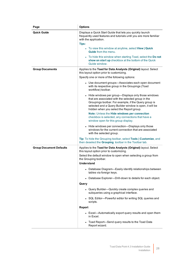| Page                           | <b>Options</b>                                                                                                                                                                                                                                                             |
|--------------------------------|----------------------------------------------------------------------------------------------------------------------------------------------------------------------------------------------------------------------------------------------------------------------------|
| <b>Quick Guide</b>             | Displays a Quick Start Guide that lets you quickly launch<br>frequently used features and tutorials until you are more familiar<br>with the application.<br>Tips:                                                                                                          |
|                                | • To view this window at anytime, select View   Quick<br><b>Guide</b> from the menu.                                                                                                                                                                                       |
|                                | To hide this window when starting Toad, select the Do not<br>show on start up checkbox at the bottom of the Quick<br>Guide window.                                                                                                                                         |
| <b>Group Documents</b>         | Applies to the Toad for Data Analysts (Original) layout. Select<br>this layout option prior to customizing.<br>Specify one or more of the following options:                                                                                                               |
|                                | • Use document groups-Associates each open document<br>with its respective group in the Groupings (Toad<br>workflow) toolbar.                                                                                                                                              |
|                                | • Hide windows per group-Displays only those windows<br>that are associated with the selected group in the<br>Groupings toolbar. For example, if the Query group is<br>selected and a Query Builder window is open, it will be<br>hidden when you select the Report group. |
|                                | Note: Unless the Hide windows per connection<br>checkbox is selected, any connections that have a<br>window open for this group display.                                                                                                                                   |
|                                | • Hide windows per connection-Displays only those<br>windows for the current connection that are associated<br>with the selected group.                                                                                                                                    |
|                                | Tip: To hide the Grouping toolbar, select Tools   Customize, and<br>then deselect the Grouping toolbar in the Toolbar tab.                                                                                                                                                 |
| <b>Group Document Defaults</b> | Applies to the Toad for Data Analysts (Original) layout. Select<br>this layout option prior to customizing.                                                                                                                                                                |
|                                | Select the default window to open when selecting a group from<br>the Grouping toolbar.<br><b>Understand</b>                                                                                                                                                                |
|                                | • Database Diagram-Easily identify relationships between<br>tables via foreign keys.                                                                                                                                                                                       |
|                                | • Database Explorer---Drill-down to details for each object.                                                                                                                                                                                                               |
|                                | Query                                                                                                                                                                                                                                                                      |
|                                | • Query Builder-Quickly create complex queries and<br>subqueries using a graphical interface.                                                                                                                                                                              |
|                                | • SQL Editor-Powerful editor for writing SQL queries and<br>scripts.                                                                                                                                                                                                       |
|                                | <b>Report</b>                                                                                                                                                                                                                                                              |
|                                | • Excel-Automatically export query results and open them<br>in Excel.                                                                                                                                                                                                      |
|                                | Toad Report-Send query results to the Toad Data<br>Report wizard.                                                                                                                                                                                                          |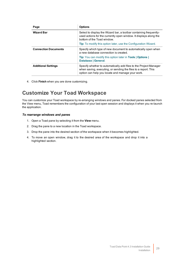| Page                        | <b>Options</b>                                                                                                                                                                          |
|-----------------------------|-----------------------------------------------------------------------------------------------------------------------------------------------------------------------------------------|
| <b>Wizard Bar</b>           | Select to display the Wizard bar, a toolbar containing frequently-<br>used actions for the currently open window. It displays along the<br>bottom of the Toad window.                   |
|                             | <b>Tip:</b> To modify this option later, use the Configuration Wizard.                                                                                                                  |
| <b>Connection Documents</b> | Specify which type of new document to automatically open when<br>a new database connection is created.                                                                                  |
|                             | <b>Tip:</b> You can modify this option later in <b>Tools</b>   Options  <br>Database   General.                                                                                         |
| <b>Additional Settings</b>  | Specify whether to automatically add files to the Project Manager<br>when saving, executing, or sending the files to a report. This<br>option can help you locate and manage your work. |

<span id="page-28-0"></span>4. Click **Finish** when you are done customizing.

## **Customize Your Toad Workspace**

You can customize your Toad workspace by re-arranging windows and panes. For docked panes selected from the View menu, Toad remembers the configuration of your last open session and displays it when you re-launch the application.

#### *To rearrange windows and panes*

- 1. Open a Toad pane by selecting it from the **View** menu.
- 2. Drag the pane to a new location in the Toad workspace.
- 3. Drop the pane into the desired section of the workspace when it becomes highlighted.
- 4. To move an open window, drag it to the desired area of the workspace and drop it into a highlighted section.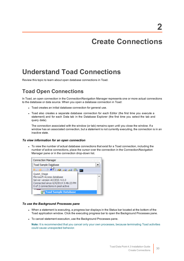# **Create Connections**

# <span id="page-29-1"></span><span id="page-29-0"></span>**Understand Toad Connections**

<span id="page-29-2"></span>Review this topic to learn about open database connections in Toad.

## **Toad Open Connections**

In Toad, an open connection in the Connection/Navigation Manager represents one or more actual connections to the database or data source. When you open a database connection in Toad:

- Toad creates an initial database connection for general use.
- Toad also creates a separate database connection for each Editor (the first time you execute a statement) and for each Data tab in the Database Explorer (the first time you select the tab and query data).

The connection associated with the window (or tab) remains open until you close the window. If a window has an associated connection, but a statement is not currently executing, the connection is in an inactive state.

#### *To view information for an open connection*

• To view the number of actual database connections that exist for a Toad connection, including the number of active connections, place the cursor over the connection in the Connection/Navigation Manager pane or in the connection drop-down list.

| <b>Connection Manager</b>                                |  |
|----------------------------------------------------------|--|
| <b>Toad Sample Database</b>                              |  |
| <b>POP AS AS EN</b>                                      |  |
| Quest Stage                                              |  |
| Microsoft Access database<br>Server version ACCESS 4.0.0 |  |
| Connected since 6/4/2014 3:46:23 PM                      |  |
| 0 of 2 connections in pool active                        |  |
| <b>Toad Sample Database</b>                              |  |

#### *To use the Background Processes pane*

- When a statement is executing, a progress bar displays in the Status bar located at the bottom of the Toad application window. Click the executing progress bar to open the Background Processes pane.
- To cancel statement execution, use the Background Processes pane.

**Note:** It is recommended that you cancel only your own processes, because terminating Toad activities could cause unexpected behavior.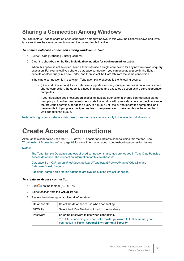## <span id="page-30-0"></span>**Sharing a Connection Among Windows**

You can instruct Toad to share an open connection among windows. In this way, the Editor windows and Data tabs can share the same connection when the connection is inactive.

#### *To share a database connection among windows in Toad*

- 1. Select **Tools | Options | Editor | General**.
- 2. Clear the checkbox for the **Use individual connection for each open editor** option.
- 3. When this option is not selected, Toad attempts to use a single connection for any new windows or query execution. For example, if you share a database connection, you can execute a query in the Editor, execute another query in a new Editor, and then select the Data tab from the same connection.

If the single connection is in use when Toad attempts to execute it, the following occurs:

- (DB2 and Oracle only) If your database supports executing multiple queries simultaneously on a shared connection, the query is placed in a queue and executes as soon as the current operation completes.
- If your database does not support executing multiple queries on a shared connection, a dialog prompts you to either permanently associate the window with a new database connection, cancel the previous operation, or add the query to a queue until the current operation completes, and the execute it. If you place multiple queries in the queue, each one executes in the order that it was added to the queue.

<span id="page-30-1"></span>**Note:** Although you can share a database connection, any commits apply to the selected window only.

## **Create Access Connections**

Although this connection uses the ODBC driver, it is easier and faster to connect using this method. [See](#page-68-1) ["Troubleshoot](#page-68-1) Access Issues" on page 69 for more information about troubleshooting connection issues.

#### **Notes:**

• The Toad Sample Database and established connection that comes pre-loaded in Toad Data Point is an Access database. The connection information for this database is:

Database file = C:\Program Files\Quest Software\*ToadInstallDirectory*\Plugins\Odbc\Sample Database\Quest\_Stage.mdb

Additional sample files for this database are available in the Project Manager.

#### *To create an Access connection*

- 1. Click  $\ddot{=}$  on the toolbar (ALT+F+N).
- 2. Select *Access* from the **Group** list box.
- 3. Review the following for additional information:

| Database file | Select the database to use when connecting.                                                                                                  |
|---------------|----------------------------------------------------------------------------------------------------------------------------------------------|
| MDW file      | Select the MDW file that is linked to the database.                                                                                          |
| Password      | Enter the password to use when connecting.                                                                                                   |
|               | <b>Tip:</b> After connecting, you can set a master password to further secure your<br>connection in Tools   Options  Environment   Security. |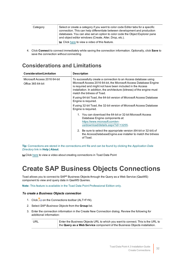| Category | Select or create a category if you want to color code Editor tabs for a specific<br>connection. This can help differentiate between development and production<br>databases. You can also set an option to color code the Object Explorer pane<br>and object editor windows (Create, Alter, Drop, etc.). |
|----------|----------------------------------------------------------------------------------------------------------------------------------------------------------------------------------------------------------------------------------------------------------------------------------------------------------|
|          | <b>Let Click here to view a video of this feature.</b>                                                                                                                                                                                                                                                   |

4. Click **Connect** to connect immediately while saving the connection information. Optionally, click **Save** to save the connection without connecting.

## <span id="page-31-0"></span>**Considerations and Limitations**

| <b>Consideration/Limitation</b>                   | <b>Description</b>                                                                                                                                                                                                                                                                                            |  |  |
|---------------------------------------------------|---------------------------------------------------------------------------------------------------------------------------------------------------------------------------------------------------------------------------------------------------------------------------------------------------------------|--|--|
| Microsoft Access 2016 64-bit<br>Office 365 64-bit | To successfully create a connection to an Access database using<br>Microsoft Access 2016 64-bit, the Microsoft Access Database Engine<br>is required and might not have been included in the Access<br>installation. In addition, the architecture (bitness) of the engine must<br>match the bitness of Toad. |  |  |
|                                                   | If using 64-bit Toad, the 64-bit version of Microsoft Access Database<br>Engine is required.                                                                                                                                                                                                                  |  |  |
|                                                   | If using 32-bit Toad, the 32-bit version of Microsoft Access Database<br>Engine is required.                                                                                                                                                                                                                  |  |  |
|                                                   | 1. You can download the 64-bit or 32-bit Microsoft Access<br>Database Engine components at:<br>https://www.microsoft.com/en-<br>us/download/details.aspx?id=13255.                                                                                                                                            |  |  |
|                                                   | 2. Be sure to select the appropriate version (64-bit or 32-bit) of<br>the AccessDatabaseEngine.exe installer to match the bitness<br>of Toad.                                                                                                                                                                 |  |  |

**Tip:** Connections are stored in the connections.xml file and can be found by clicking the *Application Data Directory* link in **Help | About**.

<span id="page-31-1"></span>tu Click [here](http://www.toadworld.com/products/toad-data-point/m/media-library/646.aspx) to view a video about creating connections in Toad Data Point

## **Create SAP Business Objects Connections**

Toad allows you to connect to SAP® Business Objects through the Query as a Web Service (QaaWS) component to view and query data in QaaWS Queries.

**Note:** This feature is available in the Toad Data Point Professional Edition only.

#### *To create a Business Objects connection*

- 1. Click  $\ddot{=}$  on the Connections toolbar (ALT+F+N).
- 2. Select *SAP Business Objects* from the **Group** list.
- 3. Enter the connection information in the Create New Connection dialog. Review the following for additional information:

| URL | Enter the Business Objects URL to which you want to connect. This is the URL to |
|-----|---------------------------------------------------------------------------------|
|     | the Query as a Web Service component of the Business Objects installation.      |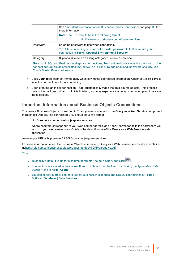|          | See "Important Information about Business Objects Connections" on page 33 for<br>more information.                                    |
|----------|---------------------------------------------------------------------------------------------------------------------------------------|
|          | <b>Note:</b> The URL should be in the following format:                                                                               |
|          | http:// <server>:<port>/dswsbobje/gaawsservices</port></server>                                                                       |
| Password | Enter the password to use when connecting.                                                                                            |
|          | Tip: After connecting, you can set a master password to further secure your<br>connection in Tools   Options  Environment   Security. |
| Category | (Optional) Select an existing category or create a new one.                                                                           |

**Note:** In NoSQL and Business Intelligence connections, Toad automatically saves the password in the connections.xml file as obfuscated text, as well as in Toad. To add additional password security, use Toad's Master Password feature.

- 4. Click **Connect** to connect immediately while saving the connection information. Optionally, click **Save** to save the connection without connecting.
- 5. Upon creating an initial connection, Toad automatically maps the data source objects. This process runs in the background, and until it is finished, you may experience a delay when attempting to access these objects.

### <span id="page-32-0"></span>**Important Information about Business Objects Connections**

To create a Business Objects connection in Toad, you must connect to the **Query as a Web Service** component in Business Objects. The connection URL should have the format:

http://<server>:<port>/dswsbobje/qaawsservices

Where <server> corresponds to your web server address, and <port> corresponds to the port where you set up in your web server. (*dswsbobje* is the default name of the **Query as a Web Service** web application.)

An example URL is http://server01:8080/dswsbobje/qaawsservices.

For more information about the Business Objects component, Query as a Web Service, see the documentation at [http://help.sap.com/businessobject/product\\_guides/xir2PP/en/qaaws.pdf](http://help.sap.com/businessobject/product_guides/xir2PP/en/qaaws.pdf).

**Tips:**

- To specify a default value for a column parameter, select a Query and click  $\left[\hat{\mathbf{x}}\right]$ .
- <sup>l</sup> Connections are stored in the **connections.xml** file and can be found by clicking the *Application Data Directory* link in **Help | About**.
- <sup>l</sup> You can specify a proxy server to use for Business Intelligence and NoSQL connections at **Tools | Options | Database | Data Services**.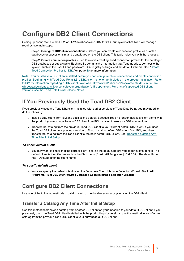# <span id="page-33-0"></span>**Configure DB2 Client Connections**

Setting up connections to the DB2 for LUW databases and DB2 for z/OS subsystems that Toad will manage requires two main steps.

**Step 1. Configure DB2 client connections** - Before you can create a connection profile, each of the databases or subsystems must be cataloged on the DB2 client. This topic helps you with that process.

**Step 2. Create connection profiles** - Step 2 involves creating Toad connection profiles for the cataloged DB2 databases or subsystems. Each profile contains the information that Toad needs to connect to the system, such as the user ID and password, DB2 registry settings, and the default schema. See ["Create](#page-39-1) Toad Connection Profiles for DB2" on page 40 for more [information.](#page-39-1)

**Note:** You must have a DB2 client installed before you can configure client connections and create connection profiles. Beginning with Toad Data Point 3.6, a DB2 client is no longer included in the product installation. Refer to IBM for information regarding a DB2 client download, [http://www-01.ibm.com/software/data/db2/linux-unix](http://www-01.ibm.com/software/data/db2/linux-unix-windows/downloads.html)[windows/downloads.html,](http://www-01.ibm.com/software/data/db2/linux-unix-windows/downloads.html) or consult your organization's IT department. For a list of supported DB2 client versions, see the Toad Data Point Release Notes.

## <span id="page-33-1"></span>**If You Previously Used the Toad DB2 Client**

If you previously used the Toad DB2 client installed with earlier versions of Toad Data Point, you may need to do the following:

- Install a DB2 client from IBM and set it as the default. Because Toad no longer installs a client along with the product, you must now have a DB2 client from IBM installed to use your DB2 connections.
- Transfer the catalog from the previous Toad DB2 client to your current default DB2 client. If you used the Toad DB2 client in a previous version of Toad, install a default DB2 client from IBM, and then transfer the catalog from the Toad client to the new default DB2 client. See [Transfer](#page-33-3) a Catalog Any Time After Initial [Setup](#page-33-3).

#### *To check default client*

• You may want to check that the correct client is set as the default, before you import a catalog to it. The default client is identified as such in the Start menu (**Start | All Programs | IBM DB2**). The default client has "(Default)" after the client name.

#### *To specify default client*

<sup>l</sup> You can specify the default client using the Database Client Interface Selection Wizard (**Start | All Programs | IBM DB2** *client name* **| Database Client Interface Selection Wizard**).

## <span id="page-33-2"></span>**Configure DB2 Client Connections**

<span id="page-33-3"></span>Use one of the following methods to catalog each of the databases or subsystems on the DB2 client.

### **Transfer a Catalog Any Time After Initial Setup**

Use this method to transfer a catalog from another DB2 client on your machine to your default DB2 client. If you previously used the Toad DB2 client installed with the product in prior versions, use this method to transfer the catalog from the previous Toad DB2 client to your current default DB2 client.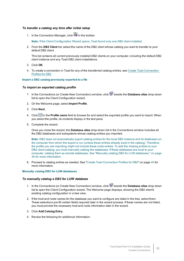#### *To transfer a catalog any time after initial setup*

1. In the Connection Manager, click  $\overline{\mathcal{L}}$  in the toolbar.

**Note:** If the Client Configuration Wizard opens, Toad found only one DB2 client installed.

2. From the **DB2 Client** list, select the name of the DB2 client whose catalog you want to transfer to your default DB2 client.

This list contains all current previously installed DB2 clients on your computer, including the default DB2 client instance and any Toad DB2 client installations.

- 3. Click **OK**.
- 4. To create a connection in Toad for any of the transferred catalog entries, see Create Toad [Connection](#page-39-1) [Profiles](#page-39-1) for DB2.

#### **Import a DB2 catalog previously exported to a file**

#### *To import an exported catalog profile*

- 1. In the Connections (or Create New Connection) window, click beside the **Database alias** drop-down list to open the Client Configuration wizard.
- 2. On the Welcome page, select **Import Profile**.
- 3. Click **Next**.
- 4. Click in the **Profile name** field to browse for and select the exported profile you want to import. When you select the profile, its contents display in the text pane.
- 5. Complete the wizard.

Once you close the wizard, the **Database alias** drop-down list in the Connections window includes all the DB2 databases and subsystems whose catalog entries you imported.

**Note:** DB2 does not automatically export catalog entries for the local DB2 instance and its databases on the computer from which the export is run (unless these entries already exist in the catalog). Therefore, the profile you are importing might not include these node entries. To add the missing entries to your DB2 client catalog, you must manually catalog the databases. If these databases are local to your computer, catalog them as remote databases. See "Manually catalog DB2 for LUW [databases](#page-34-0) " on page 35 for more [information.](#page-34-0)

6. Proceed to catalog entries as needed. See "Create Toad [Connection](#page-39-1) Profiles for DB2" on page 40 for more [information.](#page-39-1)

#### <span id="page-34-0"></span>**Manually catalog DB2 for LUW databases**

#### *To manually catalog a DB2 for LUW database*

- 1. In the Connections (or Create New Connection) window, click beside the **Database alias** drop-down list to open the Client Configuration wizard. The Welcome page displays, showing the DB2 client's existing catalog configuration in a tree view.
- 2. If the host and node names for the database you want to configure are listed in the tree, select them. These selections pre-fill certain fields required later in the wizard process. If these names are not listed, you must provide the necessary host and node information later in the wizard.
- 3. Click **Add Catalog Entry**.
- 4. Review the following for additional information: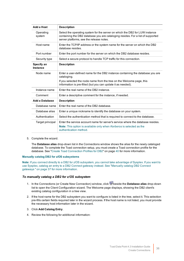| Add a Host             | <b>Description</b>                                                                                                                                                                                          |
|------------------------|-------------------------------------------------------------------------------------------------------------------------------------------------------------------------------------------------------------|
| Operating<br>system    | Select the operating system for the server on which the DB2 for LUW instance<br>containing the DB2 database you are cataloging resides. For a list of supported<br>server platforms, see the release notes. |
| Host name              | Enter the TCP/IP address or the system name for the server on which the DB2<br>database resides.                                                                                                            |
| Port number            | Enter the port number for the server on which the DB2 database resides.                                                                                                                                     |
| Security type          | Select a secure protocol to handle TCP traffic for this connection.                                                                                                                                         |
| Specify an<br>Instance | <b>Description</b>                                                                                                                                                                                          |
| Node name              | Enter a user-defined name for the DB2 instance containing the database you are<br>cataloging.                                                                                                               |
|                        | If you selected the node name from the tree on the Welcome page, this<br>information is pre-filled (but you can update it as needed).                                                                       |
| Instance name          | Enter the real name of the DB2 instance.                                                                                                                                                                    |
| Comment                | Enter a descriptive comment for the instance, if needed.                                                                                                                                                    |
| <b>Add a Database</b>  | <b>Description</b>                                                                                                                                                                                          |
| Database name          | Enter the real name of the DB2 database.                                                                                                                                                                    |
| Database alias         | Enter a unique nickname to identify the database on your system.                                                                                                                                            |
| Authentication         | Select the authentication method that is required to connect to the database.                                                                                                                               |
| Target principal       | Enter the service account name for server's service where the database resides.<br><b>Note:</b> This option is available only when Kerberos is selected as the<br>authentication method.                    |

5. Complete the wizard.

The **Database alias** drop-down list in the Connections window shows the alias for the newly cataloged database. To complete the Toad connection setup, you must create a Toad connection profile for the database. See "Create Toad Connection Profiles for DB2" on page 40 for more [information.](#page-39-1)

#### **Manually catalog DB2 for z/OS subsystems**

**Note:** If you connect directly to a DB2 for z/OS subsystem, you cannot take advantage of Sysplex. If you want to use Sysplex, catalog an entry to a DB2 Connect gateway instead. See ["Manually](#page-36-0) catalog DB2 Connect gateways " on page 37 for more [information.](#page-36-0)

#### *To manually catalog a DB2 for z/OS subsystem*

- 1. In the Connections (or Create New Connection) window, click beside the **Database alias** drop-down list to open the Client Configuration wizard. The Welcome page displays, showing the DB2 client's existing catalog configuration in a tree view.
- 2. If the host name for the DB2 subsystem you want to configure is listed in the tree, select it. This selection pre-fills certain fields required later in the wizard process. If the host name is not listed, you must provide the necessary host information later in the wizard.
- 3. Click **Add Catalog Entry**.
- 4. Review the following for additional information: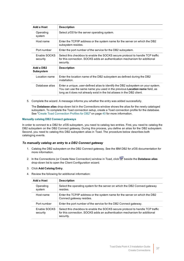| Add a Host                    | <b>Description</b>                                                                                                                                                                                                                                |
|-------------------------------|---------------------------------------------------------------------------------------------------------------------------------------------------------------------------------------------------------------------------------------------------|
| Operating<br>system           | Select z/OS for the server operating system.                                                                                                                                                                                                      |
| Host name                     | Enter the TCP/IP address or the system name for the server on which the DB2<br>subsystem resides.                                                                                                                                                 |
| Port number                   | Enter the port number of the service for the DB2 subsystem.                                                                                                                                                                                       |
| Enable SOCKS<br>security      | Select this checkbox to enable the SOCKS secure protocol to handle TCP traffic<br>for this connection. SOCKS adds an authentication mechanism for additional<br>security.                                                                         |
| Add a DB2<br><b>Subsystem</b> | <b>Description</b>                                                                                                                                                                                                                                |
| Location name                 | Enter the location name of the DB2 subsystem as defined during the DB2<br>installation.                                                                                                                                                           |
| Database alias                | Enter a unique, user-defined alias to identify the DB2 subsystem on your system.<br>You can use the same name you used in the previous <b>Location name</b> field, as<br>long as it does not already exist in the list aliases in the DB2 client. |

5. Complete the wizard. A message informs you whether the entry was added successfully.

The **Database alias** drop-down list in the Connections window shows the alias for the newly cataloged subsystem. To complete the Toad connection setup, create a Toad connection profile for the database. See "Create Toad Connection Profiles for DB2" on page 40 for more [information.](#page-39-0)

#### <span id="page-36-0"></span>**Manually catalog DB2 Connect gateways**

In order to connect to a DB2 for z/OS subsystem, you need to catalog two entries. First, you need to catalog the DB2 subsystem on the DB2 Connect gateway. During this process, you define an alias for the DB2 subsystem. Second, you need to catalog this DB2 subsystem alias in Toad. The procedure below describes both cataloging events.

#### *To manually catalog an entry to a DB2 Connect gateway*

- 1. Catalog the DB2 subsystem on the DB2 Connect gateway. See the IBM DB2 for z/OS documentation for more information.
- 2. In the Connections (or Create New Connection) window in Toad, click beside the **Database alias** drop-down list to open the Client Configuration wizard.
- 3. Click **Add Catalog Entry**.
- 4. Review the following for additional information:

| Add a Host               | <b>Description</b>                                                                                                                                                        |
|--------------------------|---------------------------------------------------------------------------------------------------------------------------------------------------------------------------|
| Operating<br>system      | Select the operating system for the server on which the DB2 Connect gateway<br>resides.                                                                                   |
| Host name                | Enter the TCP/IP address or the system name for the server on which the DB2<br>Connect gateway resides.                                                                   |
| Port number              | Enter the port number of the service for the DB2 Connect gateway.                                                                                                         |
| Enable SOCKS<br>security | Select this checkbox to enable the SOCKS secure protocol to handle TCP traffic<br>for this connection. SOCKS adds an authentication mechanism for additional<br>security. |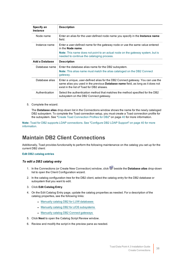| Specify an<br><b>Instance</b> | <b>Description</b>                                                                                                                                                                                                      |
|-------------------------------|-------------------------------------------------------------------------------------------------------------------------------------------------------------------------------------------------------------------------|
| Node name                     | Enter an alias for the user-defined node name you specify in the <b>Instance name</b><br>field.                                                                                                                         |
| Instance name                 | Enter a user-defined name for the gateway node or use the same value entered<br>in the <b>Node name</b> .                                                                                                               |
|                               | <b>Note:</b> This name does not point to an actual node on the gateway system, but is<br>needed to continue the cataloging process.                                                                                     |
| Add a Database                | <b>Description</b>                                                                                                                                                                                                      |
| Database name                 | Enter the database alias name for the DB2 subsystem.                                                                                                                                                                    |
|                               | <b>Note:</b> This alias name must match the alias cataloged on the DB2 Connect<br>gateway.                                                                                                                              |
| Database alias                | Enter a unique, user-defined alias for the DB2 Connect gateway. You can use the<br>same alias you used in the previous <b>Database name</b> field, as long as it does not<br>exist in the list of Toad for DB2 aliases. |
| Authentication                | Select the authentication method that matches the method specified for the DB2<br>subsystem on the DB2 Connect gateway.                                                                                                 |

5. Complete the wizard.

The **Database alias** drop-down list in the Connections window shows the name for the newly cataloged DB2 subsystem. To complete the Toad connection setup, you must create a Toad connection profile for the subsystem. See "Create Toad Connection Profiles for DB2" on page 40 for more [information.](#page-39-0)

**Note:** Toad for DB2 supports LDAP connections. See ["Configure](#page-39-1) DB2 LDAP Support" on page 40 for more [information.](#page-39-1)

### **Maintain DB2 Client Connections**

Additionally, Toad provides functionality to perform the following maintenance on the catalog you set up for the current DB2 client:

#### **Edit DB2 catalog entries**

#### *To edit a DB2 catalog entry*

- 1. In the Connections (or Create New Connection) window, click beside the **Database alias** drop-down list to open the Client Configuration wizard.
- 2. In the catalog configuration tree for the DB2 client, select the catalog entry for the DB2 database or subsystem that you want to edit.
- 3. Click **Edit Catalog Entry**.
- 4. On the Edit Catalog Entry page, update the catalog properties as needed. For a description of the catalog properties, see the following links:
	- Manually catalog DB2 for LUW [databases](#page-34-0)
	- Manually catalog DB2 for z/OS [subsystems](#page-35-0)
	- Manually catalog DB2 Connect gateways
- 5. Click **Next** to open the Catalog Script Review window.
- 6. Review and modify the script in the preview pane as needed.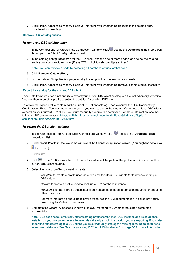7. Click **Finish**. A message window displays, informing you whether the updates to the catalog entry completed successfully.

#### **Remove DB2 catalog entries**

#### *To remove a DB2 catalog entry*

- 1. In the Connections (or Create New Connection) window, click beside the **Database alias** drop-down list to open the Client Configuration wizard.
- 2. In the catalog configuration tree for the DB2 client, expand one or more nodes, and select the catalog entries that you want to remove. (Press CTRL+click to select multiple entries.)

**Note:** You can remove a node by selecting all database entries for that node.

- 3. Click **Remove Catalog Entry**.
- 4. On the Catalog Script Review page, modify the script in the preview pane as needed.
- 5. Click **Finish**. A message window displays, informing you whether the removals completed successfully.

#### **Export the catalog for the current DB2 client**

Toad Data Point provides functionality to export your current DB2 client catalog to a file, called an *export profile*. You can then import this profile to set up the catalog for another DB2 client.

To create the export profile containing the current DB2 client catalog, Toad executes the DB2 Connectivity Configuration Export Tool command db2cfexp. If you want to export the catalog of a remote or local DB2 client (other than your current DB2 client), you must manually execute this command. For more information, see the following IBM documentation: [http://publib.boulder.ibm.com/infocenter/db2luw/v8/index.jsp?topic=/](http://publib.boulder.ibm.com/infocenter/db2luw/v8/index.jsp?topic=/com.ibm.db2.udb.doc/core/r0002442.htm) com.ibm.db2.udb.doc/core/r0002442.htm.

#### *To export the DB2 client catalog*

- 1. In the Connections (or Create New Connection) window, click beside the **Database alias** drop-down list.
- 2. Click **Export Profile** in the Welcome window of the Client Configuration wizard. (You might need to click  $\frac{1}{\sqrt{2}}$  this button.)
- 3. Click **Next**.
- 4. Click in the **Profile name** field to browse for and select the path for the profile in which to export the current DB2 client catalog.
- 5. Select the type of profile you want to create:
	- <sup>l</sup> *Template* to create a profile used as a template for other DB2 clients (default for exporting a DB2 catalog)
	- Backup to create a profile used to back up a DB2 database instance
	- Maintain to create a profile that contains only database or node information required for updating other instances

For more information about these profile types, see the IBM documentation (as cited previously) describing the db2cfexp command.

6. Complete the wizard. A message window displays, informing you whether the export completed successfully.

**Note:** DB2 does not automatically export catalog entries for the local DB2 instance and its databases installed on your computer unless these entries already exist in the catalog you are exporting. If you later import the export catalog to a DB2 client, you must manually catalog the missing local-node databases as remote databases. See "Manually catalog DB2 for LUW databases " on page 35 for more [information.](#page-34-0)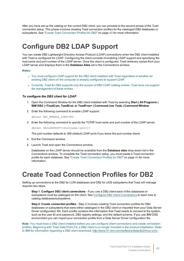After you have set up the catalog on the current DB2 client, you can proceed to the second phase of the Toad connection setup. This phase involves creating Toad connection profiles for the cataloged DB2 databases or subsystems. See "Create Toad Connection Profiles for DB2" on page 40 for more [information.](#page-39-0)

# <span id="page-39-1"></span>**Configure DB2 LDAP Support**

You can create DB2 Lightweight Directory Access Protocol (LDAP) connections when the DB2 client installed with Toad is configured for LDAP. Configuring the client consists of enabling LDAP support and specifying the host name and port number of the LDAP server. Once the client is configured, Toad retrieves names from your LDAP server and displays them in the **Database Alias** list in the Connections window.

#### **Notes:**

- You must configure LDAP support for the DB2 client installed with Toad regardless of whether an existing DB2 client on the computer is already configured to support LDAP.
- Currently, Toad for DB2 supports only the access of DB2 LDAP catalog entries. Toad does not support the management of these entries.

#### *To configure the DB2 client for LDAP*

- 1. Open the Command Window for the DB2 client installed with Toad by selecting **Start | All Programs | IBM DB2 | <ToadCom, ToadEval, or ToadFree> | Command Line Tools | Command Window**.
- 2. Enter the following command to enable LDAP support:

db2set DB2\_ENABLE\_LDAP=YES

3. Enter the following command to specify the TCP/IP host name and port number of the LDAP server:

db2set DB2LDAPHOST=*<hostname[:port]>*

The port number defaults to 389 (default LDAP port) if you leave the port number blank.

- 4. Exit the Command window.
- 5. Launch Toad and open the Connections window.

Databases on the LDAP server should be available from the **Database alias** drop-down list in the Connections window. To complete the Toad connection setup, you must create a Toad connection profile for each database. See "Create Toad [Connection](#page-39-0) Profiles for DB2" on page 40 for more [information.](#page-39-0)

# <span id="page-39-0"></span>**Create Toad Connection Profiles for DB2**

Setting up connections to the DB2 for LUW databases and DB2 for z/OS subsystems that Toad will manage requires two steps.

**Step 1. Configure DB2 client connections** - If you use a DB2 client each of the databases or subsystems must be cataloged on the client. See Configure DB2 Client [Connections](#page-33-0) to learn how to catalog databases/subsystems.

**Step 2. Create connection profiles** - Step 2 involves creating Toad connection profiles for DB2 databases or subsystems that were either cataloged in the DB2 client or imported from your Data Server Driver configuration file. Each profile contains the information that Toad needs to connect to the system, such as the user ID and password, DB2 registry settings, and the default schema. If you use IBM DSD environment you can import your connection profile from a Data Server Driver configuration file.

**Note:** You must have a DB2 client installed before you can configure client connections and create connection profiles. Beginning with Toad Data Point 3.6, a DB2 client is no longer included in the product installation. Refer to IBM for information regarding a DB2 client download, [http://www-01.ibm.com/software/data/db2/linux-unix-](http://www-01.ibm.com/software/data/db2/linux-unix-windows/downloads.html)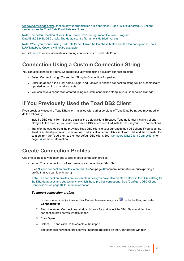[windows/downloads.html,](http://www-01.ibm.com/software/data/db2/linux-unix-windows/downloads.html) or consult your organization's IT department. For a list of supported DB2 client versions, see the Toad Data Point Release Notes.

**Note:** The default location of your Data Server Driver configuration file is in ...Program Data\IBM\DB2\IBMDBCL1\cfg. The default config filename is db2dsdriver.cfg.

**Note:** When you connect using IBM Data Server Driver the Database button and the toolbar option in Tools | LUW Database Options will not be available.

**to Click [here](http://www.toadworld.com/products/toad-data-point/m/media-library/646.aspx) to view a video about creating connections in Toad Data Point** 

### **Connection Using a Custom Connection String**

You can also connect to your DB2 database/subsystem using a custom connection string.

- Select Connect Using | Connection String in Connection Properties
- Enter Database alias, Host name, Login, and Password and the connection string will be automatically updated according to what you enter
- You can save a connection created using a custom connection string in your Connection Manager

### **If You Previously Used the Toad DB2 Client**

If you previously used the Toad DB2 client installed with earlier versions of Toad Data Point, you may need to do the following:

- Install a DB2 client from IBM and set it as the default client. Because Toad no longer installs a client along with the product, you must now have a DB2 client from IBM installed to use your DB2 connections.
- Transfer the catalog from the previous Toad DB2 client to your current default DB2 client. If you used the Toad DB2 client in a previous version of Toad, install a default DB2 client from IBM, and then transfer the catalog from the Toad client to the new default DB2 client. See "Configure DB2 Client [Connections"](#page-33-0) on page 34 for more [information.](#page-33-0)

### **Create Connection Profiles**

Use one of the following methods to create Toad connection profiles:

<span id="page-40-0"></span>• Import Toad connection profiles previously exported to an XML file

(See "Export connection profiles to an XML file" on page 42 for more [information](#page-41-0) about exporting a profile that you can later import.)

**Note:** The connection profiles are not usable unless you have also created entries in the DB2 catalog for the DB2 databases and subsystems to which these profiles correspond. See ["Configure](#page-33-0) DB2 Client [Connections"](#page-33-0) on page 34 for more information.

#### *To import connection profiles*

- 1. In the Connections (or Create New Connection) window, click on the toolbar, and select **Connection file**.
- 2. From the Import Connections window, browse for and select the XML file containing the connection profiles you want to import.
- 3. Click **Open**.
- 4. Select *DB2* and click **OK** to complete the import.

The connections whose profiles you imported are listed on the Connections window.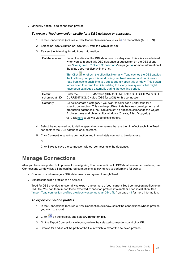• Manually define Toad connection profiles.

#### *To create a Toad connection profile for a DB2 database or subsystem*

- 1. In the Connections (or Create New Connection) window, click  $\ddot{\mathbf{r}}$  on the toolbar (ALT+F+N).
- 2. Select *IBM DB2 LUW* or *IBM DB2 z/OS* from the **Group** list box.
- 3. Review the following for additional information:

| Database alias            | Select the alias for the DB2 database or subsystem. This alias was defined<br>when you cataloged this DB2 database or subsystem on the DB2 client.<br>See "Configure DB2 Client Connections" on page 34 for more information if<br>the alias does not display in the list.<br>Tip: Click ighthrough the alias list. Normally, Toad caches the DB2 catalog<br>the first time you open this window in your Toad session and continues to<br>read from cache each time you subsequently open this window. This button<br>forces Toad to reread the DB2 catalog to list any new systems that might<br>have been cataloged externally during the caching period. |
|---------------------------|-------------------------------------------------------------------------------------------------------------------------------------------------------------------------------------------------------------------------------------------------------------------------------------------------------------------------------------------------------------------------------------------------------------------------------------------------------------------------------------------------------------------------------------------------------------------------------------------------------------------------------------------------------------|
| Default<br>schema/auth ID | Enter the SET SCHEMA value (DB2 for LUW) or the SET SCHEMA or SET<br>CURRENT SQLID value (DB2 for z/OS) for this connection.                                                                                                                                                                                                                                                                                                                                                                                                                                                                                                                                |
| Category                  | Select or create a category if you want to color code Editor tabs for a<br>specific connection. This can help differentiate between development and<br>production databases. You can also set an option to color code the Object<br>Explorer pane and object editor windows (Create, Alter, Drop, etc.).<br>to Click here to view a video of this feature.                                                                                                                                                                                                                                                                                                  |

- 4. Select the Advanced tab to define special register values that are then in effect each time Toad connects to the DB2 database or subsystem.
- 5. Click **Connect** to save the connection and immediately connect to the database.

or

Click **Save** to save the connection without connecting to the database.

### **Manage Connections**

After you have completed both phases for configuring Toad connections to DB2 databases or subsystems, the Connections window lists all the configured connections, allowing you to perform the following:

- <span id="page-41-0"></span>• Connect to and manage a DB2 database or subsystem through Toad
- Export connection profiles to an XML file

Toad for DB2 provides functionality to export one or more of your current Toad connection profiles to an XML file. You can then import these exported connection profiles into another Toad installation. [See](#page-40-0) "Import Toad connection profiles previously exported to an XML file " on page 41 for more [information.](#page-40-0)

#### *To export connection profiles*

- 1. In the Connections (or Create New Connection) window, select the connections whose profiles you want to export.
- 2. Click on the toolbar, and select **Connection file**.
- 3. On the Export Connections window, review the selected connections, and click **OK**.
- 4. Browse for and select the path for the file in which to export the selected profiles.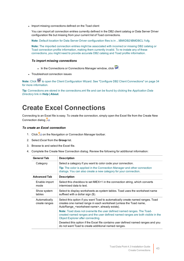• Import missing connections defined on the Toad client

You can import all connection entries currently defined in the DB2 client catalog or Data Server Driver configuration file but missing from your current list of Toad connections.

**Note**: Default location for Data Server Driver configuration files is in ...\IBM\DB2\IBMDBCL1\cfg.

**Note:** The imported connection entries might be associated with incorrect or missing DB2 catalog or Toad connection profile information, making them currently invalid. To re-instate any of these connections, you might need to provide accurate DB2 catalog and Toad profile information.

#### *To import missing connections*

- In the Connections or Connections Manager window, click
- Troubleshoot connection issues

Note: Click  $\mathbb{R}^n$  to open the Client Configuration Wizard. See "Configure DB2 Client [Connections"](#page-33-0) on page 34 for more [information.](#page-33-0)

<span id="page-42-0"></span>**Tip:** Connections are stored in the connections.xml file and can be found by clicking the *Application Data Directory* link in **Help | About**.

# **Create Excel Connections**

Connecting to an Excel file is easy. To create the connection, simply open the Excel file from the Create New Connection dialog **...** 

#### *To create an Excel connection*

- 1. Click **Conting to Advigation or Connection Manager toolbar.**
- 2. Select *Excel* from the **Group** list.
- 3. Browse to and select the Excel file.
- 4. Complete the Create New Connection dialog. Review the following for additional information:

| <b>General Tab</b>             | <b>Description</b>                                                                                                                                                                                                  |
|--------------------------------|---------------------------------------------------------------------------------------------------------------------------------------------------------------------------------------------------------------------|
| Category                       | Select a category if you want to color code your connection.<br><b>Tip:</b> The color is applied in the Connection Manager and other connection<br>dialogs. You can also create a new category for your connection. |
| <b>Advanced Tab</b>            | <b>Description</b>                                                                                                                                                                                                  |
| Enable import<br>mode          | Select this checkbox to set IMEX=1 in the connection string, which converts<br>intermixed data to text.                                                                                                             |
| Show system<br>tables          | Select to display worksheets as system tables. Toad uses the worksheet name<br>suffixed with a dollar sign (\$).                                                                                                    |
| Automatically<br>create ranges | Select this option if you want Toad to automatically create named ranges. Toad<br>creates one named range in each worksheet (unless the Toad name,<br>AutoRange <worksheet name="">, already exists).</worksheet>   |
|                                | <b>Note:</b> Toad does not overwrite the user defined named ranges. The Toad-<br>created named ranges and the user defined named ranges are both visible in the<br>Object Explorer after connecting.                |
|                                | Deselect this option if the Excel file contains user defined named ranges and you<br>do not want Toad to create additional named ranges.                                                                            |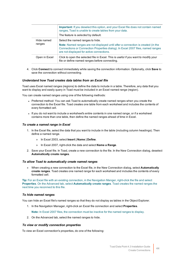|                      | <b>Important:</b> If you deselect this option, and your Excel file does not contain named<br>ranges, Toad is unable to create tables from your data.<br>The feature is selected by default.                                                          |
|----------------------|------------------------------------------------------------------------------------------------------------------------------------------------------------------------------------------------------------------------------------------------------|
| Hide named<br>ranges | Select the named ranges to hide.<br>Note: Named ranges are not displayed until after a connection is created (in the<br>Connections or Connection Properties dialog). In Excel 2007 files, named ranges<br>are not displayed for active connections. |
| Open in Excel        | Click to open the selected file in Excel. This is useful if you want to modify your<br>file or define named ranges before connecting.                                                                                                                |

4. Click **Connect** to connect immediately while saving the connection information. Optionally, click **Save** to save the connection without connecting.

#### *Understand how Toad creates data tables from an Excel file*

Toad uses Excel named ranges (regions) to define the data to include in a table. Therefore, any data that you want to display and easily query in Toad must be included in an Excel named range (region).

You can create named ranges using one of the following methods:

- Preferred method: You can ask Toad to automatically create named ranges when you create the connection to the Excel file. Toad creates one table from each worksheet and includes the contents of every formatted cell.
- If you do not want to include a worksheet's entire contents in one named range, or if a worksheet contains more than one table, then define the named ranges ahead of time in Excel.

#### *To create a named range in Excel*

- 1. In the Excel file, select the data that you want to include in the table (including column headings). Then define a named range.
	- » In Excel 2003, select **Insert | Name | Define**.
	- » In Excel 2007, right-click the data and select **Name a Range**.
- 2. Save your Excel file. In Toad, create a new connection to the file. In the New Connection dialog, deselect **Automatically create ranges**.

#### *To allow Toad to automatically create named ranges*

» When creating a new connection to the Excel file, in the New Connection dialog, select **Automatically create ranges**. Toad creates one named range for each worksheet and includes the contents of every formatted cell.

**Tip:** For an Excel file with an existing connection, in the Navigation Manger, right-click the file and select **Properties**. On the Advanced tab, select **Automatically create ranges**. Toad creates the named ranges the next time you reconnect to this file.

#### *To hide named ranges*

You can hide an Excel file's named ranges so that they do not display as tables in the Object Explorer.

1. In the Navigation Manager, right-click an Excel file connection and select **Properties**.

**Note:** In Excel 2007 files, the connection must be inactive for the named ranges to display.

2. On the Advanced tab, select the named ranges to hide.

#### *To view or modify connection properties*

To view an Excel connection's properties, do one of the following: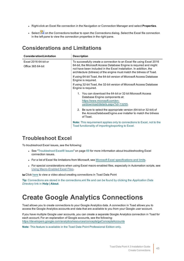- <sup>l</sup> Right-click an Excel file connection in the Navigation or Connection Manager and select **Properties**.
- . Select **2** on the Connections toolbar to open the Connections dialog. Select the Excel file connection in the left pane to view the connection properties in the right pane.

### **Considerations and Limitations**

| <b>Consideration/Limitation</b>           | <b>Description</b>                                                                                                                                                                                                                                                                        |
|-------------------------------------------|-------------------------------------------------------------------------------------------------------------------------------------------------------------------------------------------------------------------------------------------------------------------------------------------|
| Excel 2016 64-bit or<br>Office 365 64-bit | To successfully create a connection to an Excel file using Excel 2016<br>64-bit, the Microsoft Access Database Engine is required and might<br>not have been included in the Excel installation. In addition, the<br>architecture (bitness) of the engine must match the bitness of Toad. |
|                                           | If using 64-bit Toad, the 64-bit version of Microsoft Access Database<br>Engine is reguired.                                                                                                                                                                                              |
|                                           | If using 32-bit Toad, the 32-bit version of Microsoft Access Database<br>Engine is required.                                                                                                                                                                                              |
|                                           | 1. You can download the 64-bit or 32-bit Microsoft Access<br>Database Engine components at:<br>https://www.microsoft.com/en-<br>us/download/details.aspx?id=13255.                                                                                                                        |
|                                           | 2. Be sure to select the appropriate version (64-bit or 32-bit) of<br>the AccessDatabaseEngine.exe installer to match the bitness<br>of Toad.                                                                                                                                             |
|                                           | <b>Note:</b> This requirement applies only to connections to Excel, not to the<br>Toad functionality of importing/exporting to Excel.                                                                                                                                                     |

### **Troubleshoot Excel**

To troubleshoot Excel issues, see the following:

- <sup>l</sup> See ["Troubleshoot](#page-68-0) Excel® Issues" on page 69 for more information about troubleshooting Excel connection issues.
- For a list of Excel file limitations from Microsoft, see Microsoft Excel [specifications](https://support.office.com/en-us/article/Excel-specifications-and-limits-1672b34d-7043-467e-8e27-269d656771c3) and limits.
- For special considerations when using Excel macro-enabled files, especially in Automation scripts, see Using Macro-Enabled Excel Files.

**to Click [here](http://www.toadworld.com/products/toad-data-point/m/media-library/646.aspx) to view a video about creating connections in Toad Data Point** 

**Tip:** Connections are stored in the connections.xml file and can be found by clicking the *Application Data Directory* link in **Help | About**.

# **Create Google Analytics Connections**

Toad allows you to create connections to your Google Analytics data. A connection in Toad allows you to access the Google Analytics accounts and data that are available to you from your Google *user* account.

If you have multiple Google user accounts, you can create a separate Google Analytics connection in Toad for each account. For an explanation of Google accounts, see the following: <https://developers.google.com/analytics/resources/concepts/gaConceptsAccounts>

**Note:** This feature is available in the Toad Data Point Professional Edition only.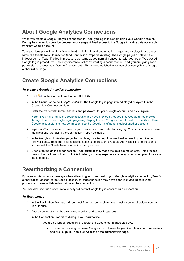## **About Google Analytics Connections**

When you create a Google Analytics connection in Toad, you log in to Google using your Google account. During the connection creation process, you also grant Toad access to the Google Analytics data accessible from that Google account.

Toad provides you with an interface to the Google log-in and authorization pages and displays these pages within the Create New Connection (and Connection Properties) dialog. The Google pages displayed are independent of Toad. The log-in process is the same as you normally encounter with your other Web-based Google log-in procedures. The only difference is that by creating a connection in Toad, you are giving Toad permission to access your Google Analytics data. This is accomplished when you click *Accept* in the Google authorization page.

## **Create Google Analytics Connections**

#### *To create a Google Analytics connection*

- 1. Click  $\ddot{=}$  on the Connections toolbar (ALT+F+N).
- 2. In the **Group** list, select *Google Analytics*. The Google log-in page immediately displays within the Create New Connection dialog.
- 3. Enter the credentials (email address and password) for your Google account and click **Sign in**.

**Note:** If you have multiple Google accounts and have previously logged in to Google (or connected through Toad), the Google log-in page may display the last Google account used. To specify a different Google account for the new connection, use the Google links/menu to select another account.

- 4. (optional) You can enter a name for your new account and select a category. You can also make these modifications later using the Connection Properties dialog.
- 5. In the Google authorization page that displays, click **Accept** to allow Toad access to your Google Analytics data. Toad then attempts to establish a connection to Google Analytics. If the connection is successful, the Create New Connection dialog closes.
- 6. Upon creating an initial connection, Toad automatically maps the data source objects. This process runs in the background, and until it is finished, you may experience a delay when attempting to access these objects.

## **Reauthorizing a Connection**

If you encounter an error message when attempting to connect using your Google Analytics connection, Toad's authorization (access) to the Google account for that connection may have been lost. Use the following procedure to re-establish authorization for the connection.

You can also use this procedure to specify a different Google log-in account for a connection.

#### *To Reauthorize*

- 1. In the Navigation Manager, disconnect from the connection. You must disconnect before you can re-authorize.
- 2. After disconnecting, right-click the connection and select **Properties**.
- 3. In the Connection Properties dialog, click **Reauthorize**.
	- If you are no longer logged in to Google, the Google log-in page displays.
		- To reauthorize using the same Google account, re-enter your Google account credentials and click **Sign-in**. Then click **Accept** on the authorization page.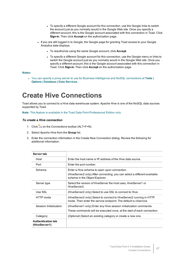- To specify a different Google account for this connection, use the Google links to switch the account just as you normally would in the Google Web site. Once you specify a different account, this is the Google account associated with this connection in Toad. Click **Sign-in**. Then click **Accept** on the authorization page.
- If you are still logged in to Google, the Google page for granting Toad access to your Google Analytics data displays.
	- To reauthorize using the same Google account, click Accept.
	- To specify a different Google account for this connection, use the Google menu or links to switch the Google account just as you normally would in the Google Web site. Once you specify a different account, this is the Google account associated with this connection in Toad. Click **Sign-in**. Then click **Accept** on the authorization page.

#### **Notes:**

<sup>l</sup> You can specify a proxy server to use for Business Intelligence and NoSQL connections at **Tools | Options | Database | Data Services**.

# **Create Hive Connections**

Toad allows you to connect to a Hive data warehouse system. Apache Hive is one of the NoSQL data sources supported by Toad.

**Note:** This feature is available in the Toad Data Point Professional Edition only.

#### *To create a Hive connection*

- 1. Click  $\frac{m}{2}$  on the Connections toolbar (ALT+F+N).
- 2. Select *Apache Hive* from the **Group** list.
- 3. Enter the connection information in the Create New Connection dialog. Review the following for additional information:

| Server tab                                 |                                                                                                                                                             |
|--------------------------------------------|-------------------------------------------------------------------------------------------------------------------------------------------------------------|
| Host                                       | Enter the host name or IP address of the Hive data source.                                                                                                  |
| Port                                       | Enter the port number.                                                                                                                                      |
| Schema                                     | Enter a Hive schema to open upon connection.<br>(HiveServer2 only) After connecting, you can select a different available<br>schema in the Object Explorer. |
| Server type                                | Select the version of HiveServer the host uses, HiveServer1 or<br>HiveServer2.                                                                              |
| Use SSL                                    | (HiveServer2 only) Select to use SSL to connect to Hive.                                                                                                    |
| HTTP mode                                  | (HiveServer2 only) Select to connect to HiveServer2 running in HTTP<br>mode. Then enter the service endpoint. The default is <i>cliservice</i> .            |
| Session Initialization                     | (HiveServer1 only) Enter any Hive session initialization commands.<br>These commands will be executed once, at the start of each connection.                |
| Category                                   | (Optional) Select an existing category or create a new one.                                                                                                 |
| <b>Authentication tab</b><br>(HiveServer1) |                                                                                                                                                             |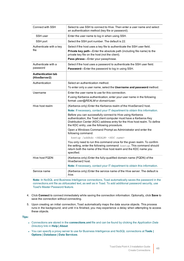| Connect with SSH                           | Select to use SSH to connect to Hive. Then enter a user name and select<br>an authentication method (key file or password).                                                                                                                                  |
|--------------------------------------------|--------------------------------------------------------------------------------------------------------------------------------------------------------------------------------------------------------------------------------------------------------------|
| SSH user                                   | Enter the user name to log in when using SSH.                                                                                                                                                                                                                |
| SSH port                                   | Select the SSH port number. The default is 22.                                                                                                                                                                                                               |
| Authenticate with a key<br>file            | Select if the host uses a key file to authenticate the SSH user field.<br>Private key path-Enter the absolute path (including file name) to the<br>private key file on the host (not the client).<br>Pass phrase-Enter your passphrase.                      |
| Authenticate with a<br>password            | Select if the host uses a password to authenticate the SSH user field.<br>Password-Enter the password to log in using SSH.                                                                                                                                   |
| <b>Authentication tab</b><br>(HiveServer2) |                                                                                                                                                                                                                                                              |
| Authentication                             | Select an authentication method.                                                                                                                                                                                                                             |
|                                            | To enter only a user name, select the Username and password method.                                                                                                                                                                                          |
| Username                                   | Enter the user name to use for this connection.                                                                                                                                                                                                              |
|                                            | If using Kerberos authentication, enter your user name in the following<br>format: user@REALM or domain\user.                                                                                                                                                |
| Hive host realm                            | (Kerberos only) Enter the Kerberos realm of the HiveServer2 host.                                                                                                                                                                                            |
|                                            | Note: If necessary, contact your IT department to obtain this information.                                                                                                                                                                                   |
|                                            | Before you can successfully connect to Hive using Kerberos<br>authentication, the Toad client computer must have a Kerberos Key<br>Distribution Center (KDC) address entry for the Hive host realm. To define<br>the KDC entry, use the following procedure. |
|                                            | Open a Windows Command Prompt as Administrator and enter the<br>following command:                                                                                                                                                                           |
|                                            | ksetup /addkdc <realm> <kdc name=""></kdc></realm>                                                                                                                                                                                                           |
|                                            | You only need to run this command once for the given realm. To confirm<br>the setting, enter the following command: ksetup. This command should<br>return both the name of the Hive host realm and the KDC name you<br>specified.                            |
| Hive host FQDN                             | (Kerberos only) Enter the fully-qualified domain name (FQDN) of the<br>HiveServer2 host.                                                                                                                                                                     |
|                                            | Note: If necessary, contact your IT department to obtain this information.                                                                                                                                                                                   |
| Service name                               | (Kerberos only) Enter the service name of the Hive server. The default is<br>hive.                                                                                                                                                                           |
| 1.11.001                                   | <b>The Contract State</b><br><b>ARCHIVES</b>                                                                                                                                                                                                                 |

**Note:** In NoSQL and Business Intelligence connections, Toad automatically saves the password in the connections.xml file as obfuscated text, as well as in Toad. To add additional password security, use Toad's Master Password feature.

- 4. Click **Connect** to connect immediately while saving the connection information. Optionally, click **Save** to save the connection without connecting.
- 5. Upon creating an initial connection, Toad automatically maps the data source objects. This process runs in the background, and until it is finished, you may experience a delay when attempting to access these objects.

**Tips:**

- <sup>l</sup> Connections are stored in the **connections.xml** file and can be found by clicking the *Application Data Directory* link in **Help | About**.
- <sup>l</sup> You can specify a proxy server to use for Business Intelligence and NoSQL connections at **Tools | Options | Database | Data Services**.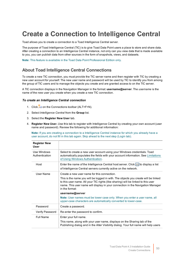# **Create a Connection to Intelligence Central**

Toad allows you to create a connection to a Toad Intelligence Central server.

The purpose of Toad Intelligence Central (TIC) is to give Toad Data Point users a place to store and share data. After creating a connection to an Intelligence Central instance, not only can you view data that is made available to you, you can publish data from other sources in the form of snapshots, views, and datasets.

**Note:** This feature is available in the Toad Data Point Professional Edition only.

### **About Toad Intelligence Central Connections**

To create a new TIC connection, you must provide the TIC server name and then register with TIC by creating a new user account for yourself. The new user name and password will be used by TIC to identify you from among the group of TIC users and to manage the objects you create and are granted access to on the TIC server.

A TIC connection displays in the Navigation Manager in the format: **username@server**. The *username* is the name of the new user you create when you create a new TIC connection.

#### *To create an Intelligence Central connection*

- 1. Click  $\frac{m}{2}$  on the Connections toolbar (ALT+F+N).
- 2. Select *Intelligence Central* from the **Group** list.
- 3. Select the **Register New User** tab.
- 4. **Register New User.** Use this tab to register with Intelligence Central by creating your own account (user name and password). Review the following for additional information:

**Note:** If you are creating a connection to a Intelligence Central instance for which you already have a user account, do not fill in this tab again. Skip ahead to the next step (Login tab).

| <b>Register New</b><br><b>User</b> |                                                                                                                                                                                                                                                                                                                                                                                                                                                                                                |
|------------------------------------|------------------------------------------------------------------------------------------------------------------------------------------------------------------------------------------------------------------------------------------------------------------------------------------------------------------------------------------------------------------------------------------------------------------------------------------------------------------------------------------------|
| Use Windows<br>Authentication      | Select to create a new user account using your Windows credentials. Toad<br>automatically populates the fields with your account information. See Limitations<br>of Using Windows Authentication.                                                                                                                                                                                                                                                                                              |
| Host                               | Enter the name of the Intelligence Central host server. Click $\cdots$ to display a list<br>of Intelligence Central servers currently active on the network.                                                                                                                                                                                                                                                                                                                                   |
| User Name                          | Create a new user name for this connection.<br>This is the name you will be logged in with. The objects you create will be linked<br>to this user name. All your TIC rights (like sharing) will be linked to this user<br>name. This user name will display in your connection in the Navigation Manager<br>in the format:<br>username@server<br>Note: User names must be lower case only. When you enter a user name, all<br>upper-case characters are automatically converted to lower-case. |
| Password                           | Create a password.                                                                                                                                                                                                                                                                                                                                                                                                                                                                             |
| Verify Password                    | Re-enter the password to confirm.                                                                                                                                                                                                                                                                                                                                                                                                                                                              |
| <b>Full Name</b>                   | Enter your full name.<br>This name, along with your user name, displays on the Sharing tab of the<br>Publishing dialog and in the Alter Visibility dialog. Your full name will help users                                                                                                                                                                                                                                                                                                      |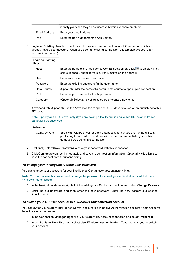|               | identify you when they select users with which to share an object. |
|---------------|--------------------------------------------------------------------|
| Email Address | Enter your email address.                                          |
| Port          | Enter the port number for the App Server.                          |

5. **Login as Existing User tab.** Use this tab to create a new connection to a TIC server for which you already have a user account. (When you open an existing connection, this tab displays your user account information.)

| Login as Existing<br>User |                                                                                                                                                      |
|---------------------------|------------------------------------------------------------------------------------------------------------------------------------------------------|
| Host                      | Enter the name of the Intelligence Central host server. Click  to display a list<br>of Intelligence Central servers currently active on the network. |
| User                      | Enter an existing server user name.                                                                                                                  |
| Password                  | Enter the existing password for the user name.                                                                                                       |
| Data Source               | (Optional) Enter the name of a default data source to open upon connection.                                                                          |
| Port                      | Enter the port number for the App Server.                                                                                                            |
| Category                  | (Optional) Select an existing category or create a new one.                                                                                          |

6. **Advanced tab.** (Optional) Use the Advanced tab to specify ODBC drivers to use when publishing to this TIC server.

**Note:** Specify an ODBC driver **only** if you are having difficulty publishing to this TIC instance from a particular database type.

#### **Advanced**

ODBC Drivers Specify an ODBC driver for each database type that you are having difficulty publishing from. That ODBC driver will be used when publishing from this database type using this connection.

- 7. (Optional) Select **Save Password** to save your password with this connection.
- 8. Click **Connect** to connect immediately and save the connection information. Optionally, click **Save** to save the connection without connecting.

#### *To change your Intelligence Central user password*

You can change your password for your Intelligence Central user account at any time.

**Note:** You cannot use this procedure to change the password for a Intelligence Central account that uses Windows Authentication.

- 1. In the Navigation Manager, right-click the Intelligence Central connection and select **Change Password**.
- 2. Enter the old password and then enter the new password. Enter the new password a second time to confirm.

#### *To switch your TIC user account to a Windows Authentication account*

You can switch your current Intelligence Central account to a Windows Authentication account if both accounts have the **same** user name.

- 1. In the Connection Manager, right-click your current TIC account connection and select **Properties**.
- 2. In the **Register New User** tab, select **Use Windows Authentication**. Toad prompts you to switch your account.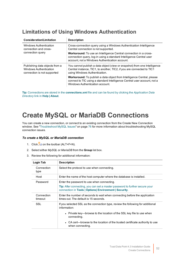## <span id="page-51-0"></span>**Limitations of Using Windows Authentication**

| Consideration/Limitation                                                                | <b>Description</b>                                                                                                                                                                                |
|-----------------------------------------------------------------------------------------|---------------------------------------------------------------------------------------------------------------------------------------------------------------------------------------------------|
| <b>Windows Authentication</b><br>connection and cross-                                  | Cross-connection query using a Windows Authentication Intelligence<br>Central connection is not supported.                                                                                        |
| connection query                                                                        | <b>Workaround:</b> To use an Intelligence Central connection in a cross-<br>connection query, log-in using a standard Intelligence Central user<br>account, not a Windows Authentication account. |
| Publishing data objects from a<br>Windows Authentication<br>connection is not supported | You cannot publish a data object (view or snapshot) from one Intelligence<br>Central instance, TIC1, to another, TIC2, if you are connected to TIC1<br>using Windows Authentication.              |
|                                                                                         | Workaround: To publish a data object from Intelligence Central, please<br>connect to TIC using a standard Intelligence Central user account, not a<br>Windows Authentication account.             |

**Tip:** Connections are stored in the **connections.xml** file and can be found by clicking the *Application Data Directory* link in **Help | About**.

# **Create MySQL or MariaDB Connections**

You can create a new connection, or connect to an existing connection from the Create New Connection window. See ["Troubleshoot](#page-75-0) MySQL Issues" on page 76 for more information about troubleshooting MySQL connection issues.

#### *To create a MySQL or MariaDB connection*

- 1. Click  $\frac{11}{24}$  on the toolbar (ALT+F+N).
- 2. Select either *MySQL* or *MariaDB* from the **Group** list box.
- 3. Review the following for additional information:

| Login Tab             | <b>Description</b>                                                                                                                                                                                                                                                                         |
|-----------------------|--------------------------------------------------------------------------------------------------------------------------------------------------------------------------------------------------------------------------------------------------------------------------------------------|
| Connection<br>type    | Select the protocol to use when connecting.                                                                                                                                                                                                                                                |
| Host                  | Enter the name of the host computer where the database is installed.                                                                                                                                                                                                                       |
| Password              | Enter the password to use when connecting.<br><b>Tip:</b> After connecting, you can set a master password to further secure your<br>connection in Tools   Options   Environment   Security.                                                                                                |
| Connection<br>timeout | Enter the number of seconds to wait when connecting before the application<br>times out. The default is 15 seconds.                                                                                                                                                                        |
| SSL                   | If you selected SSL as the connection type, review the following for additional<br>information:<br>• Private key—browse to the location of the SSL key file to use when<br>connecting.<br>• CA cert—browse to the location of the trusted certificate authority to use<br>when connecting. |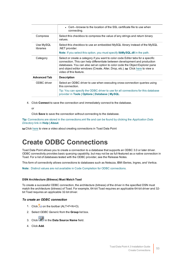|                        | • Cert—browse to the location of the SSL certificate file to use when<br>connecting.                                                                                                                                                                                                                                                                       |
|------------------------|------------------------------------------------------------------------------------------------------------------------------------------------------------------------------------------------------------------------------------------------------------------------------------------------------------------------------------------------------------|
| Compress               | Select this checkbox to compress the value of any strings and return binary<br>values.                                                                                                                                                                                                                                                                     |
| Use MySQL<br>libraries | Select this checkbox to use an embedded MySQL library instead of the MySQL<br>.NET provider.<br><b>Note:</b> If you select this option, you must specify <b>libMySQL.dll</b> in the path.                                                                                                                                                                  |
| Category               | Select or create a category if you want to color code Editor tabs for a specific<br>connection. This can help differentiate between development and production<br>databases. You can also set an option to color code the Object Explorer pane<br>and object editor windows (Create, Alter, Drop, etc.). to Click here to view a<br>video of this feature. |
| <b>Advanced Tab</b>    | <b>Description</b>                                                                                                                                                                                                                                                                                                                                         |
| ODBC driver            | Select an ODBC driver to use when executing cross-connection queries using<br>this connection.                                                                                                                                                                                                                                                             |
|                        | Tip: You can specify the ODBC driver to use for all connections for this database<br>provider in Tools   Options   Database   MySQL.                                                                                                                                                                                                                       |

4. Click **Connect** to save the connection and immediately connect to the database.

or

Click **Save** to save the connection without connecting to the database.

**Tip:** Connections are stored in the connections.xml file and can be found by clicking the *Application Data Directory* link in **Help | About**.

<span id="page-52-0"></span>the Click [here](http://www.toadworld.com/products/toad-data-point/m/media-library/646.aspx) to view a video about creating connections in Toad Data Point

# **Create ODBC Connections**

Toad Data Point allows you to create a connection to a database that supports an ODBC 3.0 or later driver. ODBC connectivity provides basic querying capability, but may not be as full-featured as a native connection in Toad. For a list of databases tested with the ODBC provider, see the Release Notes.

This form of connectivity allows connections to databases such as Netezza, IBM iSeries, Ingres, and Vertica.

**Note:** Distinct values are not available in Code Completion for ODBC connections.

#### **DSN Architecture (Bitness) Must Match Toad**

To create a successful ODBC connection, the architecture (bitness) of the driver in the specified DSN must match the architecture (bitness) of Toad. For example, 64-bit Toad requires an applicable 64-bit driver and 32 bit Toad requires an applicable 32-bit driver.

#### *To create an ODBC connection*

- 1. Click  $\frac{12}{3}$  on the toolbar (ALT+F+N+O).
- 2. Select *ODBC Generic* from the **Group** list box.
- 3. Click in the **Data Source Name** field.
- 4. Click **Add**.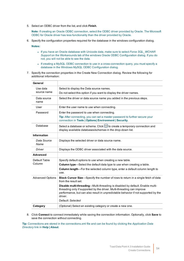5. Select an ODBC driver from the list, and click **Finish**.

**Note:** If creating an Oracle ODBC connection, select the ODBC driver provided by Oracle. The Microsoft ODBC for Oracle driver has less functionality than the driver provided by Oracle.

6. Specify the configuration properties required for the database in the windows configuration dialog.

**Notes:**

- <sup>l</sup> If you have an Oracle database with Unicode data, make sure to select *Force SQL\_WCHAR Support* on the Workarounds tab of the windows Oracle ODBC Configuration dialog. If you do not, you will not be able to see the data.
- If creating a MySQL ODBC connection to use in a cross-connection query, you must specify a database in the Windows MySQL ODBC Configuration dialog.
- 7. Specify the connection properties in the Create New Connection dialog. Review the following for additional information:

| General                 |                                                                                                                                                                                                                                                          |
|-------------------------|----------------------------------------------------------------------------------------------------------------------------------------------------------------------------------------------------------------------------------------------------------|
| Use data                | Select to display the Data source names.                                                                                                                                                                                                                 |
| source name             | Do not select this option if you want to display the driver names.                                                                                                                                                                                       |
| Data source<br>name     | Select the driver or data source name you added in the previous steps.                                                                                                                                                                                   |
| User                    | Enter the user name to use when connecting.                                                                                                                                                                                                              |
| Password                | Enter the password to use when connecting.                                                                                                                                                                                                               |
|                         | Tip: After connecting, you can set a master password to further secure your<br>connection in Tools   Options  Environment   Security.                                                                                                                    |
| Database                | Select a database or schema. Click <b>b</b> to create a temporary connection and<br>display available databases/schemas in the drop-down list.                                                                                                           |
| <b>Information</b>      |                                                                                                                                                                                                                                                          |
| Data Source<br>Name     | Displays the selected driver or data source name.                                                                                                                                                                                                        |
| Driver                  | Displays the ODBC driver associated with the data source.                                                                                                                                                                                                |
| <b>Advanced</b>         |                                                                                                                                                                                                                                                          |
| Default Table           | Specify default options to use when creating a new table.                                                                                                                                                                                                |
| Column                  | Column type-Select the default data type to use when creating a table.                                                                                                                                                                                   |
|                         | Column length-For the selected column type, enter a default column length to<br>use.                                                                                                                                                                     |
| <b>Advanced Options</b> | Block Cursor Size-Specify the number of rows to return in a single fetch of data<br>from the result set.                                                                                                                                                 |
|                         | Disable multi-threading-Multi-threading is disabled by default. Enable multi-<br>threading only if supported by the driver. Multi-threading can improve<br>performance, but can also result in unpredictable behavior if not supported by the<br>driver. |
|                         | Default: Selected                                                                                                                                                                                                                                        |
| Category                | (Optional) Select an existing category or create a new one.                                                                                                                                                                                              |

8. Click **Connect** to connect immediately while saving the connection information. Optionally, click **Save** to save the connection without connecting.

**Tip:** Connections are stored in the connections.xml file and can be found by clicking the *Application Data Directory* link in **Help | About**.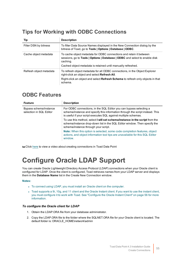# **Tips for Working with ODBC Connections**

| Tip                     | <b>Description</b>                                                                                                                                                                                                                |
|-------------------------|-----------------------------------------------------------------------------------------------------------------------------------------------------------------------------------------------------------------------------------|
| Filter DSN by bitness   | To filter Data Source Names displayed in the New Connection dialog by the<br>bitness of Toad, go to Tools   Options   Database   ODBC.                                                                                            |
| Cache object metadata   | To cache object metadata for ODBC connections and retain it between<br>sessions, go to Tools   Options   Database   ODBC and select to enable disk<br>caching.<br>Cached object metadata is retained until manually refreshed.    |
| Refresh object metadata | To refresh object metadata for all ODBC connections, in the Object Explorer<br>right-click an object and select Refresh All.<br>Right-click an object and select <b>Refresh Schema</b> to refresh only objects in that<br>schema. |

### **ODBC Features**

| <b>Feature</b>                                    | <b>Description</b>                                                                                                                                                                                                     |
|---------------------------------------------------|------------------------------------------------------------------------------------------------------------------------------------------------------------------------------------------------------------------------|
| Bypass schema/instance<br>selection in SQL Editor | For ODBC connections, in the SQL Editor you can bypass selecting a<br>schema/instance and specify this information through the script instead. This<br>is useful if your script executes SQL against multiple schemas. |
|                                                   | To use this method, select I will set schema/instance in the script from the<br>schema/instance drop-down list in the SQL Editor window. Then specify the<br>schema/instance through your script.                      |
|                                                   | Note: When this option is selected, some code completion features, object<br>actions, and object information tool tips are unavailable for this SQL Editor<br>window.                                                  |

tu Click [here](http://www.toadworld.com/products/toad-data-point/m/media-library/646.aspx) to view a video about creating connections in Toad Data Point

# **Configure Oracle LDAP Support**

You can create Oracle Lightweight Directory Access Protocol (LDAP) connections when your Oracle client is configured for LDAP. Once the client is configured, Toad retrieves names from your LDAP server and displays them in the **Database Name** list in the Create New Connection window.

#### **Notes:**

- To connect using LDAP, you must install an Oracle client on the computer.
- <sup>l</sup> Toad supports a 9i, 10g, and 11 client and the Oracle Instant client. If you want to use the instant client, you must configure it to work with Toad. See ["Configure](#page-55-0) the Oracle Instant Client" on page 56 for more [information.](#page-55-0)

#### *To configure the Oracle client for LDAP*

- 1. Obtain the LDAP.ORA file from your database administrator.
- 2. Copy the LDAP.ORA file to the folder where the SQLNET.ORA file for your Oracle client is located. The default folder is: ORACLE\_HOME\network\admin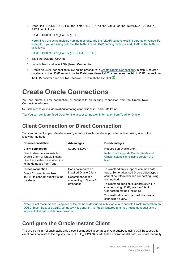3. Open the SQLNET.ORA file and enter "(LDAP)" as the value for the NAMES.DIRECTORY\_ PATH as follows:

NAMES.DIRECTORY\_PATH= (LDAP)

**Note:** If you are using multiple naming methods, add the (LDAP) value to existing parameter values. For example, if you are using both the TNSNAMES and LDAP naming methods, add LDAP to TNSNAMES as follows:

NAMES.DIRECTORY\_PATH= (TNSNAMES, LDAP)

- 4. Save the SQLNET.ORA file.
- 5. Launch Toad and select **File | New | Connection**.
- 6. Create an LDAP connection following the procedure in Create Oracle [Connections](#page-55-1). In step 3, select a database on the LDAP server from the **Database Name** list. Toad retrieves the list of LDAP names from the LDAP server once per Toad session. To refresh the list, click  $\bullet$ .

# <span id="page-55-1"></span>**Create Oracle Connections**

You can create a new connection, or connect to an existing connection from the Create New Connection window.

**to Click [here](http://www.toadworld.com/products/toad-data-point/m/media-library/646.aspx) to view a video about creating connections in Toad Data Point** 

**Tip:** You can configure Toad Data Point to accept connection information from Toad for Oracle.

### **Client Connection or Direct Connection**

You can connect to your database using a native Oracle database provider in Toad using one of the following methods:

| <b>Connection Method</b>                                                                                                          | <b>Advantages</b>                                                                                         | <b>Disadvantages</b>                                                                                                                                                                                                           |
|-----------------------------------------------------------------------------------------------------------------------------------|-----------------------------------------------------------------------------------------------------------|--------------------------------------------------------------------------------------------------------------------------------------------------------------------------------------------------------------------------------|
| <b>Client connection</b>                                                                                                          | Supports LDAP                                                                                             | Requires an Oracle client                                                                                                                                                                                                      |
| Client tab-Uses an installed<br>Oracle Client or Oracle Instant<br>Client to establish a connection<br>to the database from Toad. |                                                                                                           | <b>Note:</b> Toad supports Oracle clients and<br>Oracle Instant clients using version 9i or<br>later.                                                                                                                          |
| <b>Direct connection</b><br>Direct Connect tab-Uses<br>TCP/IP to connect directly to the<br>database.                             | Does not require an<br>installed Oracle Client<br>Recommended for<br>connecting to Oracle 8i<br>databases | This method only supports common data<br>types. Some advanced Oracle object types<br>cannot be retrieved when connecting using<br>this method.<br>This method does not support LDAP. (To<br>connect using LDAP, use the Client |
|                                                                                                                                   |                                                                                                           | Connection method instead.)                                                                                                                                                                                                    |
|                                                                                                                                   |                                                                                                           | This method cannot be used in a cross-<br>connection query.                                                                                                                                                                    |

**Note:** Quest recommends using one of the methods described in this table to connect to Oracle rather than an ODBC driver. Because ODBC connectivity is generic, it is not full-featured and may not be as robust as the fully exploited native database provider.

### <span id="page-55-0"></span>**Configure the Oracle Instant Client**

The Oracle Instant client installs only those files needed to connect to your database using OCI. Because this client does not write to the registry (no ORACLE\_HOMES) or add to the environmental path, you must manually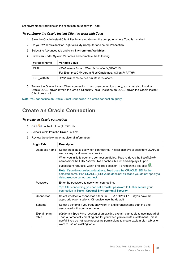set environment variables so the client can be used with Toad.

#### *To configure the Oracle Instant Client to work with Toad*

- 1. Save the Oracle Instant Client files in any location on the computer where Toad is installed.
- 2. On your Windows desktop, right-click My Computer and select **Properties**.
- 3. Select the Advanced tab and click **Environment Variables**.
- 4. Click **New** under System Variables and complete the following:

| Variable name | Variable Value                                                        |
|---------------|-----------------------------------------------------------------------|
| <b>PATH</b>   | <path client="" installed="" instant="" is="" where="">:%PATH%</path> |
|               | For Example: C:\Program Files\OracleInstantClient:%PATH%              |
| TNS ADMIN     | <path file="" installed="" is="" tnsnames.ora="" where=""></path>     |

5. To use the Oracle Instant Client connection in a cross-connection query, you must also install an Oracle ODBC driver. (While the Oracle Client *full* install includes an ODBC driver, the Oracle Instant Client does not.)

**Note:** You cannot use an Oracle Direct Connection in a cross-connection query.

### **Create an Oracle Connection**

#### *To create an Oracle connection*

- 1. Click  $\frac{1}{\sqrt{2}}$  on the toolbar (ALT+F+N).
- 2. Select *Oracle* from the **Group** list box.
- 3. Review the following for additional information:

| Login Tab             | <b>Description</b>                                                                                                                                                                                                                                                                         |
|-----------------------|--------------------------------------------------------------------------------------------------------------------------------------------------------------------------------------------------------------------------------------------------------------------------------------------|
| Database name         | Select the alias to use when connecting. This list displays aliases from LDAP, as<br>well as any local tnsnames.ora file.                                                                                                                                                                  |
|                       | When you initially open the connection dialog, Toad retrieves the list of LDAP<br>names from the LDAP server. Toad caches this list and displays it upon                                                                                                                                   |
|                       | subsequent requests, within one Toad session. To refresh the list, click                                                                                                                                                                                                                   |
|                       | <b>Note:</b> If you do not select a database, Toad uses the ORACLE SID for the<br>selected home. If an ORACLE SID value does not exist and you do not specify a<br>database, you cannot connect.                                                                                           |
| Password              | Enter the password to use when connecting.                                                                                                                                                                                                                                                 |
|                       | Tip: After connecting, you can set a master password to further secure your<br>connection in Tools   Options  Environment   Security.                                                                                                                                                      |
| Connect as            | Select whether to connect as either SYSDBA or SYSOPER if you have the<br>appropriate permissions. Otherwise, use the default.                                                                                                                                                              |
| Schema                | Select a schema if you frequently work in a different schema than the one<br>associated with your user name.                                                                                                                                                                               |
| Explain plan<br>table | (Optional) Specify the location of an existing explain plan table to use instead of<br>Toad automatically creating one for you when you execute a statement. This is<br>useful if you do not have necessary permissions to create explain plan tables or<br>want to use an existing table. |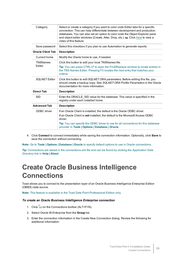| Category                 | Select or create a category if you want to color code Editor tabs for a specific<br>connection. This can help differentiate between development and production<br>databases. You can also set an option to color code the Object Explorer pane<br>and object editor windows (Create, Alter, Drop, etc.). to Click here to view a<br>video of this feature. |
|--------------------------|------------------------------------------------------------------------------------------------------------------------------------------------------------------------------------------------------------------------------------------------------------------------------------------------------------------------------------------------------------|
| Save password            | Select this checkbox if you plan to use Automation to generate reports.                                                                                                                                                                                                                                                                                    |
| <b>Oracle Client Tab</b> | <b>Description</b>                                                                                                                                                                                                                                                                                                                                         |
| Current home             | Modify the Oracle home to use, if needed.                                                                                                                                                                                                                                                                                                                  |
| <b>TNSNames</b>          | Click this button to edit your local TNSNames file.                                                                                                                                                                                                                                                                                                        |
| Editor                   | Tip: You can press CTRL+F to open the Find/Replace window to locate entries in<br>the TNS Names Editor. Pressing F3 locates the next entry that matches your<br>criteria.                                                                                                                                                                                  |
| <b>SQLNET Editor</b>     | Click this button to edit SQLNET.ORA parameters. Before editing this file, you<br>should create a backup copy. See SQLNET.ORA Profile Parameters in the Oracle<br>documentation for more information.                                                                                                                                                      |
| <b>Direct Tab</b>        | <b>Description</b>                                                                                                                                                                                                                                                                                                                                         |
| <b>SID</b>               | Enter the ORACLE SID value for the database. This value is specified in the<br>registry under each installed home.                                                                                                                                                                                                                                         |
| <b>Advanced Tab</b>      | <b>Description</b>                                                                                                                                                                                                                                                                                                                                         |
| ODBC driver              | If an Oracle Client is installed, the default is the Oracle ODBC driver.                                                                                                                                                                                                                                                                                   |
|                          | If an Oracle Client is not installed, the default is the Microsoft Access ODBC<br>driver.                                                                                                                                                                                                                                                                  |
|                          | Tip: You can specify the ODBC driver to use for all connections for this database<br>provider in Tools   Options   Database   Oracle.                                                                                                                                                                                                                      |

4. Click **Connect** to connect immediately while saving the connection information. Optionally, click **Save** to save the connection without connecting.

**Note:** Go to **Tools | Options | Database | Oracle** to specify default options to use in Oracle connections.

**Tip:** Connections are stored in the connections.xml file and can be found by clicking the *Application Data Directory* link in **Help | About**.

# **Create Oracle Business Intelligence Connections**

Toad allows you to connect to the presentation layer of an Oracle Business Intelligence Enterprise Edition (OBIEE) data source.

**Note:** This feature is available in the Toad Data Point Professional Edition only.

#### *To create an Oracle Business Intelligence Enterprise connection*

- 1. Click  $\ddot{=}$  on the Connections toolbar (ALT+F+N).
- 2. Select *Oracle BI Enterprise* from the **Group** list.
- 3. Enter the connection information in the Create New Connection dialog. Review the following for additional information: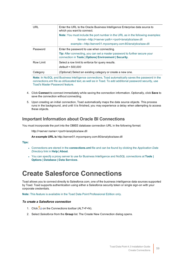| URL       | Enter the URL to the Oracle Business Intelligence Enterprise data source to<br>which you want to connect.                                     |
|-----------|-----------------------------------------------------------------------------------------------------------------------------------------------|
|           | <b>Note:</b> You must include the port number in the URL as in the following examples:                                                        |
|           | format—http:// <server.path>:<port>/analytics/saw.dll</port></server.path>                                                                    |
|           | example—http://server01.mycompany.com:80/analytics/saw.dll                                                                                    |
| Password  | Enter the password to use when connecting.                                                                                                    |
|           | <b>Tip:</b> After connecting, you can set a master password to further secure your<br>connection in Tools   Options   Environment   Security. |
| Row Limit | Select a row limit to enforce for query results.                                                                                              |
|           | default = 500,000                                                                                                                             |
| Category  | (Optional) Select an existing category or create a new one.                                                                                   |

**Note:** In NoSQL and Business Intelligence connections, Toad automatically saves the password in the connections.xml file as obfuscated text, as well as in Toad. To add additional password security, use Toad's Master Password feature.

- 4. Click **Connect** to connect immediately while saving the connection information. Optionally, click **Save** to save the connection without connecting.
- 5. Upon creating an initial connection, Toad automatically maps the data source objects. This process runs in the background, and until it is finished, you may experience a delay when attempting to access these objects.

### **Important Information about Oracle BI Connections**

You must incorporate the port into the OBIEE database connection URL in the following format:

http://<server name>:<port>/analytics/saw.dll

**An example URL is** http://server01.mycompany.com:80/analytics/saw.dll

#### **Tips:**

- <sup>l</sup> Connections are stored in the **connections.xml** file and can be found by clicking the *Application Data Directory* link in **Help | About**.
- <sup>l</sup> You can specify a proxy server to use for Business Intelligence and NoSQL connections at **Tools | Options | Database | Data Services**.

# **Create Salesforce Connections**

Toad allows you to connect directly to Salesforce.com, one of the business intelligence data sources supported by Toad. Toad supports authentication using either a Salesforce security token or single sign-on with your corporate credentials.

**Note:** This feature is available in the Toad Data Point Professional Edition only.

#### *To create a Salesforce connection*

- 1. Click  $\ddot{=}$  on the Connections toolbar (ALT+F+N).
- 2. Select *Salesforce* from the **Group** list. The Create New Connection dialog opens.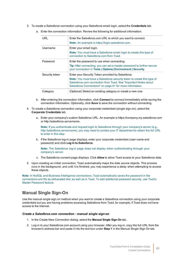3. To create a Salesforce connection using your Salesforce email login, select the **Credentials** tab.

| <b>URL</b>     | Enter the Salesforce.com URL to which you want to connect.<br>Note: An example is https://login.salesforce.com.                                                                                                                                                   |
|----------------|-------------------------------------------------------------------------------------------------------------------------------------------------------------------------------------------------------------------------------------------------------------------|
| Username       | Enter your email login.<br>Note: You must have a Salesforce email login to create this type of<br>connection to Salesforce.com from Toad.                                                                                                                         |
| Password       | Enter the password to use when connecting.<br><b>Tip:</b> After connecting, you can set a master password to further secure<br>your connection in Tools   Options  Environment   Security.                                                                        |
| Security token | Enter your Security Token provided by Salesforce.<br><b>Note:</b> You must have a Salesforce security token to create this type of<br>Salesforce.com connection from Toad. See "Important Notes about<br>Salesforce Connections" on page 61 for more information. |
| Category       | (Optional) Select an existing category or create a new one.                                                                                                                                                                                                       |

a. Enter the connection information. Review the following for additional information:

- b. After entering the connection information, click **Connect** to connect immediately while saving the connection information. Optionally, click **Save** to save the connection without connecting.
- 4. To create a Salesforce connection using your corporate credentials (single sign-on), select the **Corporate Credentials** tab.
	- a. Enter your company's custom Salesforce URL. An example is https://*company*.my.salesforce.com or http://salesforce.*servername*.

**Note:** If you authenticate and request login to Salesforce through your company's server (e.g., http://salesforce.*servername*), you may need to contact your IT department to obtain the full URL to enter in this step.

b. If the Salesforce log-in page displays, enter your corporate credentials (user name and password) and click **Log in to Salesforce**.

**Note:** The Salesforce log-in page does not display when authenticating through your company's server.

- c. The Salesforce consent page displays. Click **Allow** to allow Toad access to your Salesforce data.
- 5. Upon creating an initial connection, Toad automatically maps the data source objects. This process runs in the background, and until it is finished, you may experience a delay when attempting to access these objects.

**Note:** In NoSQL and Business Intelligence connections, Toad automatically saves the password in the connections.xml file as obfuscated text, as well as in Toad. To add additional password security, use Toad's Master Password feature.

### **Manual Single Sign-On**

Use the manual single sign on method when you want to create a Salesforce connection using your corporate credentials but you are having problems accessing Salesforce from Toad, for example, if Toad does not have access to the Internet.

#### *Create a Salesforce.com connection - manual single sign-on*

- 1. In the Create New Connection dialog, select the **Manual Single Sign On** tab.
- 2. Log-in to your Salesforce.com account using your browser. After you log-in, copy the full URL from the browser's address bar and paste it into the text box under **Step 1** in the Manual Single Sign On tab.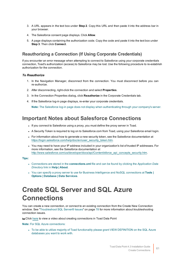- 3. A URL appears in the text box under **Step 2**. Copy this URL and then paste it into the address bar in your browser.
- 4. The Salesforce consent page displays. Click **Allow**.
- 5. A page displays containing the authorization code. Copy the code and paste it into the text box under **Step 3**. Then click **Connect**.

### **Reauthorizing a Connection (If Using Corporate Credentials)**

If you encounter an error message when attempting to connect to Salesforce using your corporate credentials connection, Toad's authorization (access) to Salesforce may be lost. Use the following procedure to re-establish authorization for the connection.

#### *To Reauthorize*

- 1. In the Navigation Manager, disconnect from the connection. You must disconnect before you can re-authorize.
- 2. After disconnecting, right-click the connection and select **Properties**.
- 3. In the Connection Properties dialog, click **Reauthorize** in the Corporate Credentials tab.
- 4. If the Salesforce log-in page displays, re-enter your corporate credentials.

**Note:** The Salesforce log-in page does not display when authenticating through your company's server.

## <span id="page-60-0"></span>**Important Notes about Salesforce Connections**

- If you connect to Salesforce using a proxy, you must define the proxy server in Toad.
- A Security Token is required to log on to Salesforce.com from Toad, using your Salesforce email login.
- For information about how to generate a new security token, see the Salesforce documentation at [https://login.salesforce.com/help/doc/en/user\\_security\\_token.htm](https://login.salesforce.com/help/doc/en/user_security_token.htm).
- You may need to have your IP address included in your organization's list of trusted IP addresses. For more information, see the Salesforce documentation at [http://www.salesforce.com/us/developer/docs/api/Content/sforce\\_api\\_concepts\\_security.htm.](http://www.salesforce.com/us/developer/docs/api/Content/sforce_api_concepts_security.htm)

**Tips:**

- <sup>l</sup> Connections are stored in the **connections.xml** file and can be found by clicking the *Application Data Directory* link in **Help | About**.
- <sup>l</sup> You can specify a proxy server to use for Business Intelligence and NoSQL connections at **Tools | Options | Database | Data Services**.

# **Create SQL Server and SQL Azure Connections**

You can create a new connection, or connect to an existing connection from the Create New Connection window. See ["Troubleshoot](#page-77-0) SQL Server® Issues" on page 78 for more information about troubleshooting connection issues.

tu Click [here](http://www.toadworld.com/products/toad-data-point/m/media-library/646.aspx) to view a video about creating connections in Toad Data Point

**Note:** For SQL Azure connections:

• To be able to utilize majority of Toad functionality please grant VIEW DEFINITION on the SQL Azure databases you want to work with.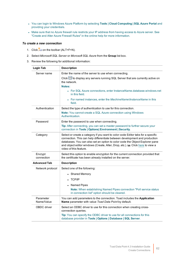- <sup>l</sup> You can login to Windows Azure Platform by selecting **Tools | Cloud Computing | SQL Azure Portal** and providing your credentials.
- Make sure that no Azure firewall rule restricts your IP address from having access to Azure server. See "Create and Alter Azure Firewall Rules" in the online help for more information.

#### *To create a new connection*

- 1. Click  $\frac{1}{2}$  on the toolbar (ALT+F+N).
- 2. Select *Microsoft SQL Server* or *Microsoft SQL Azure* from the **Group** list box.
- 3. Review the following for additional information:

| <b>Login Tab</b>        | <b>Description</b>                                                                                                                                                                                                                                                                                                                                         |
|-------------------------|------------------------------------------------------------------------------------------------------------------------------------------------------------------------------------------------------------------------------------------------------------------------------------------------------------------------------------------------------------|
| Server name             | Enter the name of the server to use when connecting.                                                                                                                                                                                                                                                                                                       |
|                         | click <b>b</b> to display any servers running SQL Server that are currently active on<br>the network.                                                                                                                                                                                                                                                      |
|                         | Notes:                                                                                                                                                                                                                                                                                                                                                     |
|                         | • For SQL Azure connections, enter InstanceName.database.windows.net<br>in this field.                                                                                                                                                                                                                                                                     |
|                         | • For named instances, enter the MachineNameVnstanceName in this<br>field.                                                                                                                                                                                                                                                                                 |
| Authentication          | Select the type of authentication to use for this connection.                                                                                                                                                                                                                                                                                              |
|                         | Note: You cannot create a SQL Azure connection using Windows<br>Authentication.                                                                                                                                                                                                                                                                            |
| Password                | Enter the password to use when connecting.                                                                                                                                                                                                                                                                                                                 |
|                         | Tip: After connecting, you can set a master password to further secure your<br>connection in Tools   Options  Environment   Security.                                                                                                                                                                                                                      |
| Category                | Select or create a category if you want to color code Editor tabs for a specific<br>connection. This can help differentiate between development and production<br>databases. You can also set an option to color code the Object Explorer pane<br>and object editor windows (Create, Alter, Drop, etc.). to Click here to view a<br>video of this feature. |
| Encrypt<br>connection   | Select this option to enable encryption for the current connection provided that<br>the certificate has been already installed on the server.                                                                                                                                                                                                              |
| <b>Advanced Tab</b>     | <b>Description</b>                                                                                                                                                                                                                                                                                                                                         |
| Network protocol        | Select one of the following:                                                                                                                                                                                                                                                                                                                               |
|                         | <b>Shared Memory</b>                                                                                                                                                                                                                                                                                                                                       |
|                         | <b>TCP/IP</b>                                                                                                                                                                                                                                                                                                                                              |
|                         | Named Pipes                                                                                                                                                                                                                                                                                                                                                |
|                         | Note: When establishing Named Pipes connection "Poll service status<br>in connection list" option should be cleared.                                                                                                                                                                                                                                       |
| Parameter<br>Name/Value | You can add parameters to the connection. Toad includes the Application<br>Name parameter with value Toad Data Point by default.                                                                                                                                                                                                                           |
| <b>OBDC</b> driver      | Select an ODBC driver to use for this connection when creating cross-<br>connection queries.                                                                                                                                                                                                                                                               |
|                         | Tip: You can specify the ODBC driver to use for all connections for this<br>database provider in Tools   Options   Database   SQL Server.                                                                                                                                                                                                                  |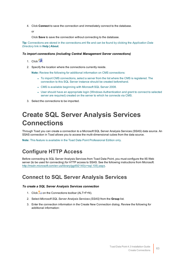4. Click **Connect** to save the connection and immediately connect to the database.

or

Click **Save** to save the connection without connecting to the database.

**Tip:** Connections are stored in the connections.xml file and can be found by clicking the *Application Data Directory* link in **Help | About**.

#### *To import connections (including Central Management Server connections)*

- 1. Click<sup>25</sup>
- 2. Specify the location where the connections currently reside.

**Note:** Review the following for additional information on CMS connections:

- To import CMS connections, select a server from the list where the CMS is registered. The connection to this SQL Server instance should be created beforehand.
- CMS is available beginning with Microsoft SQL Server 2008.
- User should have an appropriate login (Windows Authentication and grant to connect to selected server are required) created on the server to which he connects via CMS.
- 3. Select the connections to be imported.

# **Create SQL Server Analysis Services Connections**

Through Toad you can create a connection to a Microsoft SQL Server Analysis Services (SSAS) data source. An SSAS connection in Toad allows you to access the multi-dimensional cubes from the data source.

**Note:** This feature is available in the Toad Data Point Professional Edition only.

## **Configure HTTP Access**

Before connecting to SQL Server Analysis Services from Toad Data Point, you must configure the IIS Web server (to be used for connecting) for HTTP access to SSAS. See the following instructions from Microsoft: [http://msdn.microsoft.com/en-us/library/gg492140\(v=sql.105\).aspx.](http://msdn.microsoft.com/en-us/library/gg492140(v=sql.105).aspx)

### **Connect to SQL Server Analysis Services**

#### *To create a SQL Server Analysis Services connection*

- 1. Click  $\ddot{B}$  on the Connections toolbar (ALT+F+N).
- 2. Select *Microsoft SQL Server Analysis Services (SSAS)* from the **Group** list.
- 3. Enter the connection information in the Create New Connection dialog. Review the following for additional information: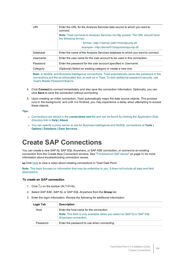| URI      | Enter the URL for the Analysis Services data source to which you want to<br>connect.                          |
|----------|---------------------------------------------------------------------------------------------------------------|
|          | <b>Note:</b> Toad connects to Analysis Services via http access. The URL should have<br>the following format: |
|          | format—http:// <server.path>/msmdpump.dll</server.path>                                                       |
|          | example—http://server01/olap/msmdpump.dll                                                                     |
| Database | Enter the name of the Analysis Services database to which you want to connect.                                |
| Username | Enter the user name for the user account to be used in this connection.                                       |
| Password | Enter the password for the user account specified in Username.                                                |
| Category | (Optional) Select an existing category or create a new one.                                                   |

**Note:** In NoSQL and Business Intelligence connections, Toad automatically saves the password in the connections.xml file as obfuscated text, as well as in Toad. To add additional password security, use Toad's Master Password feature.

- 4. Click **Connect** to connect immediately and also save the connection information. Optionally, you can click **Save** to save the connection without connecting.
- 5. Upon creating an initial connection, Toad automatically maps the data source objects. This process runs in the background, and until it is finished, you may experience a delay when attempting to access these objects.

#### **Tips:**

- <sup>l</sup> Connections are stored in the **connections.xml** file and can be found by clicking the *Application Data Directory* link in **Help | About**.
- <sup>l</sup> You can specify a proxy server to use for Business Intelligence and NoSQL connections at **Tools | Options | Database | Data Services**.

# **Create SAP Connections**

You can create a new SAP IQ, SAP SQL Anywhere, or SAP ASE connection, or connect to an existing connection from the Create New Connection window. See ["Troubleshoot](#page-79-0) SAP Issues" on page 80 for more [information](#page-79-0) about troubleshooting connection issues.

**to Click** [here](http://www.toadworld.com/products/toad-data-point/m/media-library/646.aspx) to view a video about creating connections in Toad Data Point

**Note:** This topic focuses on information that may be unfamiliar to you. It does not include all step and field descriptions.

#### *To create an SAP connection*

- 1. Click  $\frac{1}{2}$  on the toolbar (ALT+F+N).
- 2. Select *SAP ASE*, *SAP IQ*, or *SAP SQL Anywhere* from the **Group** list.
- 3. Enter the login information. Review the following for additional information:

| Login Tab | <b>Description</b>                                                                                     |
|-----------|--------------------------------------------------------------------------------------------------------|
| Host      | Enter the host name for the connection.                                                                |
|           | <b>Note:</b> This field is only available when you select an SAP IQ or SAP SQL<br>Anywhere connection. |
| Password  | Enter the password to use when connecting.                                                             |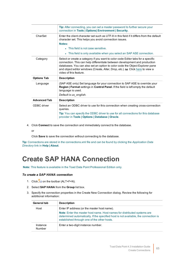|                     | Tip: After connecting, you can set a master password to further secure your<br>connection in Tools   Options   Environment   Security.                                                                                                                                                                                                                     |
|---------------------|------------------------------------------------------------------------------------------------------------------------------------------------------------------------------------------------------------------------------------------------------------------------------------------------------------------------------------------------------------|
| CharSet             | Enter the client character set such as UTF-8 in this field if it differs from the default<br>character set. This helps you avoid connection issues.                                                                                                                                                                                                        |
|                     | Notes:                                                                                                                                                                                                                                                                                                                                                     |
|                     | • This field is not case sensitive.                                                                                                                                                                                                                                                                                                                        |
|                     | • This field is only available when you select an SAP ASE connection.                                                                                                                                                                                                                                                                                      |
| Category            | Select or create a category if you want to color code Editor tabs for a specific<br>connection. This can help differentiate between development and production<br>databases. You can also set an option to color code the Object Explorer pane<br>and object editor windows (Create, Alter, Drop, etc.). to Click here to view a<br>video of this feature. |
| <b>Options Tab</b>  | <b>Description</b>                                                                                                                                                                                                                                                                                                                                         |
| Language            | (SAP ASE only) Set language for your connection to SAP ASE to override your<br>Region   Format settings in Control Panel. If the field is left empty the default<br>language is used.                                                                                                                                                                      |
|                     | Default is us_english.                                                                                                                                                                                                                                                                                                                                     |
| <b>Advanced Tab</b> | <b>Description</b>                                                                                                                                                                                                                                                                                                                                         |
| ODBC driver         | Select an ODBC driver to use for this connection when creating cross-connection<br>queries.                                                                                                                                                                                                                                                                |
|                     | Tip: You can specify the ODBC driver to use for all connections for this database<br>provider in Tools   Options   Database   Oracle.                                                                                                                                                                                                                      |

4. Click **Connect** to save the connection and immediately connect to the database.

or

Click **Save** to save the connection without connecting to the database.

**Tip:** Connections are stored in the connections.xml file and can be found by clicking the *Application Data Directory* link in **Help | About**.

# **Create SAP HANA Connection**

**Note:** This feature is available in the Toad Data Point Professional Edition only.

#### *To create a SAP HANA connection*

- 1. Click  $\frac{1}{\sqrt{2}}$  on the toolbar (ALT+F+N).
- 2. Select **SAP HANA** from the **Group** list box.
- 3. Specify the connection properties in the Create New Connection dialog. Review the following for additional information:

| <b>General tab</b> | <b>Description</b>                                                                                                                                                                                             |
|--------------------|----------------------------------------------------------------------------------------------------------------------------------------------------------------------------------------------------------------|
| Host               | Enter IP address (or the master host name).                                                                                                                                                                    |
|                    | Note: Enter the master host name. Host names for distributed systems are<br>determined automatically. If the specified host is not available, the connection is<br>established through one of the other hosts. |
| Instance<br>Number | Enter a two-digit instance number.                                                                                                                                                                             |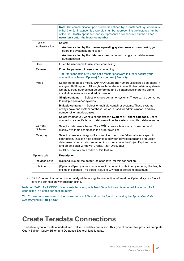|                           | Note: The communication port number is defined by: n <instance> xy, where n is<br/>either 3 or 5, <instance> is a two-digit number representing the instance number<br/>of the SAP HANA appliance, and xy represents a consecutive number. Toad<br/>users only enter the instance number.</instance></instance> |
|---------------------------|-----------------------------------------------------------------------------------------------------------------------------------------------------------------------------------------------------------------------------------------------------------------------------------------------------------------|
| Type of<br>Authentication | Select:<br>Authentication by the current operating system user - connect using your                                                                                                                                                                                                                             |
|                           | operating system authentication<br>Authentication by the database user - connect using your database user<br>authentication                                                                                                                                                                                     |
| User                      | Enter the user name to use when connecting.                                                                                                                                                                                                                                                                     |
| Password                  | Enter the password to use when connecting.                                                                                                                                                                                                                                                                      |
|                           | Tip: After connecting, you can set a master password to further secure your<br>connection in Tools   Options  Environment   Security.                                                                                                                                                                           |
| Mode                      | Select the database mode. SAP HANA supports numerous isolated databases in<br>a single HANA system. Although each database in a multiple-container system is<br>isolated, cross-queries can be performed and all databases share the same<br>installation, resources, and administration.                       |
|                           | Single-container - Select for single-container systems. These can be converted<br>to multiple-container systems.                                                                                                                                                                                                |
|                           | Multiple-container - Select for multiple-container systems. These systems<br>always have one system database, which is used for administration, and any<br>number of tenant databases.                                                                                                                          |
|                           | Select whether you want to connect to the System or Tenant database. Users<br>connect to a specific tenant database within the system using its database name.                                                                                                                                                  |
| Current<br>Schema         | Select a database schema. Click <b>b</b> to create a temporary connection and<br>display available schemas in the drop-down list.                                                                                                                                                                               |
| Category                  | Select or create a category if you want to color code Editor tabs for a specific<br>connection. This can help differentiate between development and production<br>databases. You can also set an option to color code the Object Explorer pane<br>and object editor windows (Create, Alter, Drop, etc.).        |
|                           | to Click here to view a video of this feature.                                                                                                                                                                                                                                                                  |
| <b>Options tab</b>        | <b>Description</b>                                                                                                                                                                                                                                                                                              |
| <b>Isolation Level</b>    | (Optional) Select the default isolation level for this connection.                                                                                                                                                                                                                                              |
| Lifetime                  | (Optional) Specify a maximum value for connection lifetime by entering the length<br>of time in seconds. The default value is 0, which specifies no maximum.                                                                                                                                                    |

4. Click **Connect** to connect immediately while saving the connection information. Optionally, click **Save** to save the connection without connecting.

**Note:** An SAP HANA ODBC driver is installed along with Toad Data Point and is required if using a HANA connection in a cross-connection query.

**Tip:** Connections are stored in the connections.xml file and can be found by clicking the *Application Data Directory* link in **Help | About**.

# **Create Teradata Connections**

Toad allows you to create a full-featured, native Teradata connection. This type of connection provides complete Query Builder, Query Editor, and Database Explorer functionality.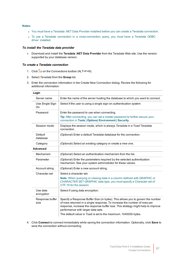#### **Notes:**

- <sup>l</sup> You must have a Teradata .NET Data Provider installed before you can create a Teradata connection.
- To use a Teradata connection in a cross-connection query, you must have a Teradata ODBC driver installed.

#### *To install the Teradata data provider*

» Download and install the **Teradata .NET Data Provider** from the Teradata Web site. Use the version supported by your database version.

#### *To create a Teradata connection*

- 1. Click  $\frac{1}{2}$  on the Connections toolbar (ALT+F+N).
- 2. Select *Teradata* from the **Group** list.
- 3. Enter the connection information in the Create New Connection dialog. Review the following for additional information:

| Login                   |                                                                                                                                                                                                                                                                                                                                                           |
|-------------------------|-----------------------------------------------------------------------------------------------------------------------------------------------------------------------------------------------------------------------------------------------------------------------------------------------------------------------------------------------------------|
| Server name             | Enter the name of the server hosting the database to which you want to connect.                                                                                                                                                                                                                                                                           |
| Use Single Sign<br>On   | Select if the user is using a single sign-on authentication system.                                                                                                                                                                                                                                                                                       |
| Password                | Enter the password to use when connecting.                                                                                                                                                                                                                                                                                                                |
|                         | Tip: After connecting, you can set a master password to further secure your<br>connection in Tools   Options  Environment   Security.                                                                                                                                                                                                                     |
| Session mode            | Displays the session mode, which is always Teradata in a Toad Teradata<br>connection.                                                                                                                                                                                                                                                                     |
| Default<br>database     | (Optional) Enter a default Teradata database for the connection.                                                                                                                                                                                                                                                                                          |
| Category                | (Optional) Select an existing category or create a new one.                                                                                                                                                                                                                                                                                               |
| <b>Advanced</b>         |                                                                                                                                                                                                                                                                                                                                                           |
| Mechanism               | (Optional) Select an authentication mechanism from the list.                                                                                                                                                                                                                                                                                              |
| Parameter               | (Optional) Enter the parameters required by the selected authentication<br>mechanism. See your system administrator for these values.                                                                                                                                                                                                                     |
| Account string          | (Optional) Enter a new account string.                                                                                                                                                                                                                                                                                                                    |
| Character set           | Select a character set.                                                                                                                                                                                                                                                                                                                                   |
|                         | Note: When querying or viewing data in a column defined with GRAPHIC or<br>CHARACTER SET GRAPHIC data type, you must specify a Character set of<br>UTF-16 for the session.                                                                                                                                                                                |
| Use data<br>encryption  | Select if using data encryption.                                                                                                                                                                                                                                                                                                                          |
| Response buffer<br>size | Specify a Response Buffer Size (in bytes). This allows you to govern the number<br>of rows returned in a single response. To increase the number of rows per<br>response, increase the response buffer size. This strategy might help to improve<br>performance with larger data sets.<br>The default value in Toad is set to the maximum, 1040000 bytes. |

4. Click **Connect** to connect immediately while saving the connection information. Optionally, click **Save** to save the connection without connecting.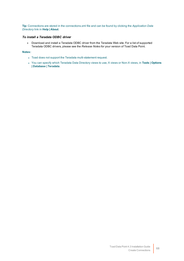**Tip:** Connections are stored in the connections.xml file and can be found by clicking the *Application Data Directory* link in **Help | About**.

#### *To install a Teradata ODBC driver*

» Download and install a Teradata ODBC driver from the Teradata Web site. For a list of supported Teradata ODBC drivers, please see the *Release Notes* for your version of Toad Data Point.

#### **Notes:**

- Toad does not support the Teradata multi-statement request.
- <sup>l</sup> You can specify which Teradata Data Directory views to use, X views or Non-X views, in **Tools | Options | Database | Teradata**.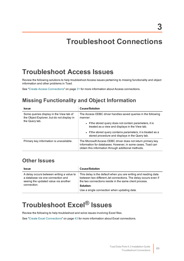# **Troubleshoot Connections**

# **Troubleshoot Access Issues**

Review the following solutions to help troubleshoot Access issues pertaining to missing functionality and object information and other problems in Toad.

See "Create Access [Connections"](#page-30-0) on page 31 for more information about Access connections.

## **Missing Functionality and Object Information**

| <b>Issue</b>                                                                                            | <b>Cause/Solution</b>                                                                                                                                                              |
|---------------------------------------------------------------------------------------------------------|------------------------------------------------------------------------------------------------------------------------------------------------------------------------------------|
| Some queries display in the View tab of<br>the Object Explorer, but do not display in<br>the Query tab. | The Access ODBC driver handles saved queries in the following<br>manner:                                                                                                           |
|                                                                                                         | • If the stored query does not contain parameters, it is<br>treated as a view and displays in the View tab.                                                                        |
|                                                                                                         | • If the stored query contains parameters, it is treated as a<br>stored procedure and displays in the Query tab.                                                                   |
| Primary key information is unavailable.                                                                 | The Microsoft Access ODBC driver does not return primary key<br>information for databases. However, in some cases, Toad can<br>obtain this information through additional methods. |

### **Other Issues**

| <b>Issue</b>                                                                                                           | <b>Cause/Solution</b>                                                                                                                                                                        |
|------------------------------------------------------------------------------------------------------------------------|----------------------------------------------------------------------------------------------------------------------------------------------------------------------------------------------|
| A delay occurs between writing a value to<br>a database via one connection and<br>seeing the updated value via another | This delay is the default when you are writing and reading data<br>between two different Jet connections. The delay occurs even if<br>the two connections reside in the same client process. |
| connection.                                                                                                            | Solution:                                                                                                                                                                                    |
|                                                                                                                        | Use a single connection when updating data.                                                                                                                                                  |

# <span id="page-68-0"></span>**Troubleshoot Excel® Issues**

Review the following to help troubleshoot and solve issues involving Excel files.

See "Create Excel [Connections"](#page-42-0) on page 43 for more information about Excel connections.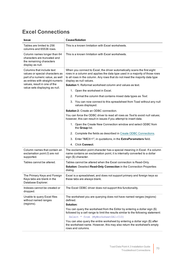# **Excel Connections**

| <b>Issue</b>                                                                                                                                                                                           | <b>Cause/Solution</b>                                                                                                                                                                                                                                                                                                                                                                                                                                                                                                                                                             |
|--------------------------------------------------------------------------------------------------------------------------------------------------------------------------------------------------------|-----------------------------------------------------------------------------------------------------------------------------------------------------------------------------------------------------------------------------------------------------------------------------------------------------------------------------------------------------------------------------------------------------------------------------------------------------------------------------------------------------------------------------------------------------------------------------------|
| Tables are limited to 256<br>columns and 65536 rows.                                                                                                                                                   | This is a known limitation with Excel worksheets.                                                                                                                                                                                                                                                                                                                                                                                                                                                                                                                                 |
| Column names longer than 64<br>characters are truncated and<br>the remaining characters<br>display as null.                                                                                            | This is a known limitation with Excel worksheets.                                                                                                                                                                                                                                                                                                                                                                                                                                                                                                                                 |
| Columns that include text<br>values or special characters as<br>part of a numeric value, as well<br>as entries with straight numeric<br>values, result in one of the<br>value sets displaying as null. | When you connect to Excel, the driver automatically scans the first eight<br>rows in a column and applies the data type used in a majority of those rows<br>to all rows in the column. Any rows that do not meet the majority data type<br>display as null values.<br><b>Solution 1:</b> Reformat worksheet column and values as text.<br>1. Open the worksheet in Excel.<br>2. Format the column that contains mixed data types as Text.<br>3. You can now connect to this spreadsheet from Toad without any null<br>values displayed.<br>Solution 2: Create an ODBC connection. |
|                                                                                                                                                                                                        | You can force the ODBC driver to read all rows as Text to avoid null values;<br>however, this can result in issues if you attempt to insert data.                                                                                                                                                                                                                                                                                                                                                                                                                                 |
|                                                                                                                                                                                                        | 1. Open the Create New Connection window and select ODBC from<br>the Group list.                                                                                                                                                                                                                                                                                                                                                                                                                                                                                                  |
|                                                                                                                                                                                                        | 2. Complete the fields as described in Create ODBC Connections.                                                                                                                                                                                                                                                                                                                                                                                                                                                                                                                   |
|                                                                                                                                                                                                        | 3. Enter "IMEX=1", in quotations, in the ExtraParameters field.                                                                                                                                                                                                                                                                                                                                                                                                                                                                                                                   |
|                                                                                                                                                                                                        | 4. Click Connect.                                                                                                                                                                                                                                                                                                                                                                                                                                                                                                                                                                 |
| Column names that contain an<br>exclamation point (!) are not<br>supported.                                                                                                                            | The exclamation point character has a special meaning in Excel. If a column<br>name contains an exclamation point, it is internally converted to a dollar<br>sign (\$) character.                                                                                                                                                                                                                                                                                                                                                                                                 |
| Tables cannot be altered.                                                                                                                                                                              | Tables cannot be altered when the Excel connection is Read-Only.                                                                                                                                                                                                                                                                                                                                                                                                                                                                                                                  |
|                                                                                                                                                                                                        | Solution: Deselect Read-Only Connection in the Connection Properties<br>dialog.                                                                                                                                                                                                                                                                                                                                                                                                                                                                                                   |
| The Primary Keys and Foreign<br>Keys tabs are blank in the<br>Database Explorer.                                                                                                                       | Excel is a spreadsheet, and does not support primary and foreign keys so<br>these tabs are always blank.                                                                                                                                                                                                                                                                                                                                                                                                                                                                          |
| Indexes cannot be created or<br>dropped.                                                                                                                                                               | The Excel ODBC driver does not support this functionality.                                                                                                                                                                                                                                                                                                                                                                                                                                                                                                                        |
| Unable to query Excel files<br>without named ranges                                                                                                                                                    | The worksheet you are querying does not have named ranges (regions)<br>defined.                                                                                                                                                                                                                                                                                                                                                                                                                                                                                                   |
| (regions).                                                                                                                                                                                             | Solution:                                                                                                                                                                                                                                                                                                                                                                                                                                                                                                                                                                         |
|                                                                                                                                                                                                        | You can query the worksheet from the Editor by entering a dollar sign (\$)<br>followed by a cell range to limit the results similar to the following statement:<br>Select * from (MyWorksheet\$A1:C10)                                                                                                                                                                                                                                                                                                                                                                            |
|                                                                                                                                                                                                        | You can also query the entire worksheet by entering a dollar sign (\$) after<br>the worksheet name. However, this may also return the worksheet's empty<br>rows and columns.                                                                                                                                                                                                                                                                                                                                                                                                      |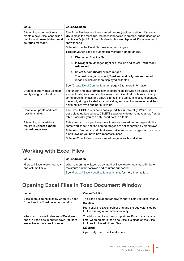| <b>Issue</b>                                                                                                         | <b>Cause/Solution</b>                                                                                                                                                                                                                                                                                                                                                                      |
|----------------------------------------------------------------------------------------------------------------------|--------------------------------------------------------------------------------------------------------------------------------------------------------------------------------------------------------------------------------------------------------------------------------------------------------------------------------------------------------------------------------------------|
| Attempting to connect to or<br>create a new Excel connection<br>results in No user tables could<br>be found message. | The Excel file does not have named ranges (regions) defined. If you click<br>OK to close the message, the new connection is created, but no user tables<br>display in Object Explorer. (System tables are displayed, if you selected to<br>show these.)<br><b>Solution 1:</b> In the Excel file, create named ranges.<br><b>Solution 2:</b> Ask Toad to automatically create named ranges. |
|                                                                                                                      | 1. Disconnect from the file.                                                                                                                                                                                                                                                                                                                                                               |
|                                                                                                                      | 2. In Navigation Manager, right-click the file and select Properties  <br>Advanced.                                                                                                                                                                                                                                                                                                        |
|                                                                                                                      | 3. Select Automatically create ranges.                                                                                                                                                                                                                                                                                                                                                     |
|                                                                                                                      | The next time you connect, Toad automatically creates named<br>ranges, which are then displayed as tables.                                                                                                                                                                                                                                                                                 |
|                                                                                                                      | See "Create Excel Connections" on page 43 for more information.                                                                                                                                                                                                                                                                                                                            |
| Unable to query data using an<br>empty string or null value.                                                         | The underlying data format cannot differentiate between an empty string<br>and null data, so a query with a search condition that contains an empty<br>string does not match any empty strings in the table. This occurs because<br>the empty string is treated as a null value, and a null value never matches<br>anything, not even another null value.                                  |
| Unable to update or delete<br>rows in a table.                                                                       | The Excel ODBC driver does not support this functionality. While it is<br>possible to update values, DELETE statements do not remove a row from a<br>table. Basically, you can only insert data in a table.                                                                                                                                                                                |
| Attempting to insert data<br>results in Cannot expand<br>named range error.                                          | This error occurs if you have more than one named range (region) in the<br>same worksheet, and the named ranges are not separated by blank rows.<br><b>Solution 1:</b> You must add blank rows between named ranges. Add as many<br>blank rows as you have new records to insert.<br>Solution 2: Include only one named range in each worksheet.                                           |

# **Working with Excel Files**

| <b>Issue</b>                                       | <b>Cause/Solution</b>                                                                                                    |
|----------------------------------------------------|--------------------------------------------------------------------------------------------------------------------------|
| Microsoft Excel worksheet row<br>and column limits | When exporting to Excel, be aware that Excel worksheets have limits for<br>maximum number of rows and columns supported. |
|                                                    | See Microsoft Excel specifications and limits for more information.                                                      |

# **Opening Excel Files in Toad Document Window**

| <b>Issue</b>                                                                                                            | <b>Cause/Solution</b>                                                                                                                                    |
|-------------------------------------------------------------------------------------------------------------------------|----------------------------------------------------------------------------------------------------------------------------------------------------------|
| Excel menus do not display when you open<br>Excel files in a Toad document window.                                      | The Toad document window cannot display all Excel menus.                                                                                                 |
|                                                                                                                         | Solution:                                                                                                                                                |
|                                                                                                                         | Right-click the Excel toolbar and add the equivalent toolbar<br>for the missing menu or functionality.                                                   |
| When two or more instances of Excel are<br>open in Toad document windows, toolbars<br>are active for only one instance. | Toad document windows support one Excel instance at a<br>time. Opening more than one Excel file disables the Excel<br>toolbars for the additional files. |
|                                                                                                                         | Solution:                                                                                                                                                |
|                                                                                                                         | Open only one Excel file at a time.                                                                                                                      |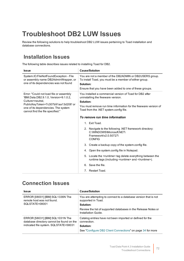# **Troubleshoot DB2 LUW Issues**

Review the following solutions to help troubleshoot DB2 LUW issues pertaining to Toad installation and database connections.

### **Installation Issues**

The following table describes issues related to installing Toad for DB2.

| <b>Issue</b>                                                                                                                                                                                                          | <b>Cause/Solution</b>                                                                                                                                                                                                     |
|-----------------------------------------------------------------------------------------------------------------------------------------------------------------------------------------------------------------------|---------------------------------------------------------------------------------------------------------------------------------------------------------------------------------------------------------------------------|
| System.IO.FileNotFoundException - File<br>or assembly name DB2AdminWrapper, or<br>one of its dependencies was not found                                                                                               | You are not a member of the DB2ADMIN or DB2USERS group.<br>To install Toad, you must be a member of either group.<br>Solution:                                                                                            |
|                                                                                                                                                                                                                       | Ensure that you have been added to one of these groups.                                                                                                                                                                   |
| Error: "Could not load file or assembly<br>'IBM.Data.DB2.9.1.0, Version=9.1.0.2,<br>Culture=neutral.<br>PublicKeyToken=7c307b91aa13d208'or<br>one of its dependencies. The system<br>cannot find the file specified." | You installed a commercial version of Toad for DB2 after<br>uninstalling the freeware version.<br>Solution:<br>You must remove run time information for the freeware version of<br>Toad from the .NET system.config file. |
|                                                                                                                                                                                                                       | To remove run time information                                                                                                                                                                                            |
|                                                                                                                                                                                                                       | 1. Exit Toad.                                                                                                                                                                                                             |
|                                                                                                                                                                                                                       | 2. Navigate to the following .NET framework directory:<br>C:\WINDOWS\Microsoft.NET\<br>Framework\v2.0.50727\<br><b>CONFIG</b>                                                                                             |
|                                                                                                                                                                                                                       | 3. Create a backup copy of the system.config file.                                                                                                                                                                        |
|                                                                                                                                                                                                                       | 4. Open the system.config file in Notepad.                                                                                                                                                                                |
|                                                                                                                                                                                                                       | 5. Locate the <runtime>tag delete everything between the<br/>runtime tags (including <runtime> and </runtime>).</runtime>                                                                                                 |
|                                                                                                                                                                                                                       | 6. Save the file.                                                                                                                                                                                                         |
|                                                                                                                                                                                                                       | 7. Restart Toad.                                                                                                                                                                                                          |

## **Connection Issues**

| <b>Issue</b>                                                                                                           | <b>Cause/Solution</b>                                                                 |
|------------------------------------------------------------------------------------------------------------------------|---------------------------------------------------------------------------------------|
| ERROR [08001] [IBM] SQL1336N The<br>remote host was not found.<br>SOLSTATE=08001                                       | You are attempting to connect to a database version that is not<br>supported in Toad. |
|                                                                                                                        | Solution:                                                                             |
|                                                                                                                        | Review the list of supported databases in the Release Notes or<br>Installation Guide  |
| ERROR [58031] [IBM] SQL1031N The<br>database directory cannot be found on the<br>indicated file system. SQLSTATE=58031 | Catalog entries have not been imported or defined for the<br>connection.              |
|                                                                                                                        | Solution:                                                                             |
|                                                                                                                        | See "Configure DB2 Client Connections" on page 34 for more                            |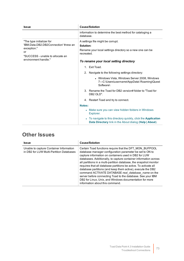| <b>Issue</b>                                                                                                                                        | <b>Cause/Solution</b>                                                                                                          |
|-----------------------------------------------------------------------------------------------------------------------------------------------------|--------------------------------------------------------------------------------------------------------------------------------|
|                                                                                                                                                     | information to determine the best method for cataloging a<br>database.                                                         |
| "The type initializer for<br>'IBM.Data.DB2.DB2Connection' threw an<br>exception."<br>or<br>"SUCCESS - unable to allocate an<br>environment handle." | A settings file might be corrupt.<br>Solution:<br>Rename your local settings directory so a new one can be<br>recreated.       |
|                                                                                                                                                     | To rename your local setting directory                                                                                         |
|                                                                                                                                                     | Exit Toad.<br>$1_{-}$                                                                                                          |
|                                                                                                                                                     | 2. Navigate to the following settings directory:                                                                               |
|                                                                                                                                                     | • Windows Vista, Windows Server 2008, Windows<br>7-C:\Users\username\AppData\ Roaming\Quest<br>Software\                       |
|                                                                                                                                                     | 3. Rename the Toad for DB2 version# folder to "Toad for<br>DB2 OLD".                                                           |
|                                                                                                                                                     | 4. Restart Toad and try to connect.                                                                                            |
|                                                                                                                                                     | <b>Notes:</b>                                                                                                                  |
|                                                                                                                                                     | Make sure you can view hidden folders in Windows<br>$\bullet$<br>Explorer.                                                     |
|                                                                                                                                                     | To navigate to this directory quickly, click the Application<br><b>Data Directory</b> link in the About dialog (Help   About). |

### **Other Issues**

| <b>Issue</b>                                                                        | <b>Cause/Solution</b>                                                                                                                                                                                                                                                                                                                                                                                                                                                                                                                                                                                                                                                         |
|-------------------------------------------------------------------------------------|-------------------------------------------------------------------------------------------------------------------------------------------------------------------------------------------------------------------------------------------------------------------------------------------------------------------------------------------------------------------------------------------------------------------------------------------------------------------------------------------------------------------------------------------------------------------------------------------------------------------------------------------------------------------------------|
| Unable to capture Container Information<br>in DB2 for LUW Multi-Partition Databases | Certain Toad functions require that the DFT MON BUFPOOL<br>database manager configuration parameter be set to ON to<br>capture information on containers used in DB2 for LUW<br>databases. Additionally, to capture container information across<br>all partitions in a multi-partition database, the snapshot monitor<br>requires that all database partitions be active. To activate all<br>database partitions (and keep them active), execute the DB2<br>command ACTIVATE DATABASE real_database_name on the<br>server before connecting Toad to the database. See your IBM<br>DB2 for Linux, Unix, and Windows documentation for more<br>information about this command. |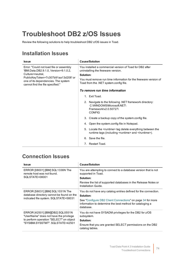## <span id="page-73-0"></span>**Troubleshoot DB2 z/OS Issues**

Review the following solutions to help troubleshoot DB2 z/OS issues in Toad.

### **Installation Issues**

| <b>Issue</b>                                                                                                  | <b>Cause/Solution</b>                                                                                                         |
|---------------------------------------------------------------------------------------------------------------|-------------------------------------------------------------------------------------------------------------------------------|
| Error: "Could not load file or assembly<br>'IBM.Data.DB2.9.1.0, Version=9.1.0.2,                              | You installed a commercial version of Toad for DB2 after<br>uninstalling the freeware version.                                |
| Culture=neutral,                                                                                              | Solution:                                                                                                                     |
| PublicKeyToken=7c307b91aa13d208'or<br>one of its dependencies. The system<br>cannot find the file specified." | You must remove run time information for the freeware version of<br>Toad from the .NET system.config file.                    |
|                                                                                                               | To remove run time information                                                                                                |
|                                                                                                               | Exit Toad.<br>$1_{-}$                                                                                                         |
|                                                                                                               | 2. Navigate to the following .NET framework directory:<br>C:\WINDOWS\Microsoft.NET\<br>Framework\v2.0.50727\<br><b>CONFIG</b> |
|                                                                                                               | 3. Create a backup copy of the system.config file.                                                                            |
|                                                                                                               | 4. Open the system config file in Notepad.                                                                                    |
|                                                                                                               | 5. Locate the <runtime>tag delete everything between the<br/>runtime tags (including <runtime> and </runtime>).</runtime>     |
|                                                                                                               | Save the file.<br>6.                                                                                                          |
|                                                                                                               | 7. Restart Toad.                                                                                                              |

### **Connection Issues**

| <b>Issue</b>                                                                                                                                               | <b>Cause/Solution</b>                                                                                                                |
|------------------------------------------------------------------------------------------------------------------------------------------------------------|--------------------------------------------------------------------------------------------------------------------------------------|
| ERROR [08001] [IBM] SQL1336N The<br>remote host was not found.                                                                                             | You are attempting to connect to a database version that is not<br>supported in Toad.                                                |
| SQLSTATE=08001                                                                                                                                             | Solution:                                                                                                                            |
|                                                                                                                                                            | Review the list of supported databases in the Release Notes or<br>Installation Guide.                                                |
| ERROR [58031] [IBM] SQL1031N The                                                                                                                           | You do not have any catalog entries defined for the connection.                                                                      |
| database directory cannot be found on the                                                                                                                  | Solution:                                                                                                                            |
| indicated file system. SQLSTATE=58031                                                                                                                      | See "Configure DB2 Client Connections" on page 34 for more<br>information to determine the best method for cataloging a<br>database. |
| ERROR [42501] [IBM][DB2] SQL0551N<br>"UserName" does not have the privilege<br>to perform operation "SELECT" on object<br>"SYSIBM.SYSSTMT". SQLSTATE=42501 | You do not have SYSADM privileges for the DB2 for z/OS<br>subsystem.<br>Solution:                                                    |
|                                                                                                                                                            | Ensure that you are granted SELECT permissions on the DB2                                                                            |
|                                                                                                                                                            | catalog tables.                                                                                                                      |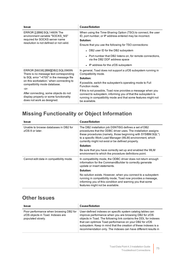| <b>Issue</b>                                                                                                                                                                                        | <b>Cause/Solution</b>                                                                                                                                                                                            |
|-----------------------------------------------------------------------------------------------------------------------------------------------------------------------------------------------------|------------------------------------------------------------------------------------------------------------------------------------------------------------------------------------------------------------------|
| ERROR [] [IBM] SQL1460N The<br>environment variable "SOCKS NS"                                                                                                                                      | When using the Time-Sharing Option (TSO) to connect, the user<br>ID, port number, or IP address entered may be incorrect.                                                                                        |
| required for SOCKS server name                                                                                                                                                                      | Solution:                                                                                                                                                                                                        |
| resolution is not defined or not valid.                                                                                                                                                             | Ensure that you use the following for TSO connections:                                                                                                                                                           |
|                                                                                                                                                                                                     | • DB2 user ID for the DB2 subsystem                                                                                                                                                                              |
|                                                                                                                                                                                                     | • Port number that DB2 listens on, for remote connections,<br>via the DB2 DDF address space                                                                                                                      |
|                                                                                                                                                                                                     | • IP address for the z/OS subsystem                                                                                                                                                                              |
| ERROR [56038] [IBM][DB2] SQL0969N<br>There is no message text corresponding<br>to SQL error "-4700" in the message file<br>on this workstation.' when connecting to<br>compatibility mode database. | In general, Toad does not support a z/OS subsystem running in<br>Compatibility mode.                                                                                                                             |
|                                                                                                                                                                                                     | Solution:                                                                                                                                                                                                        |
|                                                                                                                                                                                                     | If possible, switch the subsystem's operating mode to Full<br>Function mode.                                                                                                                                     |
| $-0r-$<br>After connecting, some objects do not<br>display properly or some functionality<br>does not work as designed.                                                                             | If this is not possible, Toad now provides a message when you<br>connect to subsystem, informing you of that the subsystem is<br>running in compatibility mode and that some features might not<br>be available. |

### **Missing Functionality or Object Information**

| <b>Issue</b>                                                 | <b>Cause/Solution</b>                                                                                                                                                                                                                                                                                   |
|--------------------------------------------------------------|---------------------------------------------------------------------------------------------------------------------------------------------------------------------------------------------------------------------------------------------------------------------------------------------------------|
| Unable to browse databases in DB2 for<br>$z$ /OS 8 or later. | The DB2 installation job DSNTISG defines a set of DB2<br>procedures that the ODBC driver uses. The installation assigns<br>these procedures (namely, those beginning with SYSIBM.SQL*)<br>to a specific Work Load Manager (WLM) environment, which<br>currently might not exist or be defined properly. |
|                                                              | Solution:                                                                                                                                                                                                                                                                                               |
|                                                              | Be sure that you have correctly set up and enabled the WLM<br>environment to which the procedure definitions point.                                                                                                                                                                                     |
| Cannot edit data in compatibility mode.                      | In compatibility mode, the ODBC driver does not return enough<br>information for the CommandBuilder to correctly generate<br>update or insert statements.                                                                                                                                               |
|                                                              | Solution:                                                                                                                                                                                                                                                                                               |
|                                                              | No solution exists. However, when you connect to a subsystem<br>running in compatibility mode, Toad now provides a message,<br>informing you of this condition and warning you that some<br>features might not be available.                                                                            |

### **Other Issues**

| <b>Issue</b>                                                                                     | <b>Cause/Solution</b>                                                                                                                                                                                                                                                                                                                                                                    |
|--------------------------------------------------------------------------------------------------|------------------------------------------------------------------------------------------------------------------------------------------------------------------------------------------------------------------------------------------------------------------------------------------------------------------------------------------------------------------------------------------|
| Poor performance when browsing DB2 for<br>z/OS objects in Toad. Indexes are<br>populated slowly. | User-defined indexes on specific system catalog tables can<br>improve performance when you are browsing DB2 for z/OS<br>objects in Toad. The following link contains the DDL for indexes<br>that can optimize Toad performance on your DB2 for z/OS<br>subsystem. Keep in mind that the creation of these indexes is a<br>recommendation only. The indexes can have different results in |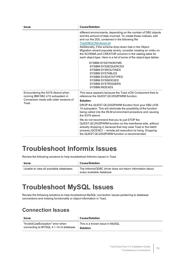| <b>Issue</b>                                                                                                             | <b>Cause/Solution</b>                                                                                                                                                                                                                                                                                                                                                                                                                                                                                                                                                                                              |
|--------------------------------------------------------------------------------------------------------------------------|--------------------------------------------------------------------------------------------------------------------------------------------------------------------------------------------------------------------------------------------------------------------------------------------------------------------------------------------------------------------------------------------------------------------------------------------------------------------------------------------------------------------------------------------------------------------------------------------------------------------|
|                                                                                                                          | different environments, depending on the number of DB2 objects<br>and the amount of data involved. To create these indexes, edit<br>and run the DDL contained in the following file:<br>ToadDB2zOSIndexes.txt<br>Additionally, if the schema drop-down lists in the Object<br>Migration wizard populate slowly, consider creating an index on<br>the SCHEMA and CREATOR columns in the catalog table for<br>each object type. Here is a list of some of the object-type tables:<br>SYSIBM.SYSSYNONYMS<br>SYSIBM.SYSSEQUENCES<br>SYSIBM.SYSROUTINES<br>SYSIBM.SYSTABLES<br>SYSIBM.SYSDATATYPES<br>SYSIBM.SYSINDEXES |
|                                                                                                                          | SYSIBM.SYSTRIGGERS<br>SYSIBM.INDEXES                                                                                                                                                                                                                                                                                                                                                                                                                                                                                                                                                                               |
| Encountering the S378 Abend when<br>running IBM DB2 z/10 subsystem in<br>Conversion mode with older versions of<br>Toad. | This issue appears because the Toad z/OS Component tries to<br>reference the QUEST.QC200ZPARM function.<br>Solution:                                                                                                                                                                                                                                                                                                                                                                                                                                                                                               |
|                                                                                                                          | DROP the QUEST.QC200ZPARM function from your DB2 z/OS<br>10 subsystem. This will eliminate the possibility of the function<br>being called into the WLM environment procedure and causing<br>the S378 abend.                                                                                                                                                                                                                                                                                                                                                                                                       |
|                                                                                                                          | We do not recommend that you to just STOP the<br>QUEST.QC200ZPARM function on the mainframe side, without<br>actually dropping it, because that may case Toad or the batch<br>process (QCEXEC - remote job execution) to hang. Dropping<br>the QUEST.QC200ZPARM function is recommended.                                                                                                                                                                                                                                                                                                                           |

## <span id="page-75-0"></span>**Troubleshoot Informix Issues**

Review the following solutions to help troubleshoot Informix issues in Toad.

| <b>Issue</b>                            | <b>Cause/Solution</b>                                                                  |
|-----------------------------------------|----------------------------------------------------------------------------------------|
| Unable to view all available databases. | The InformixODBC driver does not return information about<br>every available database. |

## <span id="page-75-1"></span>**Troubleshoot MySQL Issues**

Review the following solutions to help troubleshoot MySQL connection issues pertaining to database connections and missing functionality or object information in Toad.

### **Connection Issues**

| <b>Issue</b>                           | <b>Cause/Solution</b>           |
|----------------------------------------|---------------------------------|
| "InvalidCastException" error when      | This is a known issue in MySQL. |
| connecting to MYSQL 4.1.14-nt database | Solution:                       |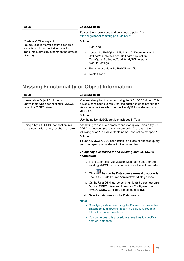| <b>Issue</b>                                                                                                                                      | <b>Cause/Solution</b>                                                                                                                                                  |
|---------------------------------------------------------------------------------------------------------------------------------------------------|------------------------------------------------------------------------------------------------------------------------------------------------------------------------|
|                                                                                                                                                   | Review the known issue and download a patch from:<br>http://bugs.mysql.com/bug.php?id=12771                                                                            |
| "System.IO.DirectoryNot                                                                                                                           | Solution:                                                                                                                                                              |
| Found Exception "error occurs each time"<br>you attempt to connect after installing<br>Toad into a directory other than the default<br>directory. | <b>Exit Toad.</b><br>1.                                                                                                                                                |
|                                                                                                                                                   | 2. Locate the MySQL.xml file in the C:\Documents and<br>Settings\username\Local Settings\ Application<br>Data\Quest Software\ Toad for MySQLversion\<br>ModuleSettings |
|                                                                                                                                                   | 3. Rename or delete the MySQL.xml file.                                                                                                                                |
|                                                                                                                                                   | 4. Restart Toad.                                                                                                                                                       |

## **Missing Functionality or Object Information**

| <b>Issue</b>                                                                                     | <b>Cause/Solution</b>                                                                                                                                                                                                          |
|--------------------------------------------------------------------------------------------------|--------------------------------------------------------------------------------------------------------------------------------------------------------------------------------------------------------------------------------|
| Views tab in Object Explorer is<br>unavailable when connecting to MySQL<br>using the ODBC driver | You are attempting to connect using the 3.51 ODBC driver. This<br>driver is hard-coded to reply that the database does not support<br>views because it needs to connect to MySQL databases prior to<br>version 5.<br>Solution: |
|                                                                                                  | Use the native MySQL provider included in Toad.                                                                                                                                                                                |
| Using a MySQL ODBC connection in a<br>cross-connection query results in an error                 | Attempting to execute a cross-connection query using a MySQL<br>ODBC connection (not a native connection) results in the<br>following error: "The table <table name=""> can not be mapped."</table>                            |
|                                                                                                  | Solution:                                                                                                                                                                                                                      |
|                                                                                                  | To use a MySQL ODBC connection in a cross-connection query,<br>you must specify a database for the connection.                                                                                                                 |
|                                                                                                  | To specify a database for an existing MySQL ODBC<br>connection                                                                                                                                                                 |
|                                                                                                  | 1. In the Connection/Navigation Manager, right-click the<br>existing MySQL ODBC connection and select Properties.                                                                                                              |
|                                                                                                  | 2. Click beside the Data source name drop-down list.<br>The ODBC Data Source Administrator dialog opens.                                                                                                                       |
|                                                                                                  | 3. On the User DSN tab, select (highlight) the connection's<br>MySQL ODBC driver and then click Configure. The<br>MySQL ODBC Configuration dialog displays.                                                                    |
|                                                                                                  | 4. Select a database from the Database list.                                                                                                                                                                                   |
|                                                                                                  | <b>Notes:</b>                                                                                                                                                                                                                  |
|                                                                                                  | • Specifying a database using the Connection Properties<br><b>Database</b> field does not result in a solution. You must<br>follow the procedure above.                                                                        |
|                                                                                                  | • You can repeat this procedure at any time to specify a<br>different database.                                                                                                                                                |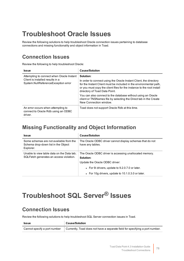## <span id="page-77-1"></span>**Troubleshoot Oracle Issues**

Review the following solutions to help troubleshoot Oracle connection issues pertaining to database connections and missing functionality and object information in Toad.

### **Connection Issues**

Review the following to help troubleshoot Oracle:

| <b>Issue</b>                                                                                                         | <b>Cause/Solution</b>                                                                                                                                                                                                                                            |
|----------------------------------------------------------------------------------------------------------------------|------------------------------------------------------------------------------------------------------------------------------------------------------------------------------------------------------------------------------------------------------------------|
| Attempting to connect when Oracle Instant<br>Client is installed results in a<br>System.NullReferenceException error | Solution:<br>In order to connect using the Oracle Instant Client, the directory<br>for the Instant Client must be included in the environmental path,<br>or you must copy the client files for the instance to the root install<br>directory of Toad Data Point. |
|                                                                                                                      | You can also connect to the database without using an Oracle<br>client or TNSNames file by selecting the Direct tab in the Create<br>New Connection window.                                                                                                      |
| An error occurs when attempting to<br>connect to Oracle Rdb using an ODBC<br>driver.                                 | Toad does not support Oracle Rdb at this time.                                                                                                                                                                                                                   |

### **Missing Functionality and Object Information**

| <b>Issue</b>                                                                                | <b>Cause/Solution</b>                                                                                                                                                                                         |
|---------------------------------------------------------------------------------------------|---------------------------------------------------------------------------------------------------------------------------------------------------------------------------------------------------------------|
| Some schemas are not available from the<br>Schema drop-down list in the Object<br>Explorer. | The Oracle ODBC driver cannot display schemas that do not<br>have any tables.                                                                                                                                 |
| Unable to view table data on the Data tab:<br>SQLFetch generates an access violation.       | The Oracle ODBC driver is accessing unallocated memory.<br>Solution:<br>Update the Oracle ODBC driver:<br>• For 9 drivers, update to 9.2.0.7.0 or later.<br>• For 10g drivers, update to 10.1.0.3.0 or later. |

## <span id="page-77-0"></span>**Troubleshoot SQL Server® Issues**

### **Connection Issues**

Review the following solutions to help troubleshoot SQL Server connection issues in Toad.

| <b>Issue</b>                 | <b>Cause/Solution</b>                                                        |
|------------------------------|------------------------------------------------------------------------------|
| Cannot specify a port number | Currently, Toad does not have a separate field for specifying a port number. |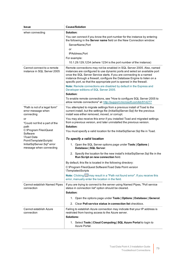| <b>Issue</b>                                                                                           | <b>Cause/Solution</b>                                                                                                                                                                                                                                                                                                                                                              |
|--------------------------------------------------------------------------------------------------------|------------------------------------------------------------------------------------------------------------------------------------------------------------------------------------------------------------------------------------------------------------------------------------------------------------------------------------------------------------------------------------|
| when connecting                                                                                        | Solution:                                                                                                                                                                                                                                                                                                                                                                          |
|                                                                                                        | You can connect if you know the port number for the instance by entering<br>the following in the Server name field on the New Connection window:                                                                                                                                                                                                                                   |
|                                                                                                        | ServerName, Port                                                                                                                                                                                                                                                                                                                                                                   |
|                                                                                                        | or                                                                                                                                                                                                                                                                                                                                                                                 |
|                                                                                                        | IPAddress, Port                                                                                                                                                                                                                                                                                                                                                                    |
|                                                                                                        | For example:                                                                                                                                                                                                                                                                                                                                                                       |
|                                                                                                        | 10.1.29.129,1234 (where 1234 is the port number of the instance)                                                                                                                                                                                                                                                                                                                   |
| Cannot connect to a remote<br>instance in SQL Server 2005                                              | Remote connections may not be enabled in SQL Server 2005. Also, named<br>instances are configured to use dynamic ports and select an available port<br>once the SQL Server Service starts. If you are connecting to a named<br>instance through a firewall, configure the Database Engine to listen on a<br>specific port, so that the appropriate port is opened in the firewall. |
|                                                                                                        | Note: Remote connections are disabled by default in the Express and<br>Developer editions of SQL Server 2005.                                                                                                                                                                                                                                                                      |
|                                                                                                        | Solution:                                                                                                                                                                                                                                                                                                                                                                          |
|                                                                                                        | To enable remote connections, see "How to configure SQL Server 2005 to<br>allow remote connections" at: http://support.microsoft.com/kb/914277                                                                                                                                                                                                                                     |
| "Path is not of a legal form"<br>error message when<br>connecting                                      | You attempted to migrate settings from a previous install of Toad to the<br>current install, but the settings file (InitialSqlServer.Sql) for the previous<br>install was either removed, moved, or corrupt.                                                                                                                                                                       |
| or<br>"Could not find a part of the                                                                    | You may also receive this error if you installed Toad and migrated settings<br>from a previous version, and later uninstalled the previous version.                                                                                                                                                                                                                                |
| path                                                                                                   | Solution:                                                                                                                                                                                                                                                                                                                                                                          |
| C:\Program Files\Quest<br>Software                                                                     | You must specify a valid location for the InitialSqlServer.Sql file in Toad.                                                                                                                                                                                                                                                                                                       |
| <b>\Toad Data</b><br>Point\Template\Scripts\<br>InitialSqlServer.Sql" error<br>message when connecting | To specify a valid location                                                                                                                                                                                                                                                                                                                                                        |
|                                                                                                        | 1. Open the SQL Server options page under Tools   Options  <br>Database   SQL Server.                                                                                                                                                                                                                                                                                              |
|                                                                                                        | 2. Specify the location for the new install's InitialSqlServer.Sql file in the<br>Run Script on new connection field.                                                                                                                                                                                                                                                              |
|                                                                                                        | By default, this file is located in the following directory:                                                                                                                                                                                                                                                                                                                       |
|                                                                                                        | C:\Program Files\Quest Software\Toad Data Point version<br>\Templates\Scripts                                                                                                                                                                                                                                                                                                      |
|                                                                                                        | Note: Clicking may result in a "Path not found error". If you receive this<br>error, manually enter the location in the field.                                                                                                                                                                                                                                                     |
| Cannot establish Named Pipes<br>connection                                                             | If you are trying to connect to the server using Named Pipes, "Poll service<br>status in connection list" option should be cleared.<br>Solution:                                                                                                                                                                                                                                   |
|                                                                                                        | 1. Open the options page under Tools   Options   Database   General.                                                                                                                                                                                                                                                                                                               |
|                                                                                                        | 2. Clear Poll service status in connection list checkbox.                                                                                                                                                                                                                                                                                                                          |
| Cannot establish Azure<br>connection                                                                   | Failing to establish Azure connection may indicate that your IP address is<br>restricted from having access to the Azure server.                                                                                                                                                                                                                                                   |
|                                                                                                        | <b>Solutions:</b>                                                                                                                                                                                                                                                                                                                                                                  |
|                                                                                                        | 1. Select Tools   Cloud Computing   SQL Azure Portal to login to                                                                                                                                                                                                                                                                                                                   |
|                                                                                                        | Azure Portal.                                                                                                                                                                                                                                                                                                                                                                      |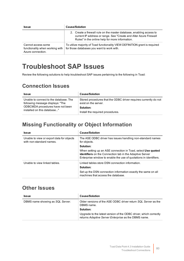| <b>Issue</b>                                                               | <b>Cause/Solution</b>                                                                                                                                                                        |
|----------------------------------------------------------------------------|----------------------------------------------------------------------------------------------------------------------------------------------------------------------------------------------|
|                                                                            | 2. Create a firewall rule on the master database, enabling access to<br>current IP address or range. See "Create and Alter Azure Firewall<br>Rules" in the online help for more information. |
| Cannot access some<br>functionality when working with<br>Azure connection. | To utilize majority of Toad functionality VIEW DEFINITION grant is required<br>for those databases you want to work with.                                                                    |

## <span id="page-79-0"></span>**Troubleshoot SAP Issues**

Review the following solutions to help troubleshoot SAP issues pertaining to the following in Toad:

### **Connection Issues**

| <b>Issue</b>                                                               | <b>Cause/Solution</b>                                                                    |
|----------------------------------------------------------------------------|------------------------------------------------------------------------------------------|
| Unable to connect to the database. The<br>following message displays: "The | Stored procedures that the ODBC driver requires currently do not<br>exist on the server. |
| ODBCMDA procedures have not been<br>installed on this database"            | Solution:                                                                                |
|                                                                            | Install the required procedures.                                                         |

### **Missing Functionality or Object Information**

| <b>Issue</b>                                                          | <b>Cause/Solution</b>                                                                                                                                                                                |
|-----------------------------------------------------------------------|------------------------------------------------------------------------------------------------------------------------------------------------------------------------------------------------------|
| Unable to view or export data for objects<br>with non-standard names. | The ASE ODBC driver has issues handling non-standard names<br>for objects.                                                                                                                           |
|                                                                       | Solution:                                                                                                                                                                                            |
|                                                                       | When setting up an ASE connection in Toad, select Use quoted<br><b>identifiers</b> on the Connection tab in the Adaptive Server<br>Enterprise window to enable the use of quotations in identifiers. |
| Unable to view linked tables.                                         | Linked tables store DSN connection information.                                                                                                                                                      |
|                                                                       | Solution:                                                                                                                                                                                            |
|                                                                       | Set up the DSN connection information exactly the same on all<br>machines that access the database.                                                                                                  |

### **Other Issues**

| <b>Issue</b>                     | <b>Cause/Solution</b>                                                                                                     |
|----------------------------------|---------------------------------------------------------------------------------------------------------------------------|
| DBMS name showing as SQL Server. | Older versions of the ASE ODBC driver return SQL Server as the<br>DBMS name.                                              |
|                                  | Solution:                                                                                                                 |
|                                  | Upgrade to the latest version of the ODBC driver, which correctly<br>returns Adaptive Server Enterprise as the DBMS name. |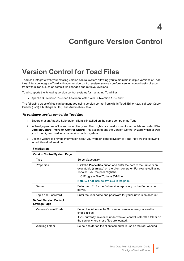## **Configure Version Control**

## **Version Control for Toad Files**

Toad can integrate with your existing version control system allowing you to maintain multiple versions of Toad files. After you integrate Toad with your version control system, you can perform version control tasks directly from within Toad, such as commit file changes and retrieve revisions.

Toad supports the following version control systems for managing Toad files:

• Apache Subversion™—Toad has been tested with Subversion 1.7.5 and 1.8.

The following types of files can be managed using version control from within Toad: Editor (.tef, .sql, .txt), Query Builder (.tsm), ER Diagram (.ter), and Automation (.tas).

#### *To configure version control for Toad files*

1. Ensure that an Apache Subversion client is installed on the same computer as Toad.

 $\overline{\phantom{a}}$ 

- 2. In Toad, open one of the supported file types. Then right-click the document window tab and select **File Version Control | Version Control Wizard**. This action opens the Version Control Wizard which allows you to configure Toad for your version control system.
- 3. Use the wizard to provide information about your version control system to Toad. Review the following for additional information:

| <b>FIBIO/DULLON</b>                                    |                                                                                                                                                                                  |
|--------------------------------------------------------|----------------------------------------------------------------------------------------------------------------------------------------------------------------------------------|
| <b>Version Control System Page</b>                     |                                                                                                                                                                                  |
| Type                                                   | Select Subversion.                                                                                                                                                               |
| Properties                                             | Click the <b>Properties</b> button and enter the path to the Subversion<br>executable (svn.exe) on the client computer. For example, if using<br>TortoiseSVN, the path might be: |
|                                                        | C:\Program Files\TortoiseSVN\bin                                                                                                                                                 |
|                                                        | Note: Do not include svn.exe in the path.                                                                                                                                        |
| Server                                                 | Enter the URL for the Subversion repository on the Subversion<br>server.                                                                                                         |
| Login and Password                                     | Enter the user name and password for your Subversion account.                                                                                                                    |
| <b>Default Version Control</b><br><b>Settings Page</b> |                                                                                                                                                                                  |
| <b>Version Control Folder</b>                          | Select the folder on the Subversion server where you want to<br>check in files.                                                                                                  |
|                                                        | If you currently have files under version control, select the folder on<br>the server where these files are located.                                                             |
| Working Folder                                         | Select a folder on the client computer to use as the root working                                                                                                                |

#### **Field/Button**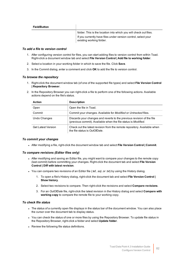| <b>Field/Button</b> |                                                                                            |
|---------------------|--------------------------------------------------------------------------------------------|
|                     | folder. This is the location into which you will check out files.                          |
|                     | If you currently have files under version control, select your<br>existing working folder. |

#### *To add a file to version control*

- 1. After configuring version control for files, you can start adding files to version control from within Toad. Right-click a document window tab and select **File Version Control | Add file to working folder**.
- 2. Select a location in your working folder in which to save the file. Click **Save**.
- 3. In the Commit dialog, enter a comment and click **OK** to add the file to version control.

#### *To browse the repository*

- 1. Right-click the document window tab (of one of the supported file types) and select **File Version Control | Repository Browser**.
- 2. In the Repository Browser you can right-click a file to perform one of the following actions. Available actions depend on the file's status.

| <b>Action</b>             | <b>Description</b>                                                                                                                       |
|---------------------------|------------------------------------------------------------------------------------------------------------------------------------------|
| Open                      | Open the file in Toad.                                                                                                                   |
| Commit                    | Commit your changes. Available for Modified or Untracked files.                                                                          |
| Undo Changes              | Discards your changes and reverts to the previous revision of the file<br>(previous commit). Available when the file status is Modified. |
| <b>Get Latest Version</b> | Check out the latest revision from the remote repository. Available when<br>the file status is OutOfDate.                                |

#### *To commit your changes*

<sup>l</sup> After modifying a file, right-click the document window tab and select **File Version Control | Commit**.

#### *To compare revisions (Editor files only)*

- After modifying and saving an Editor file, you might want to compare your changes to the remote copy (last commit) before committing your changes. Right-click the document tab and select **File Version Control | Diff with latest revision**.
- You can compare two revisions of an Editor file (.tef, .sql, or .txt) by using the History dialog.
	- 1. To open a file's History dialog, right-click the document tab and select **File Version Control | Show history**.
	- 2. Select two revisions to compare. Then right-click the revisions and select **Compare revisions**.
	- 3. For an *OutOfDate* file, right-click the latest revision in the History dialog and select **Compare with working copy** to compare the remote file to your working copy.

#### *To check file status*

- The status of a currently open file displays in the status bar of the document window. You can also place the cursor over the document tab to display status.
- You can check the status of one or more files by using the Repository Browser. To update file status in the Repository Browser, right-click a folder and select **Update folder**.
- Review the following file status definitions.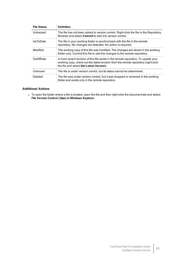| <b>File Status</b> | <b>Definition</b>                                                                                                                                                                                                      |
|--------------------|------------------------------------------------------------------------------------------------------------------------------------------------------------------------------------------------------------------------|
| Untracked          | The file has not been added to version control. Right-click the file in the Repository<br>Browser and select <b>Commit</b> to add it to version control.                                                               |
| UpToDate           | The file in your working folder is synchronized with the file in the remote<br>repository. No changes are detected. No action is required.                                                                             |
| Modified           | The working copy of this file was modified. The changes are stored in the working<br>folder only. Commit this file to add the changes to the remote repository.                                                        |
| OutOfDate          | A more recent revision of this file exists in the remote repository. To update your<br>working copy, check out the latest revision from the remote repository (right-click<br>the file and select Get Latest Version). |
| Unknown            | The file is under version control, but its status cannot be determined.                                                                                                                                                |
| Deleted            | The file was under version control, but it was dropped or renamed in the working<br>folder and exists only in the remote repository.                                                                                   |

#### *Additional Actions*

To open the folder where a file is located, open the file and then right-click the document tab and select **File Version Control | Open in Windows Explorer**.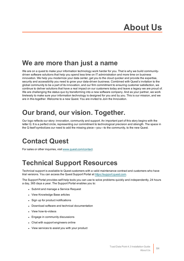# **About Us**

## **We are more than just a name**

We are on a quest to make your information technology work harder for you. That is why we build communitydriven software solutions that help you spend less time on IT administration and more time on business innovation. We help you modernize your data center, get you to the cloud quicker and provide the expertise, security and accessibility you need to grow your data-driven business. Combined with Quest's invitation to the global community to be a part of its innovation, and our firm commitment to ensuring customer satisfaction, we continue to deliver solutions that have a real impact on our customers today and leave a legacy we are proud of. We are challenging the status quo by transforming into a new software company. And as your partner, we work tirelessly to make sure your information technology is designed for you and by you. This is our mission, and we are in this together. Welcome to a new Quest. You are invited to Join the Innovation.

## **Our brand, our vision. Together.**

Our logo reflects our story: innovation, community and support. An important part of this story begins with the letter Q. It is a perfect circle, representing our commitment to technological precision and strength. The space in the Q itself symbolizes our need to add the missing piece—you—to the community, to the new Quest.

## **Contact Quest**

For sales or other inquiries, visit [www.quest.com/contact](https://www.quest.com/contact).

## **Technical Support Resources**

Technical support is available to Quest customers with a valid maintenance contract and customers who have trial versions. You can access the Quest Support Portal at [https://support.quest.com](https://support.quest.com/).

The Support Portal provides self-help tools you can use to solve problems quickly and independently, 24 hours a day, 365 days a year. The Support Portal enables you to:

- Submit and manage a Service Request
- View Knowledge Base articles
- Sign up for product notifications
- Download software and technical documentation
- View how-to-videos
- Engage in community discussions
- Chat with support engineers online
- View services to assist you with your product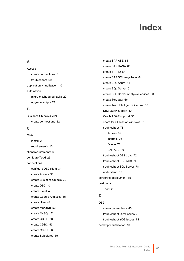# **Index**

#### **A**

Access create connections [31](#page-30-0) troubleshoot [69](#page-68-0) application virtualization [10](#page-9-0) automation migrate scheduled tasks [22](#page-21-0) upgrade scripts [21](#page-20-0)

#### **B**

Business Objects (SAP) create connections [32](#page-31-0)

#### **C**

**Citrix** install [20](#page-19-0) requirements [10](#page-9-0) client requirements [6](#page-5-0) configure Toad [26](#page-25-0) connections configure DB2 client [34](#page-33-0) create Access [31](#page-30-0) create Business Objects [32](#page-31-0) create DB2 [40](#page-39-0) create Excel [43](#page-42-0) create Google Analytics [45](#page-44-0) create Hive [47](#page-46-0) create MariaDB [52](#page-51-0) create MySQL [52](#page-51-0) create OBIEE [58](#page-57-0) create ODBC [53](#page-52-0) create Oracle [56](#page-55-0) create Salesforce [59](#page-58-0)

create SAP ASE [64](#page-63-0) create SAP HANA [65](#page-64-0) create SAP IQ [64](#page-63-0) create SAP SQL Anywhere [64](#page-63-0) create SQL Azure [61](#page-60-0) create SQL Server [61](#page-60-0) create SQL Server Analysis Services [63](#page-62-0) create Teradata [66](#page-65-0) create Toad Intelligence Central [50](#page-49-0) DB2 LDAP support [40](#page-39-1) Oracle LDAP support [55](#page-54-0) share for all session windows [31](#page-30-1) troubleshoot [78](#page-77-0) Access [69](#page-68-0) Informix [76](#page-75-0) Oracle [78](#page-77-1) SAP ASE [80](#page-79-0) troubleshoot DB2 LUW [72](#page-71-0) troubleshoot DB2 z/OS [74](#page-73-0) troubleshoot SQL Server [78](#page-77-0) understand [30](#page-29-0) corporate deployment [15](#page-14-0) customize Toad [26](#page-25-0)

#### **D**

DB2 create connections [40](#page-39-0) troubleshoot LUW issues [72](#page-71-0) troubleshoot z/OS issues [74](#page-73-0) desktop virtualization [10](#page-9-0)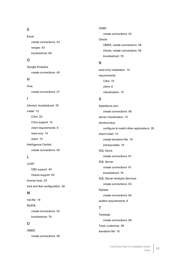#### **E**

Excel create connections [43](#page-42-0) ranges [43](#page-42-0) troubleshoot [69](#page-68-1)

#### **G**

Google Analytics create connections [45](#page-44-0)

#### **H**

Hive create connections [47](#page-46-0)

#### **I**

Informix, troubleshoot [76](#page-75-0) install [12](#page-11-0) Citrix [20](#page-19-0) Citrix support [10](#page-9-0) client requirements [6](#page-5-0) read-only [14](#page-13-0) silent [15](#page-14-0) Intelligence Central create connections [50](#page-49-0)

#### **L**

LDAP DB2 support [40](#page-39-1) Oracle support [55](#page-54-0) license keys [25](#page-24-0) look and feel configuration [26](#page-25-0)

#### **M**

mst file [19](#page-18-0) MySQL create connections [52](#page-51-0) troubleshoot [76](#page-75-1)

#### **O**

OBIEE create connections [58](#page-57-0) ODBC create connections [53](#page-52-0) Oracle OBIEE, create connections [58](#page-57-0) Oracle, create connections [56](#page-55-0) troubleshoot [78](#page-77-1)

#### **R**

read-only installation [14](#page-13-0) requirements Citrix [10](#page-9-0) client [6](#page-5-0) virtualization [10](#page-9-0)

#### **S**

Salesforce.com create connections [59](#page-58-0) server virtualization [10](#page-9-0) shortcut keys configure to match other applications [26](#page-25-0) silent install [15](#page-14-0) create transform file [19](#page-18-0) prerequisites [16](#page-15-0) SQL Azure create connections [61](#page-60-0) SQL Server create connections [61](#page-60-0) troubleshoot [78](#page-77-0) SQL Server Analysis Services create connections [63](#page-62-0) Sybase create connections [64](#page-63-0) system requirements [6](#page-5-0) **T**

Teradata create connections [66](#page-65-0) Toad, customize [26](#page-25-0) transform file [19](#page-18-0)